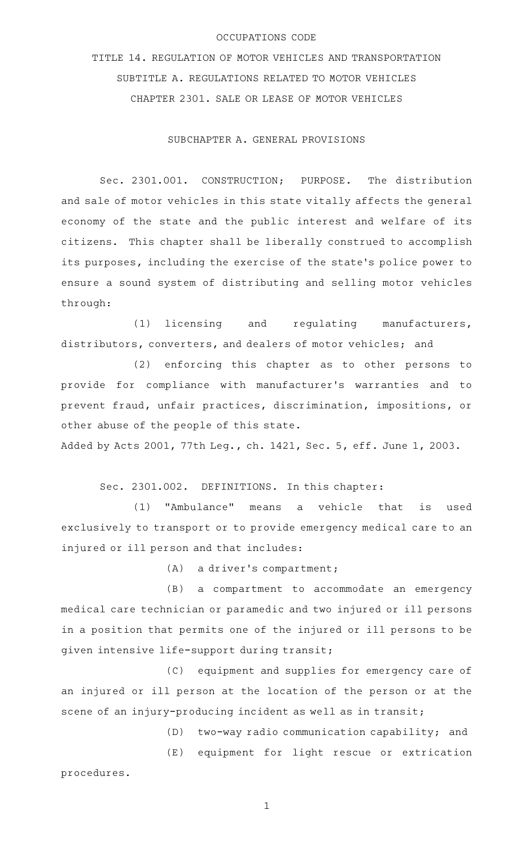### OCCUPATIONS CODE

TITLE 14. REGULATION OF MOTOR VEHICLES AND TRANSPORTATION SUBTITLE A. REGULATIONS RELATED TO MOTOR VEHICLES CHAPTER 2301. SALE OR LEASE OF MOTOR VEHICLES

SUBCHAPTER A. GENERAL PROVISIONS

Sec. 2301.001. CONSTRUCTION; PURPOSE. The distribution and sale of motor vehicles in this state vitally affects the general economy of the state and the public interest and welfare of its citizens. This chapter shall be liberally construed to accomplish its purposes, including the exercise of the state 's police power to ensure a sound system of distributing and selling motor vehicles through:

 $(1)$  licensing and regulating manufacturers, distributors, converters, and dealers of motor vehicles; and

(2) enforcing this chapter as to other persons to provide for compliance with manufacturer 's warranties and to prevent fraud, unfair practices, discrimination, impositions, or other abuse of the people of this state.

Added by Acts 2001, 77th Leg., ch. 1421, Sec. 5, eff. June 1, 2003.

Sec. 2301.002. DEFINITIONS. In this chapter:

(1) "Ambulance" means a vehicle that is used exclusively to transport or to provide emergency medical care to an injured or ill person and that includes:

 $(A)$  a driver's compartment;

(B) a compartment to accommodate an emergency medical care technician or paramedic and two injured or ill persons in a position that permits one of the injured or ill persons to be given intensive life-support during transit;

(C) equipment and supplies for emergency care of an injured or ill person at the location of the person or at the scene of an injury-producing incident as well as in transit;

(D) two-way radio communication capability; and

(E) equipment for light rescue or extrication procedures.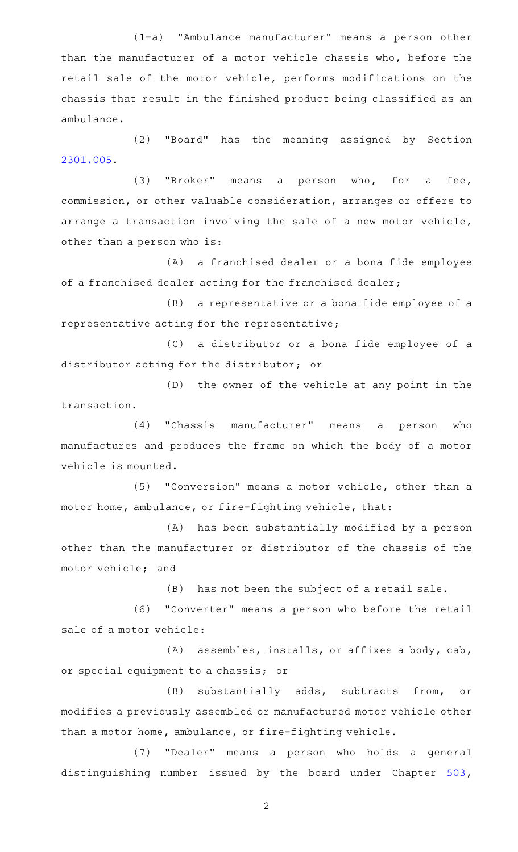(1-a) "Ambulance manufacturer" means a person other than the manufacturer of a motor vehicle chassis who, before the retail sale of the motor vehicle, performs modifications on the chassis that result in the finished product being classified as an ambulance.

(2) "Board" has the meaning assigned by Section [2301.005](http://www.statutes.legis.state.tx.us/GetStatute.aspx?Code=OC&Value=2301.005).

(3) "Broker" means a person who, for a fee, commission, or other valuable consideration, arranges or offers to arrange a transaction involving the sale of a new motor vehicle, other than a person who is:

(A) a franchised dealer or a bona fide employee of a franchised dealer acting for the franchised dealer;

(B) a representative or a bona fide employee of a representative acting for the representative;

(C) a distributor or a bona fide employee of a distributor acting for the distributor; or

(D) the owner of the vehicle at any point in the transaction.

 $(4)$  "Chassis manufacturer" means a person who manufactures and produces the frame on which the body of a motor vehicle is mounted.

(5) "Conversion" means a motor vehicle, other than a motor home, ambulance, or fire-fighting vehicle, that:

(A) has been substantially modified by a person other than the manufacturer or distributor of the chassis of the motor vehicle; and

(B) has not been the subject of a retail sale.

(6) "Converter" means a person who before the retail sale of a motor vehicle:

 $(A)$  assembles, installs, or affixes a body, cab, or special equipment to a chassis; or

(B) substantially adds, subtracts from, or modifies a previously assembled or manufactured motor vehicle other than a motor home, ambulance, or fire-fighting vehicle.

(7) "Dealer" means a person who holds a general distinguishing number issued by the board under Chapter [503](http://www.statutes.legis.state.tx.us/GetStatute.aspx?Code=TN&Value=503),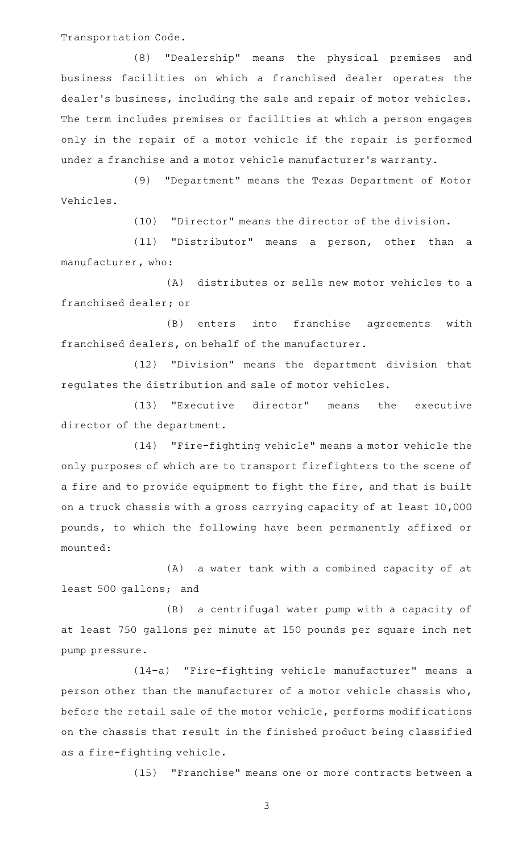Transportation Code.

(8) "Dealership" means the physical premises and business facilities on which a franchised dealer operates the dealer 's business, including the sale and repair of motor vehicles. The term includes premises or facilities at which a person engages only in the repair of a motor vehicle if the repair is performed under a franchise and a motor vehicle manufacturer 's warranty.

(9) "Department" means the Texas Department of Motor Vehicles.

(10) "Director" means the director of the division.

(11) "Distributor" means a person, other than a manufacturer, who:

(A) distributes or sells new motor vehicles to a franchised dealer; or

(B) enters into franchise agreements with franchised dealers, on behalf of the manufacturer.

(12) "Division" means the department division that regulates the distribution and sale of motor vehicles.

(13) "Executive director" means the executive director of the department.

(14) "Fire-fighting vehicle" means a motor vehicle the only purposes of which are to transport firefighters to the scene of a fire and to provide equipment to fight the fire, and that is built on a truck chassis with a gross carrying capacity of at least 10,000 pounds, to which the following have been permanently affixed or mounted:

(A) a water tank with a combined capacity of at least 500 gallons; and

(B) a centrifugal water pump with a capacity of at least 750 gallons per minute at 150 pounds per square inch net pump pressure.

(14-a) "Fire-fighting vehicle manufacturer" means a person other than the manufacturer of a motor vehicle chassis who, before the retail sale of the motor vehicle, performs modifications on the chassis that result in the finished product being classified as a fire-fighting vehicle.

(15) "Franchise" means one or more contracts between a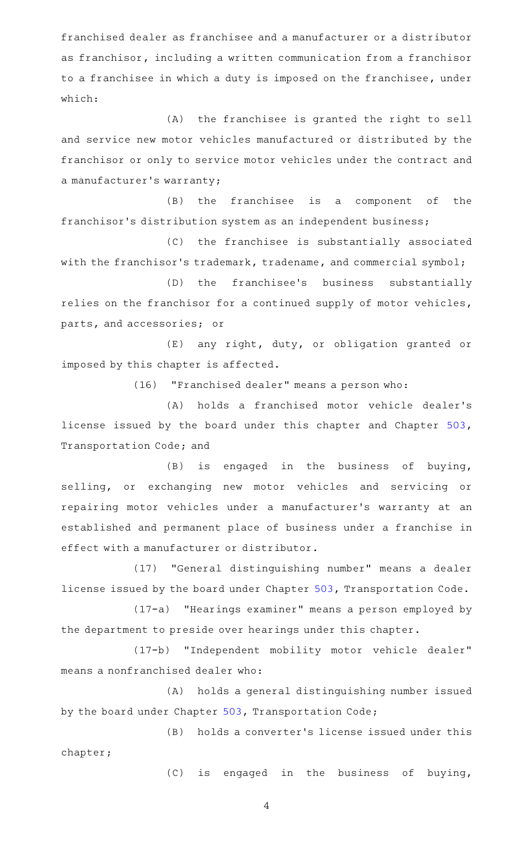franchised dealer as franchisee and a manufacturer or a distributor as franchisor, including a written communication from a franchisor to a franchisee in which a duty is imposed on the franchisee, under which:

(A) the franchisee is granted the right to sell and service new motor vehicles manufactured or distributed by the franchisor or only to service motor vehicles under the contract and a manufacturer 's warranty;

 $(B)$  the franchisee is a component of the franchisor's distribution system as an independent business;

(C) the franchisee is substantially associated with the franchisor's trademark, tradename, and commercial symbol;

(D) the franchisee's business substantially relies on the franchisor for a continued supply of motor vehicles, parts, and accessories; or

 $(E)$  any right, duty, or obligation granted or imposed by this chapter is affected.

(16) "Franchised dealer" means a person who:

(A) holds a franchised motor vehicle dealer's license issued by the board under this chapter and Chapter [503](http://www.statutes.legis.state.tx.us/GetStatute.aspx?Code=TN&Value=503), Transportation Code; and

(B) is engaged in the business of buying, selling, or exchanging new motor vehicles and servicing or repairing motor vehicles under a manufacturer 's warranty at an established and permanent place of business under a franchise in effect with a manufacturer or distributor.

(17) "General distinguishing number" means a dealer license issued by the board under Chapter [503](http://www.statutes.legis.state.tx.us/GetStatute.aspx?Code=TN&Value=503), Transportation Code.

(17-a) "Hearings examiner" means a person employed by the department to preside over hearings under this chapter.

(17-b) "Independent mobility motor vehicle dealer" means a nonfranchised dealer who:

(A) holds a general distinguishing number issued by the board under Chapter [503,](http://www.statutes.legis.state.tx.us/GetStatute.aspx?Code=TN&Value=503) Transportation Code;

(B) holds a converter's license issued under this chapter;

(C) is engaged in the business of buying,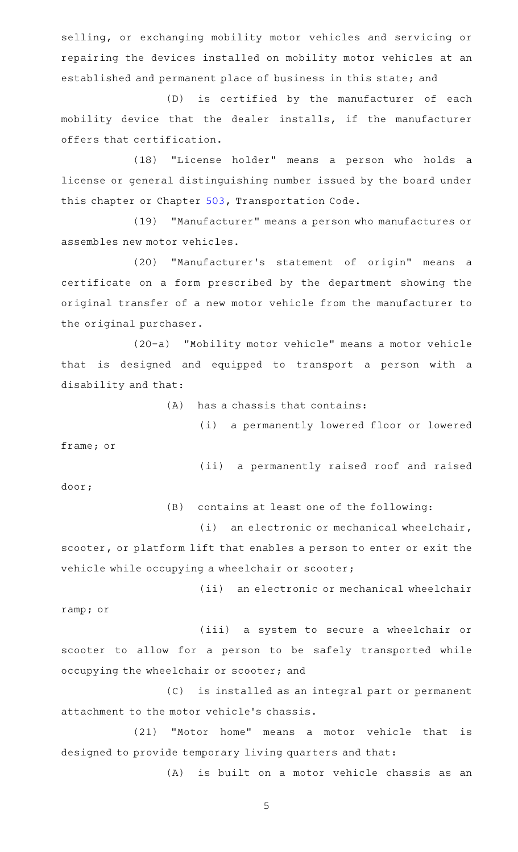selling, or exchanging mobility motor vehicles and servicing or repairing the devices installed on mobility motor vehicles at an established and permanent place of business in this state; and

(D) is certified by the manufacturer of each mobility device that the dealer installs, if the manufacturer offers that certification.

(18) "License holder" means a person who holds a license or general distinguishing number issued by the board under this chapter or Chapter [503,](http://www.statutes.legis.state.tx.us/GetStatute.aspx?Code=TN&Value=503) Transportation Code.

(19) "Manufacturer" means a person who manufactures or assembles new motor vehicles.

(20) "Manufacturer's statement of origin" means a certificate on a form prescribed by the department showing the original transfer of a new motor vehicle from the manufacturer to the original purchaser.

(20-a) "Mobility motor vehicle" means a motor vehicle that is designed and equipped to transport a person with a disability and that:

 $(A)$  has a chassis that contains:

(i) a permanently lowered floor or lowered

frame; or

(ii) a permanently raised roof and raised door;

 $(B)$  contains at least one of the following:

 $(i)$  an electronic or mechanical wheelchair, scooter, or platform lift that enables a person to enter or exit the vehicle while occupying a wheelchair or scooter;

(ii) an electronic or mechanical wheelchair ramp; or

(iii) a system to secure a wheelchair or scooter to allow for a person to be safely transported while occupying the wheelchair or scooter; and

(C) is installed as an integral part or permanent attachment to the motor vehicle 's chassis.

(21) "Motor home" means a motor vehicle that is designed to provide temporary living quarters and that:

(A) is built on a motor vehicle chassis as an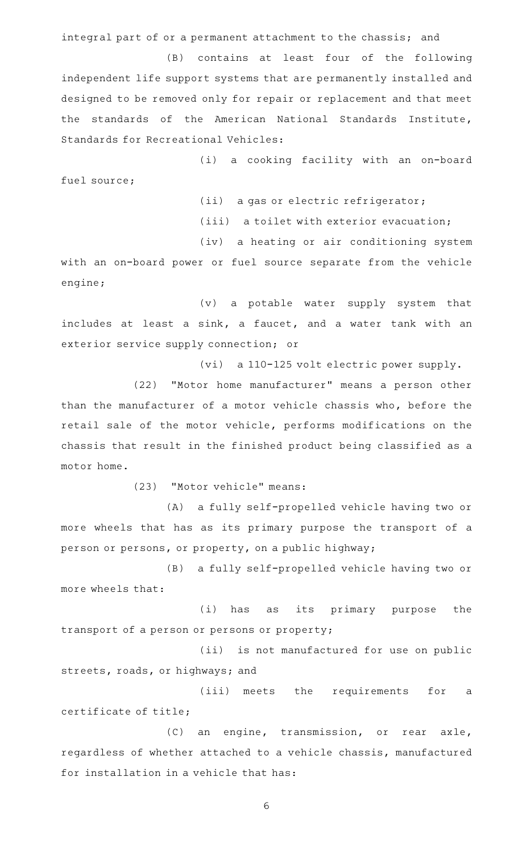integral part of or a permanent attachment to the chassis; and

(B) contains at least four of the following independent life support systems that are permanently installed and designed to be removed only for repair or replacement and that meet the standards of the American National Standards Institute, Standards for Recreational Vehicles:

(i) a cooking facility with an on-board fuel source;

(ii) a gas or electric refrigerator;

(iii) a toilet with exterior evacuation;

(iv) a heating or air conditioning system

with an on-board power or fuel source separate from the vehicle engine;

(v) a potable water supply system that includes at least a sink, a faucet, and a water tank with an exterior service supply connection; or

(vi) a 110-125 volt electric power supply.

(22) "Motor home manufacturer" means a person other than the manufacturer of a motor vehicle chassis who, before the retail sale of the motor vehicle, performs modifications on the chassis that result in the finished product being classified as a motor home.

(23) "Motor vehicle" means:

(A) a fully self-propelled vehicle having two or more wheels that has as its primary purpose the transport of a person or persons, or property, on a public highway;

(B) a fully self-propelled vehicle having two or more wheels that:

(i) has as its primary purpose the transport of a person or persons or property;

(ii) is not manufactured for use on public streets, roads, or highways; and

(iii) meets the requirements for a certificate of title;

(C) an engine, transmission, or rear axle, regardless of whether attached to a vehicle chassis, manufactured for installation in a vehicle that has: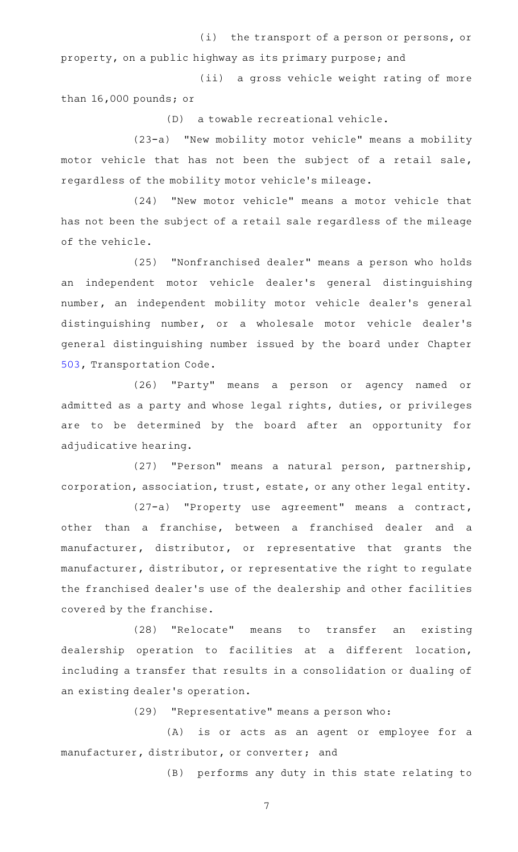(i) the transport of a person or persons, or

property, on a public highway as its primary purpose; and

(ii) a gross vehicle weight rating of more than 16,000 pounds; or

(D) a towable recreational vehicle.

(23-a) "New mobility motor vehicle" means a mobility motor vehicle that has not been the subject of a retail sale, regardless of the mobility motor vehicle 's mileage.

(24) "New motor vehicle" means a motor vehicle that has not been the subject of a retail sale regardless of the mileage of the vehicle.

(25) "Nonfranchised dealer" means a person who holds an independent motor vehicle dealer 's general distinguishing number, an independent mobility motor vehicle dealer 's general distinguishing number, or a wholesale motor vehicle dealer 's general distinguishing number issued by the board under Chapter [503,](http://www.statutes.legis.state.tx.us/GetStatute.aspx?Code=TN&Value=503) Transportation Code.

(26) "Party" means a person or agency named or admitted as a party and whose legal rights, duties, or privileges are to be determined by the board after an opportunity for adjudicative hearing.

(27) "Person" means a natural person, partnership, corporation, association, trust, estate, or any other legal entity.

(27-a) "Property use agreement" means a contract, other than a franchise, between a franchised dealer and a manufacturer, distributor, or representative that grants the manufacturer, distributor, or representative the right to regulate the franchised dealer 's use of the dealership and other facilities covered by the franchise.

(28) "Relocate" means to transfer an existing dealership operation to facilities at a different location, including a transfer that results in a consolidation or dualing of an existing dealer 's operation.

(29) "Representative" means a person who:

(A) is or acts as an agent or employee for a manufacturer, distributor, or converter; and

(B) performs any duty in this state relating to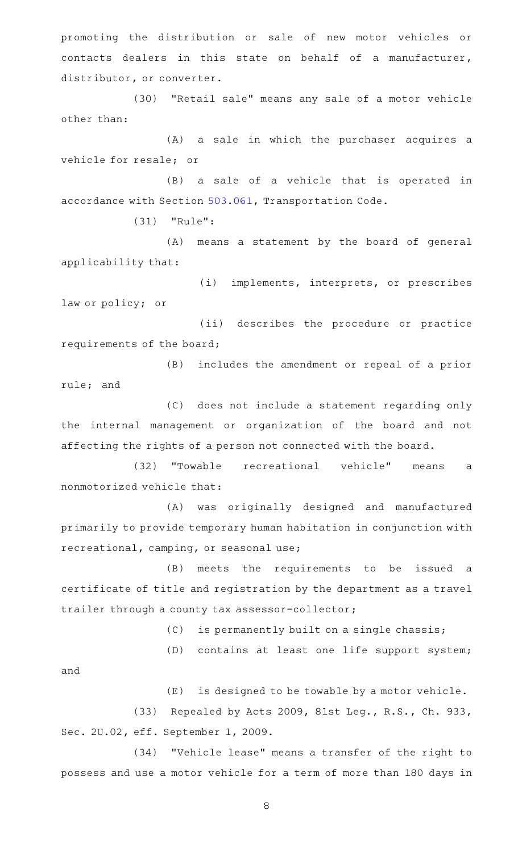promoting the distribution or sale of new motor vehicles or contacts dealers in this state on behalf of a manufacturer, distributor, or converter.

(30) "Retail sale" means any sale of a motor vehicle other than:

(A) a sale in which the purchaser acquires a vehicle for resale; or

(B) a sale of a vehicle that is operated in accordance with Section [503.061](http://www.statutes.legis.state.tx.us/GetStatute.aspx?Code=TN&Value=503.061), Transportation Code.

 $(31)$  "Rule":

(A) means a statement by the board of general applicability that:

(i) implements, interprets, or prescribes law or policy; or

(ii) describes the procedure or practice requirements of the board;

(B) includes the amendment or repeal of a prior rule; and

(C) does not include a statement regarding only the internal management or organization of the board and not affecting the rights of a person not connected with the board.

(32) "Towable recreational vehicle" means a nonmotorized vehicle that:

(A) was originally designed and manufactured primarily to provide temporary human habitation in conjunction with recreational, camping, or seasonal use;

(B) meets the requirements to be issued a certificate of title and registration by the department as a travel trailer through a county tax assessor-collector;

 $(C)$  is permanently built on a single chassis;

(D) contains at least one life support system;

and

 $(E)$  is designed to be towable by a motor vehicle.

(33) Repealed by Acts 2009, 81st Leg., R.S., Ch. 933, Sec. 2U.02, eff. September 1, 2009.

(34) "Vehicle lease" means a transfer of the right to possess and use a motor vehicle for a term of more than 180 days in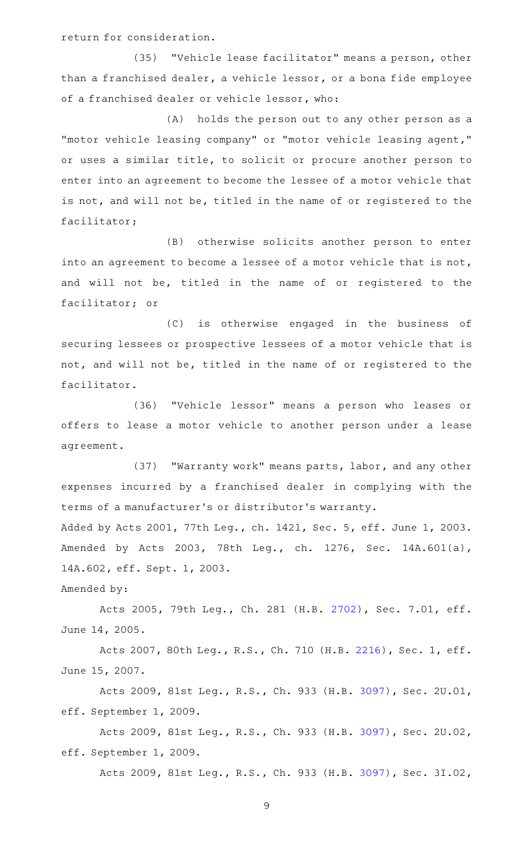return for consideration.

(35) "Vehicle lease facilitator" means a person, other than a franchised dealer, a vehicle lessor, or a bona fide employee of a franchised dealer or vehicle lessor, who:

(A) holds the person out to any other person as a "motor vehicle leasing company" or "motor vehicle leasing agent," or uses a similar title, to solicit or procure another person to enter into an agreement to become the lessee of a motor vehicle that is not, and will not be, titled in the name of or registered to the facilitator;

(B) otherwise solicits another person to enter into an agreement to become a lessee of a motor vehicle that is not, and will not be, titled in the name of or registered to the facilitator; or

(C) is otherwise engaged in the business of securing lessees or prospective lessees of a motor vehicle that is not, and will not be, titled in the name of or registered to the facilitator.

(36) "Vehicle lessor" means a person who leases or offers to lease a motor vehicle to another person under a lease agreement.

(37) "Warranty work" means parts, labor, and any other expenses incurred by a franchised dealer in complying with the terms of a manufacturer 's or distributor 's warranty.

Added by Acts 2001, 77th Leg., ch. 1421, Sec. 5, eff. June 1, 2003. Amended by Acts 2003, 78th Leg., ch. 1276, Sec. 14A.601(a), 14A.602, eff. Sept. 1, 2003.

Amended by:

Acts 2005, 79th Leg., Ch. 281 (H.B. [2702](http://www.legis.state.tx.us/tlodocs/79R/billtext/html/HB02702F.HTM)), Sec. 7.01, eff. June 14, 2005.

Acts 2007, 80th Leg., R.S., Ch. 710 (H.B. [2216](http://www.legis.state.tx.us/tlodocs/80R/billtext/html/HB02216F.HTM)), Sec. 1, eff. June 15, 2007.

Acts 2009, 81st Leg., R.S., Ch. 933 (H.B. [3097\)](http://www.legis.state.tx.us/tlodocs/81R/billtext/html/HB03097F.HTM), Sec. 2U.01, eff. September 1, 2009.

Acts 2009, 81st Leg., R.S., Ch. 933 (H.B. [3097\)](http://www.legis.state.tx.us/tlodocs/81R/billtext/html/HB03097F.HTM), Sec. 2U.02, eff. September 1, 2009.

Acts 2009, 81st Leg., R.S., Ch. 933 (H.B. [3097\)](http://www.legis.state.tx.us/tlodocs/81R/billtext/html/HB03097F.HTM), Sec. 3I.02,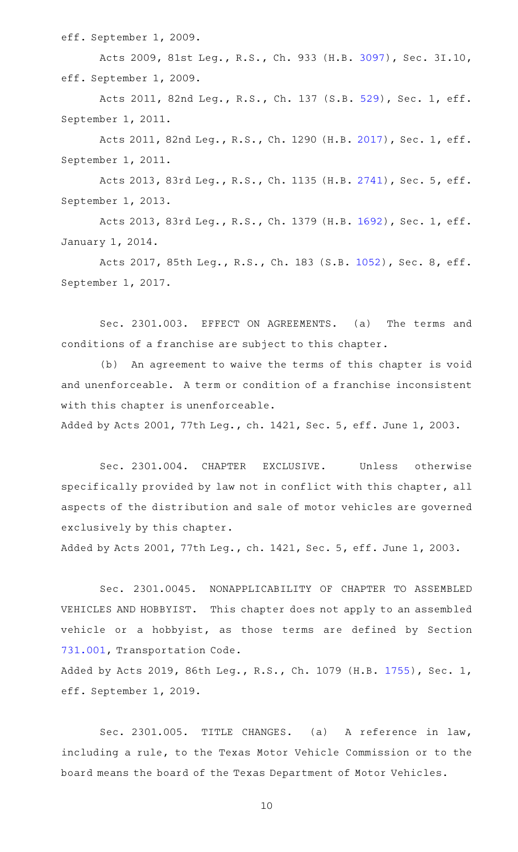eff. September 1, 2009.

Acts 2009, 81st Leg., R.S., Ch. 933 (H.B. [3097\)](http://www.legis.state.tx.us/tlodocs/81R/billtext/html/HB03097F.HTM), Sec. 3I.10, eff. September 1, 2009.

Acts 2011, 82nd Leg., R.S., Ch. 137 (S.B. [529](http://www.legis.state.tx.us/tlodocs/82R/billtext/html/SB00529F.HTM)), Sec. 1, eff. September 1, 2011.

Acts 2011, 82nd Leg., R.S., Ch. 1290 (H.B. [2017](http://www.legis.state.tx.us/tlodocs/82R/billtext/html/HB02017F.HTM)), Sec. 1, eff. September 1, 2011.

Acts 2013, 83rd Leg., R.S., Ch. 1135 (H.B. [2741](http://www.legis.state.tx.us/tlodocs/83R/billtext/html/HB02741F.HTM)), Sec. 5, eff. September 1, 2013.

Acts 2013, 83rd Leg., R.S., Ch. 1379 (H.B. [1692](http://www.legis.state.tx.us/tlodocs/83R/billtext/html/HB01692F.HTM)), Sec. 1, eff. January 1, 2014.

Acts 2017, 85th Leg., R.S., Ch. 183 (S.B. [1052](http://www.legis.state.tx.us/tlodocs/85R/billtext/html/SB01052F.HTM)), Sec. 8, eff. September 1, 2017.

Sec. 2301.003. EFFECT ON AGREEMENTS. (a) The terms and conditions of a franchise are subject to this chapter.

(b) An agreement to waive the terms of this chapter is void and unenforceable. A term or condition of a franchise inconsistent with this chapter is unenforceable.

Added by Acts 2001, 77th Leg., ch. 1421, Sec. 5, eff. June 1, 2003.

Sec. 2301.004. CHAPTER EXCLUSIVE. Unless otherwise specifically provided by law not in conflict with this chapter, all aspects of the distribution and sale of motor vehicles are governed exclusively by this chapter.

Added by Acts 2001, 77th Leg., ch. 1421, Sec. 5, eff. June 1, 2003.

Sec. 2301.0045. NONAPPLICABILITY OF CHAPTER TO ASSEMBLED VEHICLES AND HOBBYIST. This chapter does not apply to an assembled vehicle or a hobbyist, as those terms are defined by Section [731.001,](http://www.statutes.legis.state.tx.us/GetStatute.aspx?Code=TN&Value=731.001) Transportation Code.

Added by Acts 2019, 86th Leg., R.S., Ch. 1079 (H.B. [1755\)](http://www.legis.state.tx.us/tlodocs/86R/billtext/html/HB01755F.HTM), Sec. 1, eff. September 1, 2019.

Sec. 2301.005. TITLE CHANGES. (a) A reference in law, including a rule, to the Texas Motor Vehicle Commission or to the board means the board of the Texas Department of Motor Vehicles.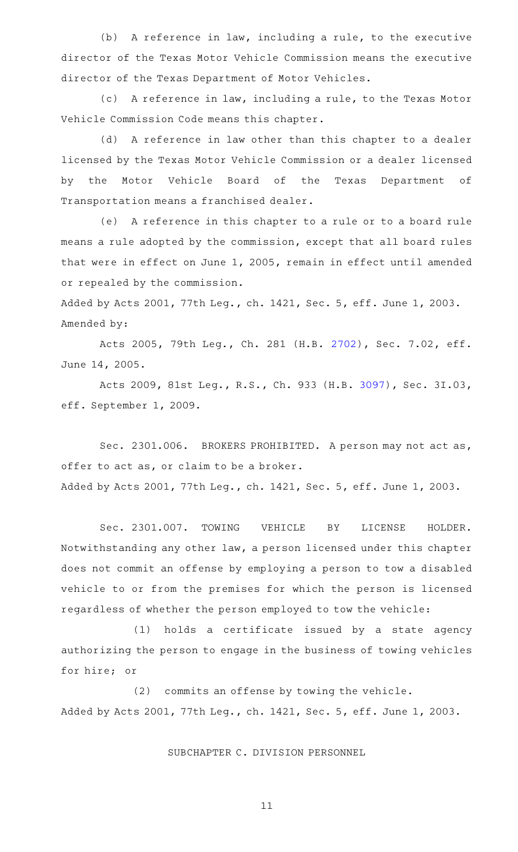(b) A reference in law, including a rule, to the executive director of the Texas Motor Vehicle Commission means the executive director of the Texas Department of Motor Vehicles.

(c) A reference in law, including a rule, to the Texas Motor Vehicle Commission Code means this chapter.

(d) A reference in law other than this chapter to a dealer licensed by the Texas Motor Vehicle Commission or a dealer licensed by the Motor Vehicle Board of the Texas Department of Transportation means a franchised dealer.

(e) A reference in this chapter to a rule or to a board rule means a rule adopted by the commission, except that all board rules that were in effect on June 1, 2005, remain in effect until amended or repealed by the commission.

Added by Acts 2001, 77th Leg., ch. 1421, Sec. 5, eff. June 1, 2003. Amended by:

Acts 2005, 79th Leg., Ch. 281 (H.B. [2702](http://www.legis.state.tx.us/tlodocs/79R/billtext/html/HB02702F.HTM)), Sec. 7.02, eff. June 14, 2005.

Acts 2009, 81st Leg., R.S., Ch. 933 (H.B. [3097\)](http://www.legis.state.tx.us/tlodocs/81R/billtext/html/HB03097F.HTM), Sec. 3I.03, eff. September 1, 2009.

Sec. 2301.006. BROKERS PROHIBITED. A person may not act as, offer to act as, or claim to be a broker. Added by Acts 2001, 77th Leg., ch. 1421, Sec. 5, eff. June 1, 2003.

Sec. 2301.007. TOWING VEHICLE BY LICENSE HOLDER. Notwithstanding any other law, a person licensed under this chapter does not commit an offense by employing a person to tow a disabled vehicle to or from the premises for which the person is licensed regardless of whether the person employed to tow the vehicle:

(1) holds a certificate issued by a state agency authorizing the person to engage in the business of towing vehicles for hire; or

(2) commits an offense by towing the vehicle. Added by Acts 2001, 77th Leg., ch. 1421, Sec. 5, eff. June 1, 2003.

SUBCHAPTER C. DIVISION PERSONNEL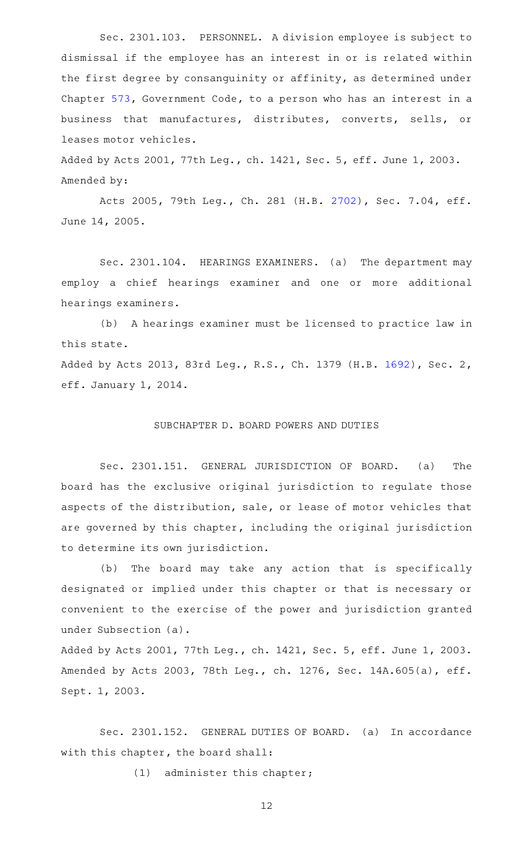Sec. 2301.103. PERSONNEL. A division employee is subject to dismissal if the employee has an interest in or is related within the first degree by consanguinity or affinity, as determined under Chapter [573,](http://www.statutes.legis.state.tx.us/GetStatute.aspx?Code=GV&Value=573) Government Code, to a person who has an interest in a business that manufactures, distributes, converts, sells, or leases motor vehicles.

Added by Acts 2001, 77th Leg., ch. 1421, Sec. 5, eff. June 1, 2003. Amended by:

Acts 2005, 79th Leg., Ch. 281 (H.B. [2702](http://www.legis.state.tx.us/tlodocs/79R/billtext/html/HB02702F.HTM)), Sec. 7.04, eff. June 14, 2005.

Sec. 2301.104. HEARINGS EXAMINERS. (a) The department may employ a chief hearings examiner and one or more additional hearings examiners.

(b) A hearings examiner must be licensed to practice law in this state.

Added by Acts 2013, 83rd Leg., R.S., Ch. 1379 (H.B. [1692\)](http://www.legis.state.tx.us/tlodocs/83R/billtext/html/HB01692F.HTM), Sec. 2, eff. January 1, 2014.

## SUBCHAPTER D. BOARD POWERS AND DUTIES

Sec. 2301.151. GENERAL JURISDICTION OF BOARD. (a) The board has the exclusive original jurisdiction to regulate those aspects of the distribution, sale, or lease of motor vehicles that are governed by this chapter, including the original jurisdiction to determine its own jurisdiction.

(b) The board may take any action that is specifically designated or implied under this chapter or that is necessary or convenient to the exercise of the power and jurisdiction granted under Subsection (a).

Added by Acts 2001, 77th Leg., ch. 1421, Sec. 5, eff. June 1, 2003. Amended by Acts 2003, 78th Leg., ch. 1276, Sec. 14A.605(a), eff. Sept. 1, 2003.

Sec. 2301.152. GENERAL DUTIES OF BOARD. (a) In accordance with this chapter, the board shall:

(1) administer this chapter;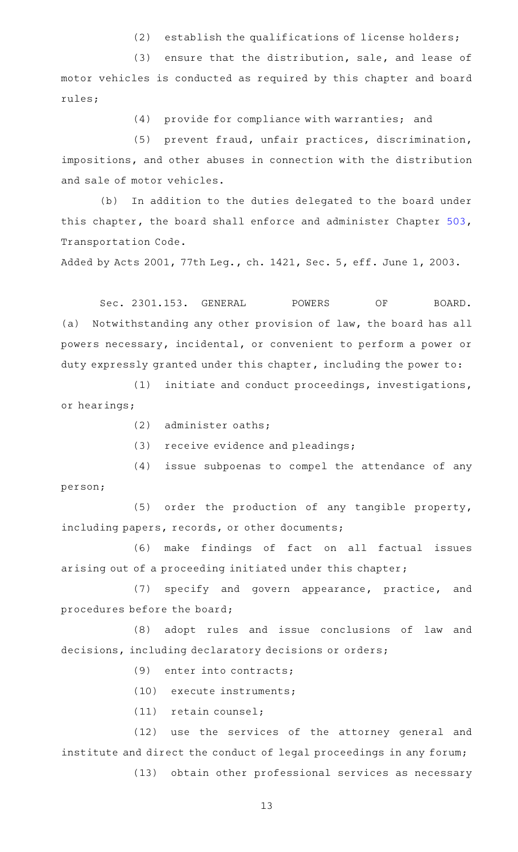$(2)$  establish the qualifications of license holders;

 $(3)$  ensure that the distribution, sale, and lease of motor vehicles is conducted as required by this chapter and board rules;

 $(4)$  provide for compliance with warranties; and

(5) prevent fraud, unfair practices, discrimination, impositions, and other abuses in connection with the distribution and sale of motor vehicles.

(b) In addition to the duties delegated to the board under this chapter, the board shall enforce and administer Chapter [503](http://www.statutes.legis.state.tx.us/GetStatute.aspx?Code=TN&Value=503), Transportation Code.

Added by Acts 2001, 77th Leg., ch. 1421, Sec. 5, eff. June 1, 2003.

Sec. 2301.153. GENERAL POWERS OF BOARD. (a) Notwithstanding any other provision of law, the board has all powers necessary, incidental, or convenient to perform a power or duty expressly granted under this chapter, including the power to:

(1) initiate and conduct proceedings, investigations, or hearings;

- $(2)$  administer oaths;
- $(3)$  receive evidence and pleadings;

(4) issue subpoenas to compel the attendance of any person;

 $(5)$  order the production of any tangible property, including papers, records, or other documents;

(6) make findings of fact on all factual issues arising out of a proceeding initiated under this chapter;

(7) specify and govern appearance, practice, and procedures before the board;

(8) adopt rules and issue conclusions of law and decisions, including declaratory decisions or orders;

- (9) enter into contracts;
- (10) execute instruments;
- (11) retain counsel;

(12) use the services of the attorney general and institute and direct the conduct of legal proceedings in any forum;

(13) obtain other professional services as necessary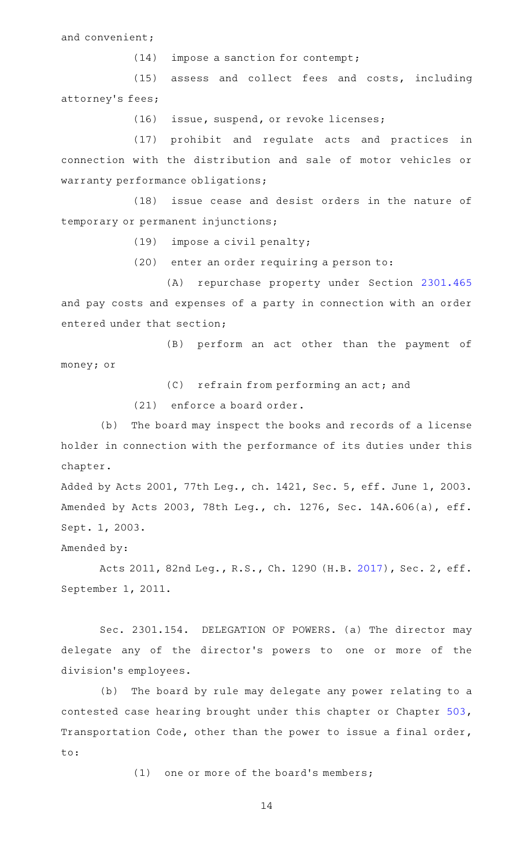and convenient;

 $(14)$  impose a sanction for contempt;

(15) assess and collect fees and costs, including attorney 's fees;

(16) issue, suspend, or revoke licenses;

(17) prohibit and regulate acts and practices in connection with the distribution and sale of motor vehicles or warranty performance obligations;

(18) issue cease and desist orders in the nature of temporary or permanent injunctions;

 $(19)$  impose a civil penalty;

(20) enter an order requiring a person to:

(A) repurchase property under Section [2301.465](http://www.statutes.legis.state.tx.us/GetStatute.aspx?Code=OC&Value=2301.465) and pay costs and expenses of a party in connection with an order entered under that section;

(B) perform an act other than the payment of money; or

 $(C)$  refrain from performing an act; and

 $(21)$  enforce a board order.

(b) The board may inspect the books and records of a license holder in connection with the performance of its duties under this chapter.

Added by Acts 2001, 77th Leg., ch. 1421, Sec. 5, eff. June 1, 2003. Amended by Acts 2003, 78th Leg., ch. 1276, Sec. 14A.606(a), eff. Sept. 1, 2003.

Amended by:

Acts 2011, 82nd Leg., R.S., Ch. 1290 (H.B. [2017](http://www.legis.state.tx.us/tlodocs/82R/billtext/html/HB02017F.HTM)), Sec. 2, eff. September 1, 2011.

Sec. 2301.154. DELEGATION OF POWERS. (a) The director may delegate any of the director's powers to one or more of the division 's employees.

(b) The board by rule may delegate any power relating to a contested case hearing brought under this chapter or Chapter [503](http://www.statutes.legis.state.tx.us/GetStatute.aspx?Code=TN&Value=503), Transportation Code, other than the power to issue a final order, to:

(1) one or more of the board's members;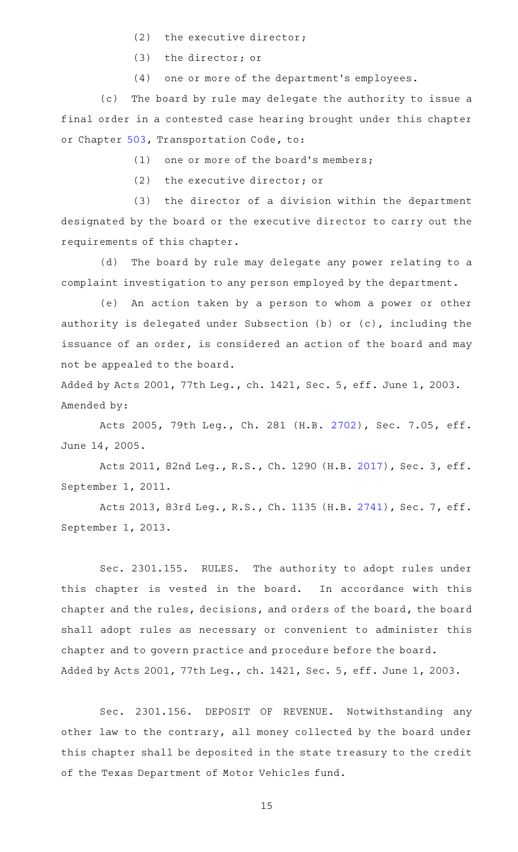- (2) the executive director;
- $(3)$  the director; or
- (4) one or more of the department's employees.

(c) The board by rule may delegate the authority to issue a final order in a contested case hearing brought under this chapter or Chapter [503,](http://www.statutes.legis.state.tx.us/GetStatute.aspx?Code=TN&Value=503) Transportation Code, to:

(1) one or more of the board's members;

(2) the executive director; or

 $(3)$  the director of a division within the department designated by the board or the executive director to carry out the requirements of this chapter.

(d) The board by rule may delegate any power relating to a complaint investigation to any person employed by the department.

(e) An action taken by a person to whom a power or other authority is delegated under Subsection (b) or (c), including the issuance of an order, is considered an action of the board and may not be appealed to the board.

Added by Acts 2001, 77th Leg., ch. 1421, Sec. 5, eff. June 1, 2003. Amended by:

Acts 2005, 79th Leg., Ch. 281 (H.B. [2702](http://www.legis.state.tx.us/tlodocs/79R/billtext/html/HB02702F.HTM)), Sec. 7.05, eff. June 14, 2005.

Acts 2011, 82nd Leg., R.S., Ch. 1290 (H.B. [2017](http://www.legis.state.tx.us/tlodocs/82R/billtext/html/HB02017F.HTM)), Sec. 3, eff. September 1, 2011.

Acts 2013, 83rd Leg., R.S., Ch. 1135 (H.B. [2741](http://www.legis.state.tx.us/tlodocs/83R/billtext/html/HB02741F.HTM)), Sec. 7, eff. September 1, 2013.

Sec. 2301.155. RULES. The authority to adopt rules under this chapter is vested in the board. In accordance with this chapter and the rules, decisions, and orders of the board, the board shall adopt rules as necessary or convenient to administer this chapter and to govern practice and procedure before the board. Added by Acts 2001, 77th Leg., ch. 1421, Sec. 5, eff. June 1, 2003.

Sec. 2301.156. DEPOSIT OF REVENUE. Notwithstanding any other law to the contrary, all money collected by the board under this chapter shall be deposited in the state treasury to the credit of the Texas Department of Motor Vehicles fund.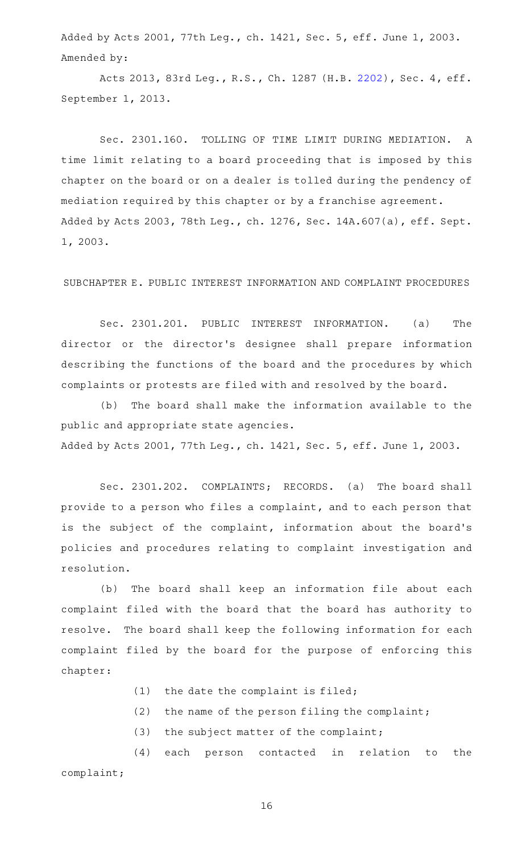Added by Acts 2001, 77th Leg., ch. 1421, Sec. 5, eff. June 1, 2003. Amended by:

Acts 2013, 83rd Leg., R.S., Ch. 1287 (H.B. [2202](http://www.legis.state.tx.us/tlodocs/83R/billtext/html/HB02202F.HTM)), Sec. 4, eff. September 1, 2013.

Sec. 2301.160. TOLLING OF TIME LIMIT DURING MEDIATION. A time limit relating to a board proceeding that is imposed by this chapter on the board or on a dealer is tolled during the pendency of mediation required by this chapter or by a franchise agreement. Added by Acts 2003, 78th Leg., ch. 1276, Sec. 14A.607(a), eff. Sept. 1, 2003.

SUBCHAPTER E. PUBLIC INTEREST INFORMATION AND COMPLAINT PROCEDURES

Sec. 2301.201. PUBLIC INTEREST INFORMATION. (a) The director or the director 's designee shall prepare information describing the functions of the board and the procedures by which complaints or protests are filed with and resolved by the board.

(b) The board shall make the information available to the public and appropriate state agencies. Added by Acts 2001, 77th Leg., ch. 1421, Sec. 5, eff. June 1, 2003.

Sec. 2301.202. COMPLAINTS; RECORDS. (a) The board shall provide to a person who files a complaint, and to each person that is the subject of the complaint, information about the board's policies and procedures relating to complaint investigation and resolution.

(b) The board shall keep an information file about each complaint filed with the board that the board has authority to resolve. The board shall keep the following information for each complaint filed by the board for the purpose of enforcing this chapter:

- $(1)$  the date the complaint is filed;
- (2) the name of the person filing the complaint;
- $(3)$  the subject matter of the complaint;

(4) each person contacted in relation to the complaint;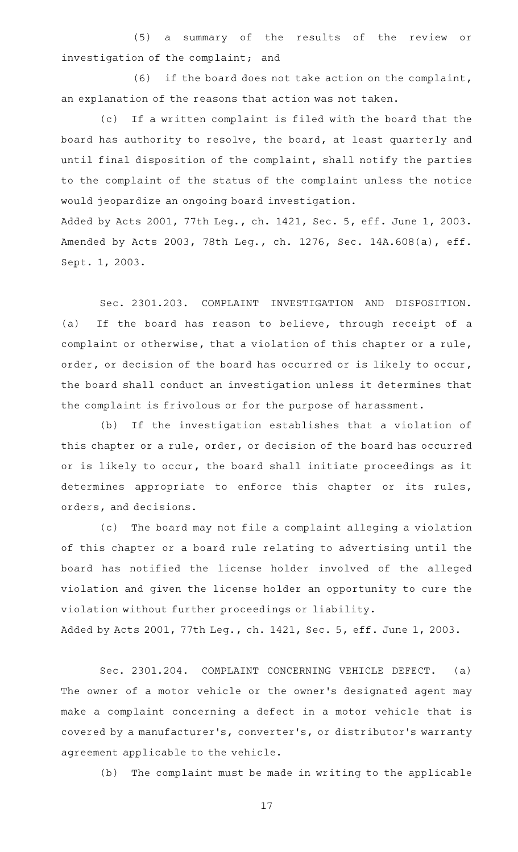(5) a summary of the results of the review or investigation of the complaint; and

 $(6)$  if the board does not take action on the complaint, an explanation of the reasons that action was not taken.

(c) If a written complaint is filed with the board that the board has authority to resolve, the board, at least quarterly and until final disposition of the complaint, shall notify the parties to the complaint of the status of the complaint unless the notice would jeopardize an ongoing board investigation. Added by Acts 2001, 77th Leg., ch. 1421, Sec. 5, eff. June 1, 2003. Amended by Acts 2003, 78th Leg., ch. 1276, Sec. 14A.608(a), eff.

Sept. 1, 2003.

Sec. 2301.203. COMPLAINT INVESTIGATION AND DISPOSITION. (a) If the board has reason to believe, through receipt of a complaint or otherwise, that a violation of this chapter or a rule, order, or decision of the board has occurred or is likely to occur, the board shall conduct an investigation unless it determines that the complaint is frivolous or for the purpose of harassment.

(b) If the investigation establishes that a violation of this chapter or a rule, order, or decision of the board has occurred or is likely to occur, the board shall initiate proceedings as it determines appropriate to enforce this chapter or its rules, orders, and decisions.

(c) The board may not file a complaint alleging a violation of this chapter or a board rule relating to advertising until the board has notified the license holder involved of the alleged violation and given the license holder an opportunity to cure the violation without further proceedings or liability.

Added by Acts 2001, 77th Leg., ch. 1421, Sec. 5, eff. June 1, 2003.

Sec. 2301.204. COMPLAINT CONCERNING VEHICLE DEFECT. (a) The owner of a motor vehicle or the owner's designated agent may make a complaint concerning a defect in a motor vehicle that is covered by a manufacturer 's, converter 's, or distributor 's warranty agreement applicable to the vehicle.

(b) The complaint must be made in writing to the applicable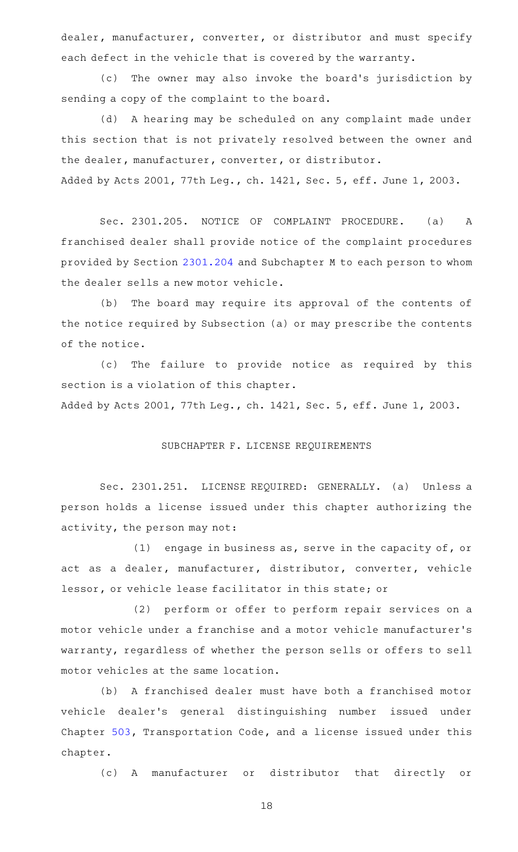dealer, manufacturer, converter, or distributor and must specify each defect in the vehicle that is covered by the warranty.

(c) The owner may also invoke the board's jurisdiction by sending a copy of the complaint to the board.

(d) A hearing may be scheduled on any complaint made under this section that is not privately resolved between the owner and the dealer, manufacturer, converter, or distributor. Added by Acts 2001, 77th Leg., ch. 1421, Sec. 5, eff. June 1, 2003.

Sec. 2301.205. NOTICE OF COMPLAINT PROCEDURE. (a) A franchised dealer shall provide notice of the complaint procedures provided by Section [2301.204](http://www.statutes.legis.state.tx.us/GetStatute.aspx?Code=OC&Value=2301.204) and Subchapter M to each person to whom the dealer sells a new motor vehicle.

(b) The board may require its approval of the contents of the notice required by Subsection (a) or may prescribe the contents of the notice.

(c) The failure to provide notice as required by this section is a violation of this chapter.

Added by Acts 2001, 77th Leg., ch. 1421, Sec. 5, eff. June 1, 2003.

### SUBCHAPTER F. LICENSE REQUIREMENTS

Sec. 2301.251. LICENSE REQUIRED: GENERALLY. (a) Unless a person holds a license issued under this chapter authorizing the activity, the person may not:

(1) engage in business as, serve in the capacity of, or act as a dealer, manufacturer, distributor, converter, vehicle lessor, or vehicle lease facilitator in this state; or

(2) perform or offer to perform repair services on a motor vehicle under a franchise and a motor vehicle manufacturer 's warranty, regardless of whether the person sells or offers to sell motor vehicles at the same location.

(b) A franchised dealer must have both a franchised motor vehicle dealer 's general distinguishing number issued under Chapter [503](http://www.statutes.legis.state.tx.us/GetStatute.aspx?Code=TN&Value=503), Transportation Code, and a license issued under this chapter.

(c)AAA manufacturer or distributor that directly or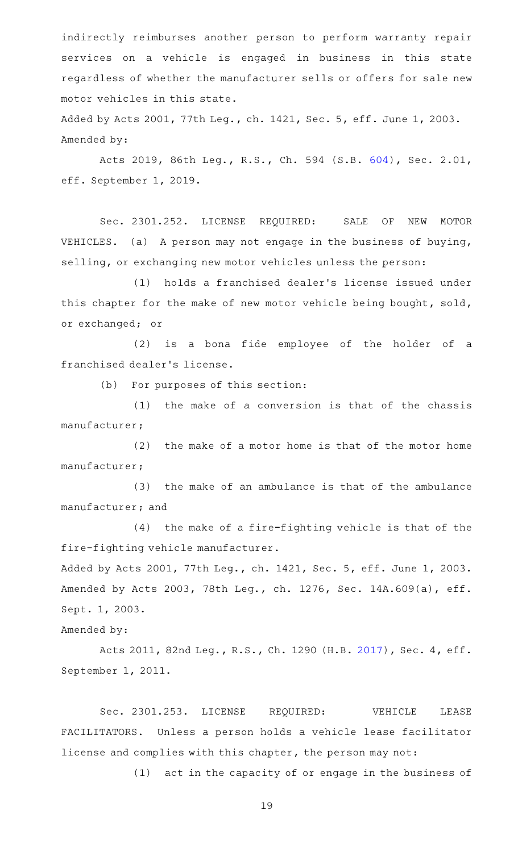indirectly reimburses another person to perform warranty repair services on a vehicle is engaged in business in this state regardless of whether the manufacturer sells or offers for sale new motor vehicles in this state.

Added by Acts 2001, 77th Leg., ch. 1421, Sec. 5, eff. June 1, 2003. Amended by:

Acts 2019, 86th Leg., R.S., Ch. 594 (S.B. [604](http://www.legis.state.tx.us/tlodocs/86R/billtext/html/SB00604F.HTM)), Sec. 2.01, eff. September 1, 2019.

Sec. 2301.252. LICENSE REQUIRED: SALE OF NEW MOTOR VEHICLES. (a) A person may not engage in the business of buying, selling, or exchanging new motor vehicles unless the person:

(1) holds a franchised dealer's license issued under this chapter for the make of new motor vehicle being bought, sold, or exchanged; or

(2) is a bona fide employee of the holder of a franchised dealer 's license.

(b) For purposes of this section:

 $(1)$  the make of a conversion is that of the chassis manufacturer;

 $(2)$  the make of a motor home is that of the motor home manufacturer;

(3) the make of an ambulance is that of the ambulance manufacturer; and

 $(4)$  the make of a fire-fighting vehicle is that of the fire-fighting vehicle manufacturer.

Added by Acts 2001, 77th Leg., ch. 1421, Sec. 5, eff. June 1, 2003. Amended by Acts 2003, 78th Leg., ch. 1276, Sec. 14A.609(a), eff. Sept. 1, 2003.

# Amended by:

Acts 2011, 82nd Leg., R.S., Ch. 1290 (H.B. [2017](http://www.legis.state.tx.us/tlodocs/82R/billtext/html/HB02017F.HTM)), Sec. 4, eff. September 1, 2011.

Sec. 2301.253. LICENSE REQUIRED: VEHICLE LEASE FACILITATORS. Unless a person holds a vehicle lease facilitator license and complies with this chapter, the person may not:

(1) act in the capacity of or engage in the business of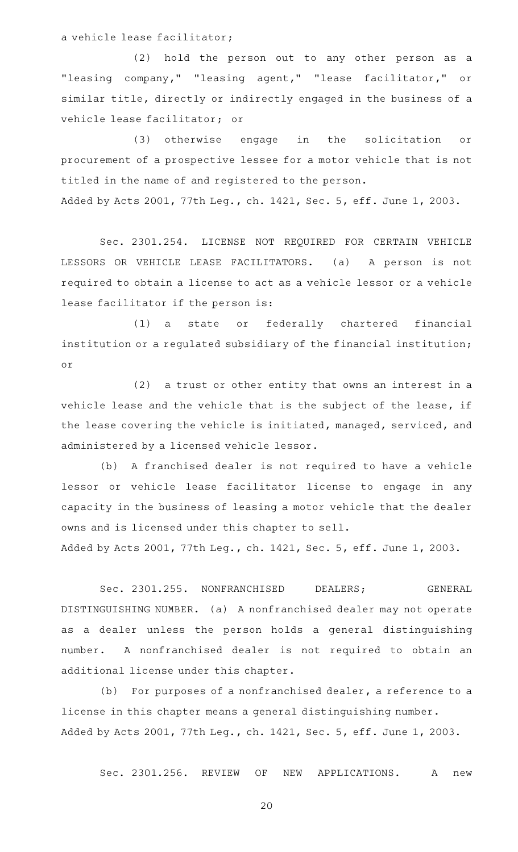a vehicle lease facilitator;

(2) hold the person out to any other person as a "leasing company," "leasing agent," "lease facilitator," or similar title, directly or indirectly engaged in the business of a vehicle lease facilitator; or

(3) otherwise engage in the solicitation or procurement of a prospective lessee for a motor vehicle that is not titled in the name of and registered to the person. Added by Acts 2001, 77th Leg., ch. 1421, Sec. 5, eff. June 1, 2003.

Sec. 2301.254. LICENSE NOT REQUIRED FOR CERTAIN VEHICLE LESSORS OR VEHICLE LEASE FACILITATORS. (a) A person is not required to obtain a license to act as a vehicle lessor or a vehicle lease facilitator if the person is:

(1) a state or federally chartered financial institution or a regulated subsidiary of the financial institution; or

 $(2)$  a trust or other entity that owns an interest in a vehicle lease and the vehicle that is the subject of the lease, if the lease covering the vehicle is initiated, managed, serviced, and administered by a licensed vehicle lessor.

(b) A franchised dealer is not required to have a vehicle lessor or vehicle lease facilitator license to engage in any capacity in the business of leasing a motor vehicle that the dealer owns and is licensed under this chapter to sell.

Added by Acts 2001, 77th Leg., ch. 1421, Sec. 5, eff. June 1, 2003.

Sec. 2301.255. NONFRANCHISED DEALERS; GENERAL DISTINGUISHING NUMBER. (a) A nonfranchised dealer may not operate as a dealer unless the person holds a general distinguishing number. A nonfranchised dealer is not required to obtain an additional license under this chapter.

 $(b)$  For purposes of a nonfranchised dealer, a reference to a license in this chapter means a general distinguishing number. Added by Acts 2001, 77th Leg., ch. 1421, Sec. 5, eff. June 1, 2003.

Sec. 2301.256. REVIEW OF NEW APPLICATIONS. A new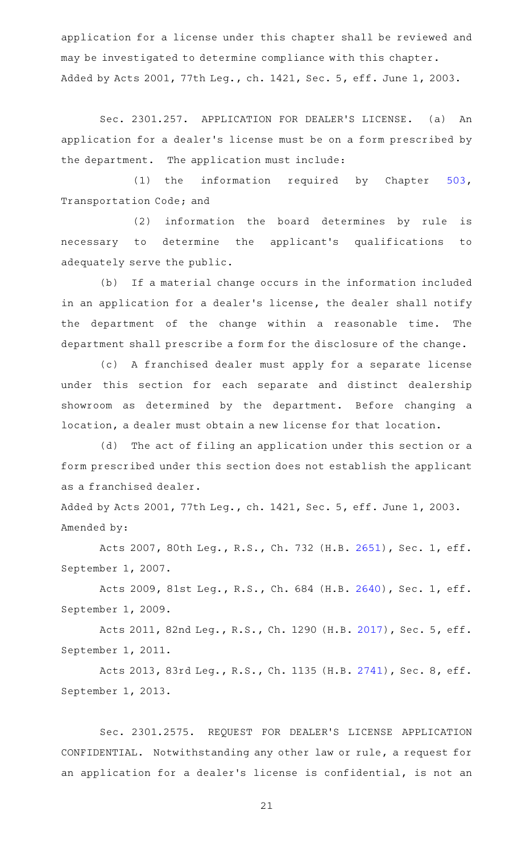application for a license under this chapter shall be reviewed and may be investigated to determine compliance with this chapter. Added by Acts 2001, 77th Leg., ch. 1421, Sec. 5, eff. June 1, 2003.

Sec. 2301.257. APPLICATION FOR DEALER'S LICENSE. (a) An application for a dealer 's license must be on a form prescribed by the department. The application must include:

(1) the information required by Chapter  $503$ , Transportation Code; and

(2) information the board determines by rule is necessary to determine the applicant's qualifications to adequately serve the public.

(b) If a material change occurs in the information included in an application for a dealer's license, the dealer shall notify the department of the change within a reasonable time. The department shall prescribe a form for the disclosure of the change.

(c) A franchised dealer must apply for a separate license under this section for each separate and distinct dealership showroom as determined by the department. Before changing a location, a dealer must obtain a new license for that location.

(d) The act of filing an application under this section or a form prescribed under this section does not establish the applicant as a franchised dealer.

Added by Acts 2001, 77th Leg., ch. 1421, Sec. 5, eff. June 1, 2003. Amended by:

Acts 2007, 80th Leg., R.S., Ch. 732 (H.B. [2651](http://www.legis.state.tx.us/tlodocs/80R/billtext/html/HB02651F.HTM)), Sec. 1, eff. September 1, 2007.

Acts 2009, 81st Leg., R.S., Ch. 684 (H.B. [2640](http://www.legis.state.tx.us/tlodocs/81R/billtext/html/HB02640F.HTM)), Sec. 1, eff. September 1, 2009.

Acts 2011, 82nd Leg., R.S., Ch. 1290 (H.B. [2017](http://www.legis.state.tx.us/tlodocs/82R/billtext/html/HB02017F.HTM)), Sec. 5, eff. September 1, 2011.

Acts 2013, 83rd Leg., R.S., Ch. 1135 (H.B. [2741](http://www.legis.state.tx.us/tlodocs/83R/billtext/html/HB02741F.HTM)), Sec. 8, eff. September 1, 2013.

Sec. 2301.2575. REQUEST FOR DEALER'S LICENSE APPLICATION CONFIDENTIAL. Notwithstanding any other law or rule, a request for an application for a dealer 's license is confidential, is not an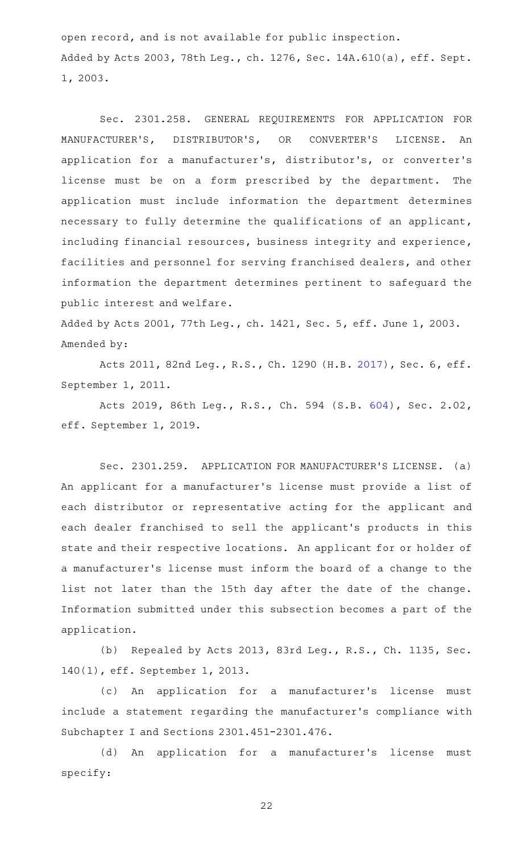open record, and is not available for public inspection. Added by Acts 2003, 78th Leg., ch. 1276, Sec. 14A.610(a), eff. Sept. 1, 2003.

Sec. 2301.258. GENERAL REQUIREMENTS FOR APPLICATION FOR MANUFACTURER'S, DISTRIBUTOR'S, OR CONVERTER'S LICENSE. An application for a manufacturer 's, distributor 's, or converter 's license must be on a form prescribed by the department. The application must include information the department determines necessary to fully determine the qualifications of an applicant, including financial resources, business integrity and experience, facilities and personnel for serving franchised dealers, and other information the department determines pertinent to safeguard the public interest and welfare.

Added by Acts 2001, 77th Leg., ch. 1421, Sec. 5, eff. June 1, 2003. Amended by:

Acts 2011, 82nd Leg., R.S., Ch. 1290 (H.B. [2017](http://www.legis.state.tx.us/tlodocs/82R/billtext/html/HB02017F.HTM)), Sec. 6, eff. September 1, 2011.

Acts 2019, 86th Leg., R.S., Ch. 594 (S.B. [604](http://www.legis.state.tx.us/tlodocs/86R/billtext/html/SB00604F.HTM)), Sec. 2.02, eff. September 1, 2019.

Sec. 2301.259. APPLICATION FOR MANUFACTURER'S LICENSE. (a) An applicant for a manufacturer 's license must provide a list of each distributor or representative acting for the applicant and each dealer franchised to sell the applicant 's products in this state and their respective locations. An applicant for or holder of a manufacturer 's license must inform the board of a change to the list not later than the 15th day after the date of the change. Information submitted under this subsection becomes a part of the application.

(b) Repealed by Acts 2013, 83rd Leg., R.S., Ch. 1135, Sec. 140(1), eff. September 1, 2013.

(c) An application for a manufacturer's license must include a statement regarding the manufacturer 's compliance with Subchapter I and Sections 2301.451-2301.476.

(d) An application for a manufacturer's license must specify: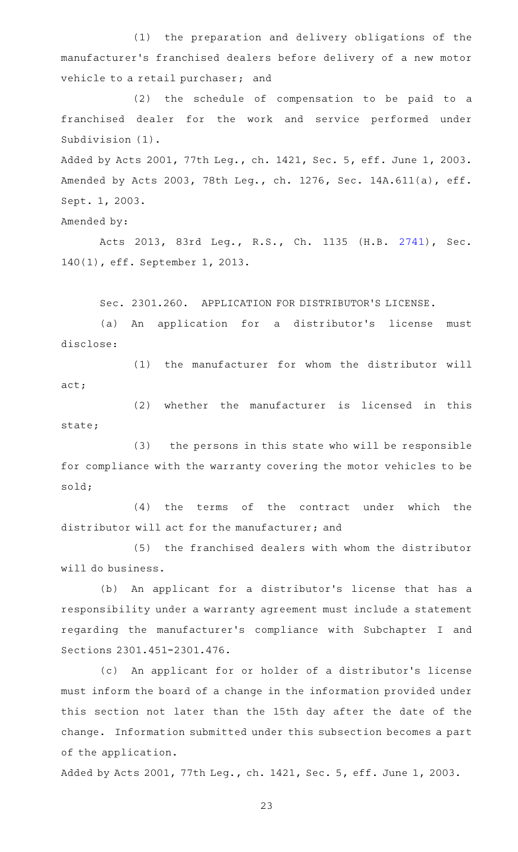(1) the preparation and delivery obligations of the manufacturer 's franchised dealers before delivery of a new motor vehicle to a retail purchaser; and

(2) the schedule of compensation to be paid to a franchised dealer for the work and service performed under Subdivision (1).

Added by Acts 2001, 77th Leg., ch. 1421, Sec. 5, eff. June 1, 2003. Amended by Acts 2003, 78th Leg., ch. 1276, Sec. 14A.611(a), eff. Sept. 1, 2003.

Amended by:

Acts 2013, 83rd Leg., R.S., Ch. 1135 (H.B. [2741\)](http://www.legis.state.tx.us/tlodocs/83R/billtext/html/HB02741F.HTM), Sec. 140(1), eff. September 1, 2013.

Sec. 2301.260. APPLICATION FOR DISTRIBUTOR'S LICENSE.

(a) An application for a distributor's license must disclose:

(1) the manufacturer for whom the distributor will act;

(2) whether the manufacturer is licensed in this state;

(3) the persons in this state who will be responsible for compliance with the warranty covering the motor vehicles to be sold;

 $(4)$  the terms of the contract under which the distributor will act for the manufacturer; and

(5) the franchised dealers with whom the distributor will do business.

(b) An applicant for a distributor's license that has a responsibility under a warranty agreement must include a statement regarding the manufacturer 's compliance with Subchapter I and Sections 2301.451-2301.476.

(c) An applicant for or holder of a distributor's license must inform the board of a change in the information provided under this section not later than the 15th day after the date of the change. Information submitted under this subsection becomes a part of the application.

Added by Acts 2001, 77th Leg., ch. 1421, Sec. 5, eff. June 1, 2003.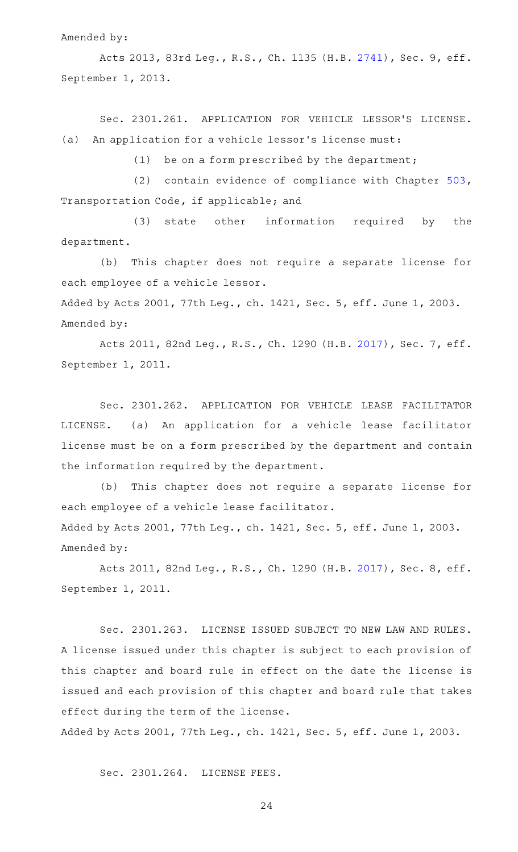#### Amended by:

Acts 2013, 83rd Leg., R.S., Ch. 1135 (H.B. [2741](http://www.legis.state.tx.us/tlodocs/83R/billtext/html/HB02741F.HTM)), Sec. 9, eff. September 1, 2013.

Sec. 2301.261. APPLICATION FOR VEHICLE LESSOR'S LICENSE. (a) An application for a vehicle lessor's license must:

(1) be on a form prescribed by the department;

(2) contain evidence of compliance with Chapter  $503$ , Transportation Code, if applicable; and

(3) state other information required by the department.

(b) This chapter does not require a separate license for each employee of a vehicle lessor.

Added by Acts 2001, 77th Leg., ch. 1421, Sec. 5, eff. June 1, 2003. Amended by:

Acts 2011, 82nd Leg., R.S., Ch. 1290 (H.B. [2017](http://www.legis.state.tx.us/tlodocs/82R/billtext/html/HB02017F.HTM)), Sec. 7, eff. September 1, 2011.

Sec. 2301.262. APPLICATION FOR VEHICLE LEASE FACILITATOR LICENSE. (a) An application for a vehicle lease facilitator license must be on a form prescribed by the department and contain the information required by the department.

(b) This chapter does not require a separate license for each employee of a vehicle lease facilitator. Added by Acts 2001, 77th Leg., ch. 1421, Sec. 5, eff. June 1, 2003. Amended by:

Acts 2011, 82nd Leg., R.S., Ch. 1290 (H.B. [2017](http://www.legis.state.tx.us/tlodocs/82R/billtext/html/HB02017F.HTM)), Sec. 8, eff. September 1, 2011.

Sec. 2301.263. LICENSE ISSUED SUBJECT TO NEW LAW AND RULES. A license issued under this chapter is subject to each provision of this chapter and board rule in effect on the date the license is issued and each provision of this chapter and board rule that takes effect during the term of the license.

Added by Acts 2001, 77th Leg., ch. 1421, Sec. 5, eff. June 1, 2003.

Sec. 2301.264. LICENSE FEES.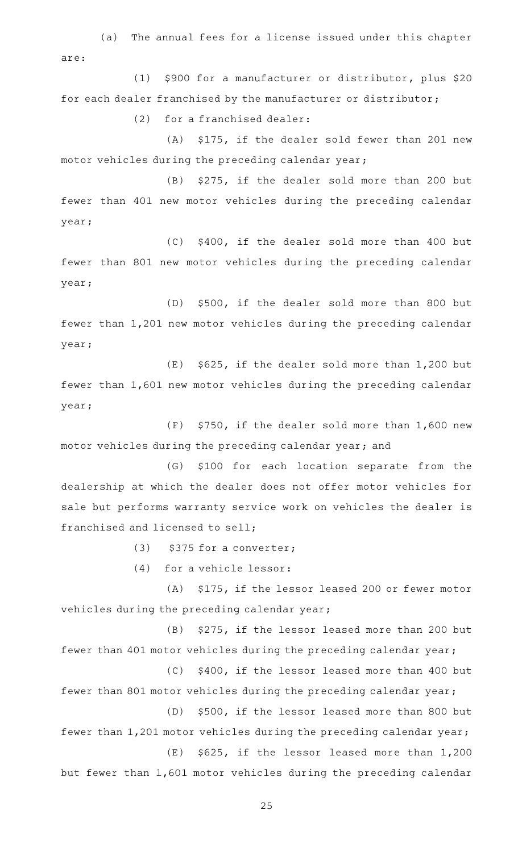(a) The annual fees for a license issued under this chapter are:

(1) \$900 for a manufacturer or distributor, plus \$20 for each dealer franchised by the manufacturer or distributor;

 $(2)$  for a franchised dealer:

(A) \$175, if the dealer sold fewer than 201 new motor vehicles during the preceding calendar year;

(B) \$275, if the dealer sold more than 200 but fewer than 401 new motor vehicles during the preceding calendar year;

(C) \$400, if the dealer sold more than 400 but fewer than 801 new motor vehicles during the preceding calendar year;

(D) \$500, if the dealer sold more than 800 but fewer than 1,201 new motor vehicles during the preceding calendar year;

 $(E)$  \$625, if the dealer sold more than 1,200 but fewer than 1,601 new motor vehicles during the preceding calendar year;

 $(F)$  \$750, if the dealer sold more than 1,600 new motor vehicles during the preceding calendar year; and

(G) \$100 for each location separate from the dealership at which the dealer does not offer motor vehicles for sale but performs warranty service work on vehicles the dealer is franchised and licensed to sell;

 $(3)$  \$375 for a converter;

 $(4)$  for a vehicle lessor:

(A) \$175, if the lessor leased 200 or fewer motor vehicles during the preceding calendar year;

(B) \$275, if the lessor leased more than 200 but fewer than 401 motor vehicles during the preceding calendar year;

(C) \$400, if the lessor leased more than 400 but fewer than 801 motor vehicles during the preceding calendar year;

(D) \$500, if the lessor leased more than 800 but fewer than 1,201 motor vehicles during the preceding calendar year;

but fewer than 1,601 motor vehicles during the preceding calendar

 $(E)$  \$625, if the lessor leased more than 1,200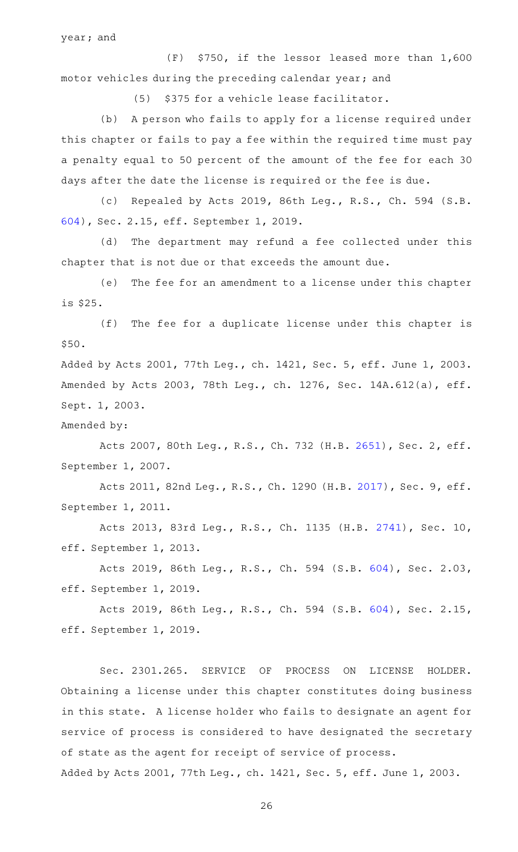year; and

 $(F)$  \$750, if the lessor leased more than  $1,600$ motor vehicles during the preceding calendar year; and

(5) \$375 for a vehicle lease facilitator.

(b) A person who fails to apply for a license required under this chapter or fails to pay a fee within the required time must pay a penalty equal to 50 percent of the amount of the fee for each 30 days after the date the license is required or the fee is due.

(c) Repealed by Acts 2019, 86th Leg., R.S., Ch. 594 (S.B. [604\)](http://www.legis.state.tx.us/tlodocs/86R/billtext/html/SB00604F.HTM), Sec. 2.15, eff. September 1, 2019.

(d) The department may refund a fee collected under this chapter that is not due or that exceeds the amount due.

(e) The fee for an amendment to a license under this chapter is \$25.

(f) The fee for a duplicate license under this chapter is \$50.

Added by Acts 2001, 77th Leg., ch. 1421, Sec. 5, eff. June 1, 2003. Amended by Acts 2003, 78th Leg., ch. 1276, Sec. 14A.612(a), eff. Sept. 1, 2003.

Amended by:

Acts 2007, 80th Leg., R.S., Ch. 732 (H.B. [2651](http://www.legis.state.tx.us/tlodocs/80R/billtext/html/HB02651F.HTM)), Sec. 2, eff. September 1, 2007.

Acts 2011, 82nd Leg., R.S., Ch. 1290 (H.B. [2017](http://www.legis.state.tx.us/tlodocs/82R/billtext/html/HB02017F.HTM)), Sec. 9, eff. September 1, 2011.

Acts 2013, 83rd Leg., R.S., Ch. 1135 (H.B. [2741](http://www.legis.state.tx.us/tlodocs/83R/billtext/html/HB02741F.HTM)), Sec. 10, eff. September 1, 2013.

Acts 2019, 86th Leg., R.S., Ch. 594 (S.B. [604](http://www.legis.state.tx.us/tlodocs/86R/billtext/html/SB00604F.HTM)), Sec. 2.03, eff. September 1, 2019.

Acts 2019, 86th Leg., R.S., Ch. 594 (S.B. [604](http://www.legis.state.tx.us/tlodocs/86R/billtext/html/SB00604F.HTM)), Sec. 2.15, eff. September 1, 2019.

Sec. 2301.265. SERVICE OF PROCESS ON LICENSE HOLDER. Obtaining a license under this chapter constitutes doing business in this state. A license holder who fails to designate an agent for service of process is considered to have designated the secretary of state as the agent for receipt of service of process.

Added by Acts 2001, 77th Leg., ch. 1421, Sec. 5, eff. June 1, 2003.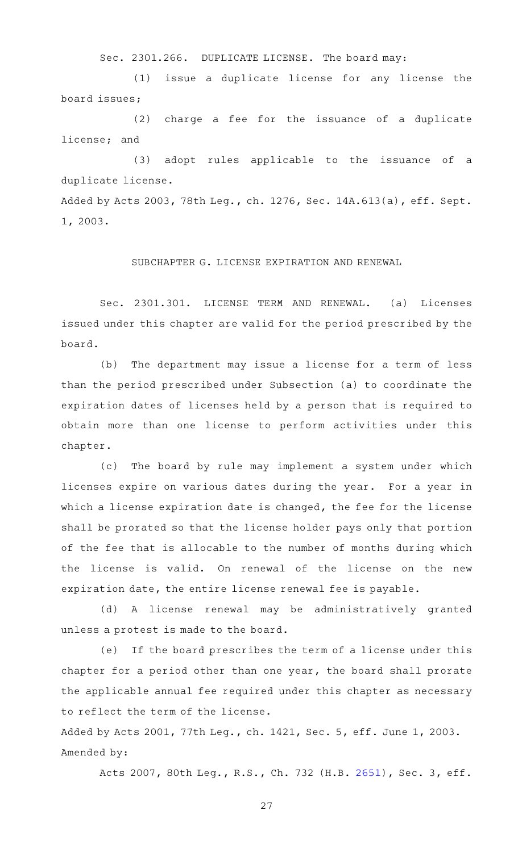Sec. 2301.266. DUPLICATE LICENSE. The board may:

(1) issue a duplicate license for any license the board issues;

(2) charge a fee for the issuance of a duplicate license; and

(3) adopt rules applicable to the issuance of a duplicate license.

Added by Acts 2003, 78th Leg., ch. 1276, Sec. 14A.613(a), eff. Sept. 1, 2003.

# SUBCHAPTER G. LICENSE EXPIRATION AND RENEWAL

Sec. 2301.301. LICENSE TERM AND RENEWAL. (a) Licenses issued under this chapter are valid for the period prescribed by the board.

(b) The department may issue a license for a term of less than the period prescribed under Subsection (a) to coordinate the expiration dates of licenses held by a person that is required to obtain more than one license to perform activities under this chapter.

(c) The board by rule may implement a system under which licenses expire on various dates during the year. For a year in which a license expiration date is changed, the fee for the license shall be prorated so that the license holder pays only that portion of the fee that is allocable to the number of months during which the license is valid. On renewal of the license on the new expiration date, the entire license renewal fee is payable.

(d)AAA license renewal may be administratively granted unless a protest is made to the board.

(e) If the board prescribes the term of a license under this chapter for a period other than one year, the board shall prorate the applicable annual fee required under this chapter as necessary to reflect the term of the license.

Added by Acts 2001, 77th Leg., ch. 1421, Sec. 5, eff. June 1, 2003. Amended by:

Acts 2007, 80th Leg., R.S., Ch. 732 (H.B. [2651](http://www.legis.state.tx.us/tlodocs/80R/billtext/html/HB02651F.HTM)), Sec. 3, eff.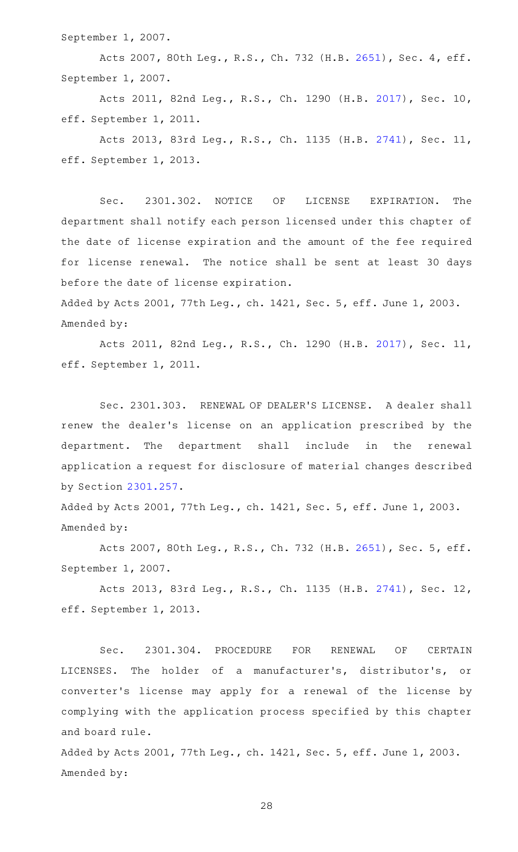September 1, 2007.

Acts 2007, 80th Leg., R.S., Ch. 732 (H.B. [2651](http://www.legis.state.tx.us/tlodocs/80R/billtext/html/HB02651F.HTM)), Sec. 4, eff. September 1, 2007.

Acts 2011, 82nd Leg., R.S., Ch. 1290 (H.B. [2017](http://www.legis.state.tx.us/tlodocs/82R/billtext/html/HB02017F.HTM)), Sec. 10, eff. September 1, 2011.

Acts 2013, 83rd Leg., R.S., Ch. 1135 (H.B. [2741](http://www.legis.state.tx.us/tlodocs/83R/billtext/html/HB02741F.HTM)), Sec. 11, eff. September 1, 2013.

Sec. 2301.302. NOTICE OF LICENSE EXPIRATION. The department shall notify each person licensed under this chapter of the date of license expiration and the amount of the fee required for license renewal. The notice shall be sent at least 30 days before the date of license expiration.

Added by Acts 2001, 77th Leg., ch. 1421, Sec. 5, eff. June 1, 2003. Amended by:

Acts 2011, 82nd Leg., R.S., Ch. 1290 (H.B. [2017](http://www.legis.state.tx.us/tlodocs/82R/billtext/html/HB02017F.HTM)), Sec. 11, eff. September 1, 2011.

Sec. 2301.303. RENEWAL OF DEALER'S LICENSE. A dealer shall renew the dealer's license on an application prescribed by the department. The department shall include in the renewal application a request for disclosure of material changes described by Section [2301.257](http://www.statutes.legis.state.tx.us/GetStatute.aspx?Code=OC&Value=2301.257).

Added by Acts 2001, 77th Leg., ch. 1421, Sec. 5, eff. June 1, 2003. Amended by:

Acts 2007, 80th Leg., R.S., Ch. 732 (H.B. [2651](http://www.legis.state.tx.us/tlodocs/80R/billtext/html/HB02651F.HTM)), Sec. 5, eff. September 1, 2007.

Acts 2013, 83rd Leg., R.S., Ch. 1135 (H.B. [2741](http://www.legis.state.tx.us/tlodocs/83R/billtext/html/HB02741F.HTM)), Sec. 12, eff. September 1, 2013.

Sec. 2301.304. PROCEDURE FOR RENEWAL OF CERTAIN LICENSES. The holder of a manufacturer's, distributor's, or converter's license may apply for a renewal of the license by complying with the application process specified by this chapter and board rule.

Added by Acts 2001, 77th Leg., ch. 1421, Sec. 5, eff. June 1, 2003. Amended by: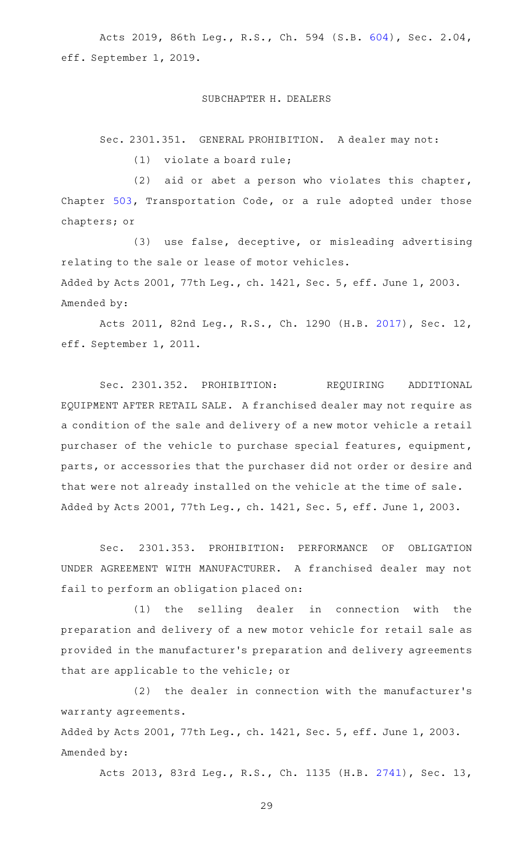Acts 2019, 86th Leg., R.S., Ch. 594 (S.B. [604](http://www.legis.state.tx.us/tlodocs/86R/billtext/html/SB00604F.HTM)), Sec. 2.04, eff. September 1, 2019.

#### SUBCHAPTER H. DEALERS

Sec. 2301.351. GENERAL PROHIBITION. A dealer may not:

 $(1)$  violate a board rule;

 $(2)$  aid or abet a person who violates this chapter, Chapter [503](http://www.statutes.legis.state.tx.us/GetStatute.aspx?Code=TN&Value=503), Transportation Code, or a rule adopted under those chapters; or

(3) use false, deceptive, or misleading advertising relating to the sale or lease of motor vehicles. Added by Acts 2001, 77th Leg., ch. 1421, Sec. 5, eff. June 1, 2003. Amended by:

Acts 2011, 82nd Leg., R.S., Ch. 1290 (H.B. [2017](http://www.legis.state.tx.us/tlodocs/82R/billtext/html/HB02017F.HTM)), Sec. 12, eff. September 1, 2011.

Sec. 2301.352. PROHIBITION: REQUIRING ADDITIONAL EQUIPMENT AFTER RETAIL SALE. A franchised dealer may not require as a condition of the sale and delivery of a new motor vehicle a retail purchaser of the vehicle to purchase special features, equipment, parts, or accessories that the purchaser did not order or desire and that were not already installed on the vehicle at the time of sale. Added by Acts 2001, 77th Leg., ch. 1421, Sec. 5, eff. June 1, 2003.

Sec. 2301.353. PROHIBITION: PERFORMANCE OF OBLIGATION UNDER AGREEMENT WITH MANUFACTURER. A franchised dealer may not fail to perform an obligation placed on:

 $(1)$  the selling dealer in connection with the preparation and delivery of a new motor vehicle for retail sale as provided in the manufacturer 's preparation and delivery agreements that are applicable to the vehicle; or

(2) the dealer in connection with the manufacturer's warranty agreements.

Added by Acts 2001, 77th Leg., ch. 1421, Sec. 5, eff. June 1, 2003. Amended by:

Acts 2013, 83rd Leg., R.S., Ch. 1135 (H.B. [2741](http://www.legis.state.tx.us/tlodocs/83R/billtext/html/HB02741F.HTM)), Sec. 13,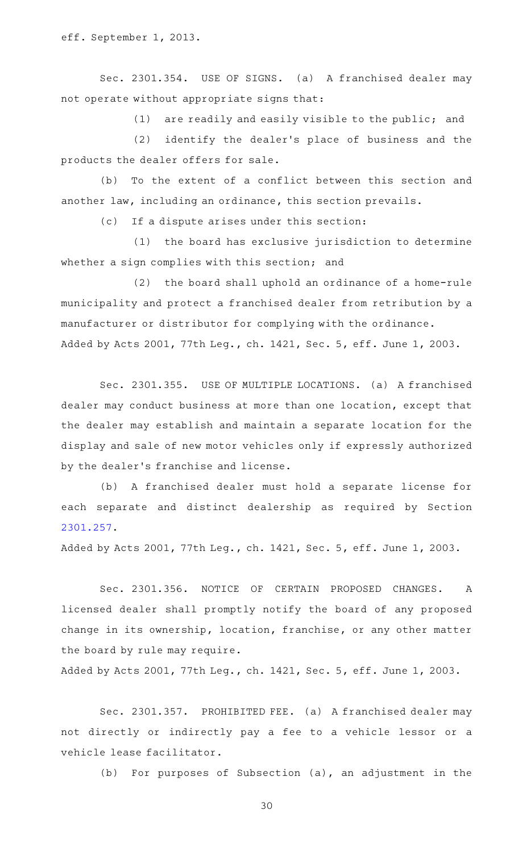eff. September 1, 2013.

Sec. 2301.354. USE OF SIGNS. (a) A franchised dealer may not operate without appropriate signs that:

 $(1)$  are readily and easily visible to the public; and

(2) identify the dealer's place of business and the products the dealer offers for sale.

(b) To the extent of a conflict between this section and another law, including an ordinance, this section prevails.

(c) If a dispute arises under this section:

 $(1)$  the board has exclusive jurisdiction to determine whether a sign complies with this section; and

 $(2)$  the board shall uphold an ordinance of a home-rule municipality and protect a franchised dealer from retribution by a manufacturer or distributor for complying with the ordinance. Added by Acts 2001, 77th Leg., ch. 1421, Sec. 5, eff. June 1, 2003.

Sec. 2301.355. USE OF MULTIPLE LOCATIONS. (a) A franchised dealer may conduct business at more than one location, except that the dealer may establish and maintain a separate location for the display and sale of new motor vehicles only if expressly authorized by the dealer 's franchise and license.

(b) A franchised dealer must hold a separate license for each separate and distinct dealership as required by Section [2301.257](http://www.statutes.legis.state.tx.us/GetStatute.aspx?Code=OC&Value=2301.257).

Added by Acts 2001, 77th Leg., ch. 1421, Sec. 5, eff. June 1, 2003.

Sec. 2301.356. NOTICE OF CERTAIN PROPOSED CHANGES. A licensed dealer shall promptly notify the board of any proposed change in its ownership, location, franchise, or any other matter the board by rule may require.

Added by Acts 2001, 77th Leg., ch. 1421, Sec. 5, eff. June 1, 2003.

Sec. 2301.357. PROHIBITED FEE. (a) A franchised dealer may not directly or indirectly pay a fee to a vehicle lessor or a vehicle lease facilitator.

(b) For purposes of Subsection  $(a)$ , an adjustment in the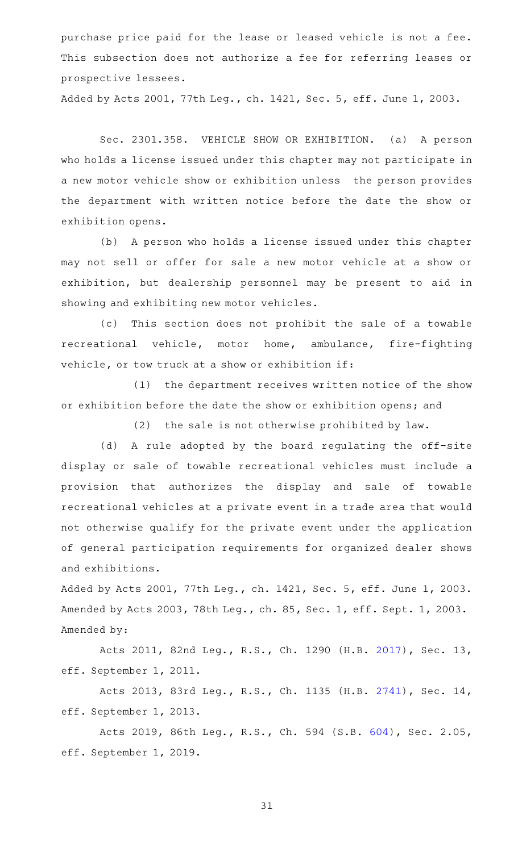purchase price paid for the lease or leased vehicle is not a fee. This subsection does not authorize a fee for referring leases or prospective lessees.

Added by Acts 2001, 77th Leg., ch. 1421, Sec. 5, eff. June 1, 2003.

Sec. 2301.358. VEHICLE SHOW OR EXHIBITION. (a) A person who holds a license issued under this chapter may not participate in a new motor vehicle show or exhibition unless the person provides the department with written notice before the date the show or exhibition opens.

(b) A person who holds a license issued under this chapter may not sell or offer for sale a new motor vehicle at a show or exhibition, but dealership personnel may be present to aid in showing and exhibiting new motor vehicles.

(c) This section does not prohibit the sale of a towable recreational vehicle, motor home, ambulance, fire-fighting vehicle, or tow truck at a show or exhibition if:

(1) the department receives written notice of the show or exhibition before the date the show or exhibition opens; and

 $(2)$  the sale is not otherwise prohibited by law.

(d) A rule adopted by the board regulating the off-site display or sale of towable recreational vehicles must include a provision that authorizes the display and sale of towable recreational vehicles at a private event in a trade area that would not otherwise qualify for the private event under the application of general participation requirements for organized dealer shows and exhibitions.

Added by Acts 2001, 77th Leg., ch. 1421, Sec. 5, eff. June 1, 2003. Amended by Acts 2003, 78th Leg., ch. 85, Sec. 1, eff. Sept. 1, 2003. Amended by:

Acts 2011, 82nd Leg., R.S., Ch. 1290 (H.B. [2017](http://www.legis.state.tx.us/tlodocs/82R/billtext/html/HB02017F.HTM)), Sec. 13, eff. September 1, 2011.

Acts 2013, 83rd Leg., R.S., Ch. 1135 (H.B. [2741](http://www.legis.state.tx.us/tlodocs/83R/billtext/html/HB02741F.HTM)), Sec. 14, eff. September 1, 2013.

Acts 2019, 86th Leg., R.S., Ch. 594 (S.B. [604](http://www.legis.state.tx.us/tlodocs/86R/billtext/html/SB00604F.HTM)), Sec. 2.05, eff. September 1, 2019.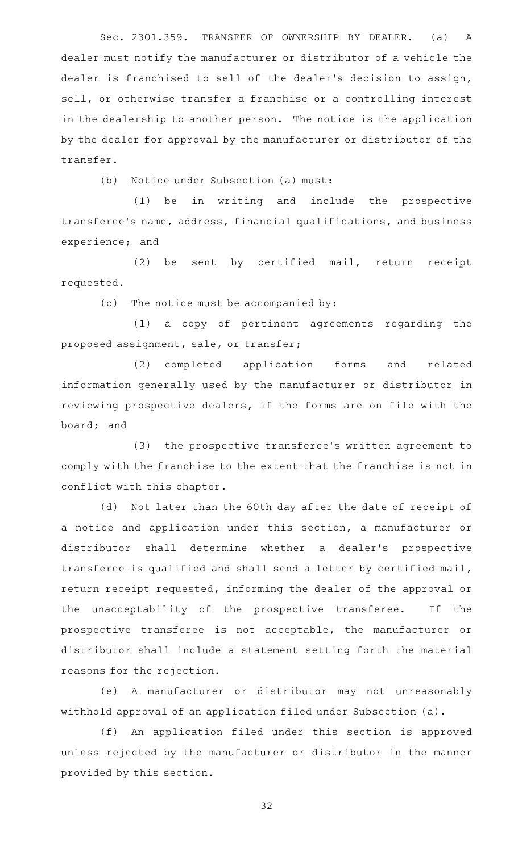Sec. 2301.359. TRANSFER OF OWNERSHIP BY DEALER. (a) A dealer must notify the manufacturer or distributor of a vehicle the dealer is franchised to sell of the dealer 's decision to assign, sell, or otherwise transfer a franchise or a controlling interest in the dealership to another person. The notice is the application by the dealer for approval by the manufacturer or distributor of the transfer.

(b) Notice under Subsection (a) must:

(1) be in writing and include the prospective transferee 's name, address, financial qualifications, and business experience; and

(2) be sent by certified mail, return receipt requested.

 $(c)$  The notice must be accompanied by:

(1) a copy of pertinent agreements regarding the proposed assignment, sale, or transfer;

(2) completed application forms and related information generally used by the manufacturer or distributor in reviewing prospective dealers, if the forms are on file with the board; and

(3) the prospective transferee's written agreement to comply with the franchise to the extent that the franchise is not in conflict with this chapter.

(d) Not later than the 60th day after the date of receipt of a notice and application under this section, a manufacturer or distributor shall determine whether a dealer 's prospective transferee is qualified and shall send a letter by certified mail, return receipt requested, informing the dealer of the approval or the unacceptability of the prospective transferee. If the prospective transferee is not acceptable, the manufacturer or distributor shall include a statement setting forth the material reasons for the rejection.

(e) A manufacturer or distributor may not unreasonably withhold approval of an application filed under Subsection (a).

(f) An application filed under this section is approved unless rejected by the manufacturer or distributor in the manner provided by this section.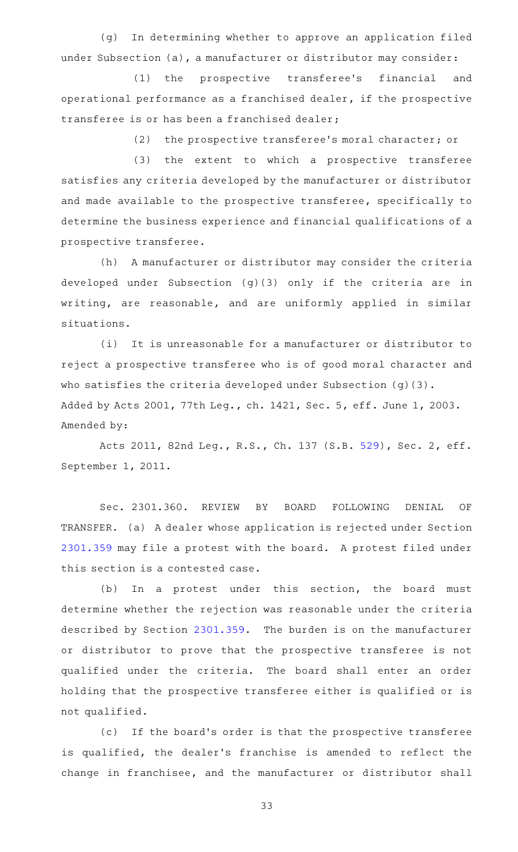(g) In determining whether to approve an application filed under Subsection (a), a manufacturer or distributor may consider:

(1) the prospective transferee's financial and operational performance as a franchised dealer, if the prospective transferee is or has been a franchised dealer;

(2) the prospective transferee's moral character; or

(3) the extent to which a prospective transferee satisfies any criteria developed by the manufacturer or distributor and made available to the prospective transferee, specifically to determine the business experience and financial qualifications of a prospective transferee.

(h) A manufacturer or distributor may consider the criteria developed under Subsection (g)(3) only if the criteria are in writing, are reasonable, and are uniformly applied in similar situations.

(i) It is unreasonable for a manufacturer or distributor to reject a prospective transferee who is of good moral character and who satisfies the criteria developed under Subsection (q)(3). Added by Acts 2001, 77th Leg., ch. 1421, Sec. 5, eff. June 1, 2003. Amended by:

Acts 2011, 82nd Leg., R.S., Ch. 137 (S.B. [529](http://www.legis.state.tx.us/tlodocs/82R/billtext/html/SB00529F.HTM)), Sec. 2, eff. September 1, 2011.

Sec. 2301.360. REVIEW BY BOARD FOLLOWING DENIAL OF TRANSFER. (a) A dealer whose application is rejected under Section [2301.359](http://www.statutes.legis.state.tx.us/GetStatute.aspx?Code=OC&Value=2301.359) may file a protest with the board. A protest filed under this section is a contested case.

(b) In a protest under this section, the board must determine whether the rejection was reasonable under the criteria described by Section [2301.359](http://www.statutes.legis.state.tx.us/GetStatute.aspx?Code=OC&Value=2301.359). The burden is on the manufacturer or distributor to prove that the prospective transferee is not qualified under the criteria. The board shall enter an order holding that the prospective transferee either is qualified or is not qualified.

(c) If the board's order is that the prospective transferee is qualified, the dealer 's franchise is amended to reflect the change in franchisee, and the manufacturer or distributor shall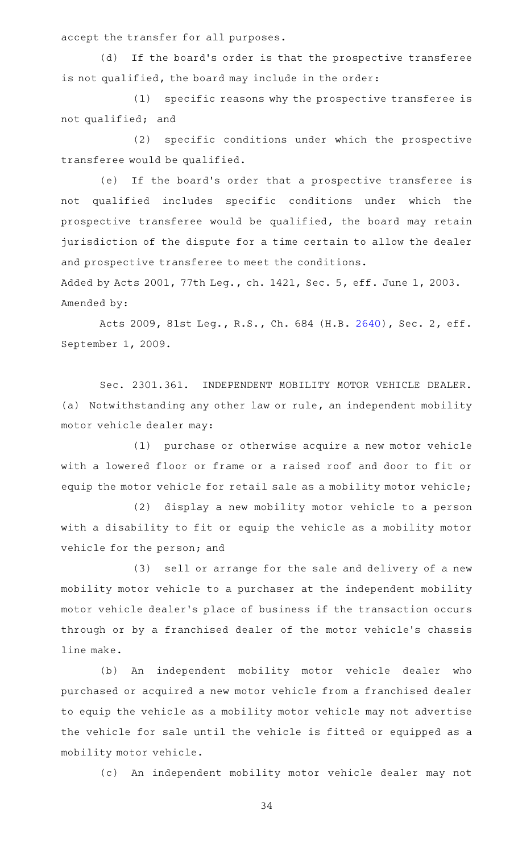accept the transfer for all purposes.

(d) If the board's order is that the prospective transferee is not qualified, the board may include in the order:

(1) specific reasons why the prospective transferee is not qualified; and

(2) specific conditions under which the prospective transferee would be qualified.

(e) If the board's order that a prospective transferee is not qualified includes specific conditions under which the prospective transferee would be qualified, the board may retain jurisdiction of the dispute for a time certain to allow the dealer and prospective transferee to meet the conditions.

Added by Acts 2001, 77th Leg., ch. 1421, Sec. 5, eff. June 1, 2003. Amended by:

Acts 2009, 81st Leg., R.S., Ch. 684 (H.B. [2640](http://www.legis.state.tx.us/tlodocs/81R/billtext/html/HB02640F.HTM)), Sec. 2, eff. September 1, 2009.

Sec. 2301.361. INDEPENDENT MOBILITY MOTOR VEHICLE DEALER. (a) Notwithstanding any other law or rule, an independent mobility motor vehicle dealer may:

(1) purchase or otherwise acquire a new motor vehicle with a lowered floor or frame or a raised roof and door to fit or equip the motor vehicle for retail sale as a mobility motor vehicle;

(2) display a new mobility motor vehicle to a person with a disability to fit or equip the vehicle as a mobility motor vehicle for the person; and

(3) sell or arrange for the sale and delivery of a new mobility motor vehicle to a purchaser at the independent mobility motor vehicle dealer 's place of business if the transaction occurs through or by a franchised dealer of the motor vehicle 's chassis line make.

(b) An independent mobility motor vehicle dealer who purchased or acquired a new motor vehicle from a franchised dealer to equip the vehicle as a mobility motor vehicle may not advertise the vehicle for sale until the vehicle is fitted or equipped as a mobility motor vehicle.

(c) An independent mobility motor vehicle dealer may not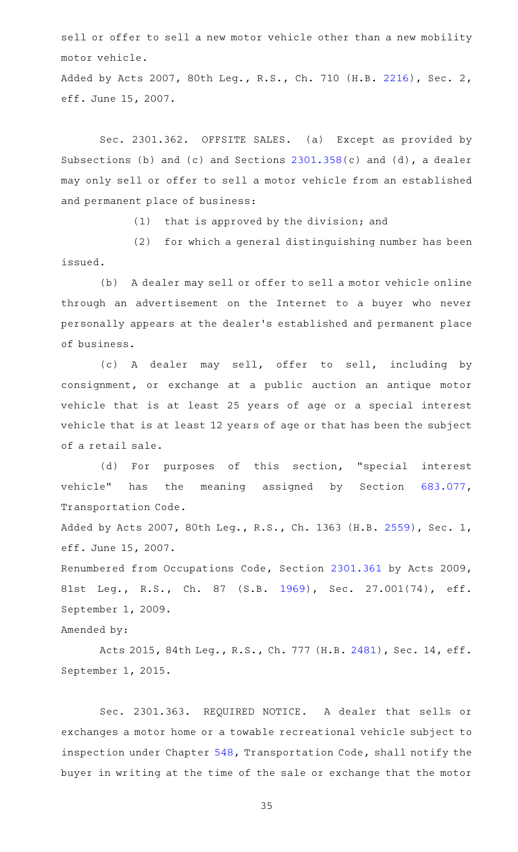sell or offer to sell a new motor vehicle other than a new mobility motor vehicle.

Added by Acts 2007, 80th Leg., R.S., Ch. 710 (H.B. [2216](http://www.legis.state.tx.us/tlodocs/80R/billtext/html/HB02216F.HTM)), Sec. 2, eff. June 15, 2007.

Sec. 2301.362. OFFSITE SALES. (a) Except as provided by Subsections (b) and (c) and Sections [2301.358](http://www.statutes.legis.state.tx.us/GetStatute.aspx?Code=OC&Value=2301.358)(c) and (d), a dealer may only sell or offer to sell a motor vehicle from an established and permanent place of business:

 $(1)$  that is approved by the division; and

(2) for which a general distinguishing number has been issued.

(b) A dealer may sell or offer to sell a motor vehicle online through an advertisement on the Internet to a buyer who never personally appears at the dealer 's established and permanent place of business.

(c)AAA dealer may sell, offer to sell, including by consignment, or exchange at a public auction an antique motor vehicle that is at least 25 years of age or a special interest vehicle that is at least 12 years of age or that has been the subject of a retail sale.

(d) For purposes of this section, "special interest vehicle" has the meaning assigned by Section [683.077](http://www.statutes.legis.state.tx.us/GetStatute.aspx?Code=TN&Value=683.077), Transportation Code.

Added by Acts 2007, 80th Leg., R.S., Ch. 1363 (H.B. [2559\)](http://www.legis.state.tx.us/tlodocs/80R/billtext/html/HB02559F.HTM), Sec. 1, eff. June 15, 2007.

Renumbered from Occupations Code, Section [2301.361](http://www.statutes.legis.state.tx.us/GetStatute.aspx?Code=OC&Value=2301.361) by Acts 2009, 81st Leg., R.S., Ch. 87 (S.B. [1969\)](http://www.legis.state.tx.us/tlodocs/81R/billtext/html/SB01969F.HTM), Sec. 27.001(74), eff. September 1, 2009.

## Amended by:

Acts 2015, 84th Leg., R.S., Ch. 777 (H.B. [2481\)](http://www.legis.state.tx.us/tlodocs/84R/billtext/html/HB02481F.HTM), Sec. 14, eff. September 1, 2015.

Sec. 2301.363. REQUIRED NOTICE. A dealer that sells or exchanges a motor home or a towable recreational vehicle subject to inspection under Chapter [548,](http://www.statutes.legis.state.tx.us/GetStatute.aspx?Code=TN&Value=548) Transportation Code, shall notify the buyer in writing at the time of the sale or exchange that the motor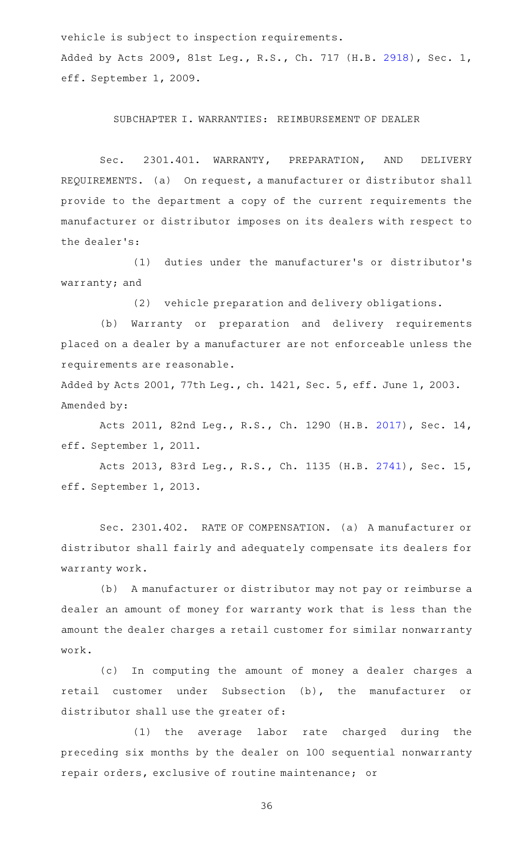vehicle is subject to inspection requirements.

Added by Acts 2009, 81st Leg., R.S., Ch. 717 (H.B. [2918](http://www.legis.state.tx.us/tlodocs/81R/billtext/html/HB02918F.HTM)), Sec. 1, eff. September 1, 2009.

SUBCHAPTER I. WARRANTIES: REIMBURSEMENT OF DEALER

Sec. 2301.401. WARRANTY, PREPARATION, AND DELIVERY REQUIREMENTS. (a) On request, a manufacturer or distributor shall provide to the department a copy of the current requirements the manufacturer or distributor imposes on its dealers with respect to the dealer 's:

(1) duties under the manufacturer's or distributor's warranty; and

(2) vehicle preparation and delivery obligations.

(b) Warranty or preparation and delivery requirements placed on a dealer by a manufacturer are not enforceable unless the requirements are reasonable.

Added by Acts 2001, 77th Leg., ch. 1421, Sec. 5, eff. June 1, 2003. Amended by:

Acts 2011, 82nd Leg., R.S., Ch. 1290 (H.B. [2017](http://www.legis.state.tx.us/tlodocs/82R/billtext/html/HB02017F.HTM)), Sec. 14, eff. September 1, 2011.

Acts 2013, 83rd Leg., R.S., Ch. 1135 (H.B. [2741](http://www.legis.state.tx.us/tlodocs/83R/billtext/html/HB02741F.HTM)), Sec. 15, eff. September 1, 2013.

Sec. 2301.402. RATE OF COMPENSATION. (a) A manufacturer or distributor shall fairly and adequately compensate its dealers for warranty work.

(b) A manufacturer or distributor may not pay or reimburse a dealer an amount of money for warranty work that is less than the amount the dealer charges a retail customer for similar nonwarranty work.

(c) In computing the amount of money a dealer charges a retail customer under Subsection (b), the manufacturer or distributor shall use the greater of:

(1) the average labor rate charged during the preceding six months by the dealer on 100 sequential nonwarranty repair orders, exclusive of routine maintenance; or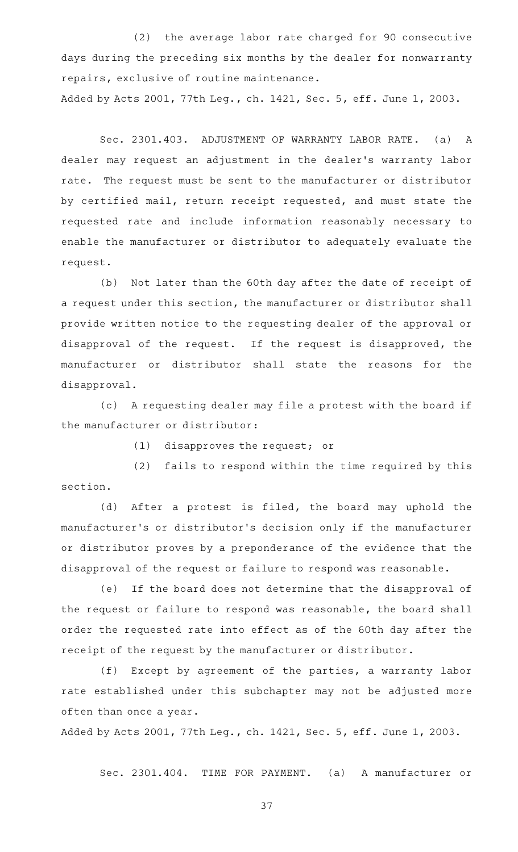(2) the average labor rate charged for 90 consecutive days during the preceding six months by the dealer for nonwarranty repairs, exclusive of routine maintenance.

Added by Acts 2001, 77th Leg., ch. 1421, Sec. 5, eff. June 1, 2003.

Sec. 2301.403. ADJUSTMENT OF WARRANTY LABOR RATE. (a) A dealer may request an adjustment in the dealer 's warranty labor rate. The request must be sent to the manufacturer or distributor by certified mail, return receipt requested, and must state the requested rate and include information reasonably necessary to enable the manufacturer or distributor to adequately evaluate the request.

(b) Not later than the 60th day after the date of receipt of a request under this section, the manufacturer or distributor shall provide written notice to the requesting dealer of the approval or disapproval of the request. If the request is disapproved, the manufacturer or distributor shall state the reasons for the disapproval.

(c) A requesting dealer may file a protest with the board if the manufacturer or distributor:

 $(1)$  disapproves the request; or

(2) fails to respond within the time required by this section.

(d) After a protest is filed, the board may uphold the manufacturer 's or distributor 's decision only if the manufacturer or distributor proves by a preponderance of the evidence that the disapproval of the request or failure to respond was reasonable.

(e) If the board does not determine that the disapproval of the request or failure to respond was reasonable, the board shall order the requested rate into effect as of the 60th day after the receipt of the request by the manufacturer or distributor.

(f) Except by agreement of the parties, a warranty labor rate established under this subchapter may not be adjusted more often than once a year.

Added by Acts 2001, 77th Leg., ch. 1421, Sec. 5, eff. June 1, 2003.

Sec. 2301.404. TIME FOR PAYMENT. (a) A manufacturer or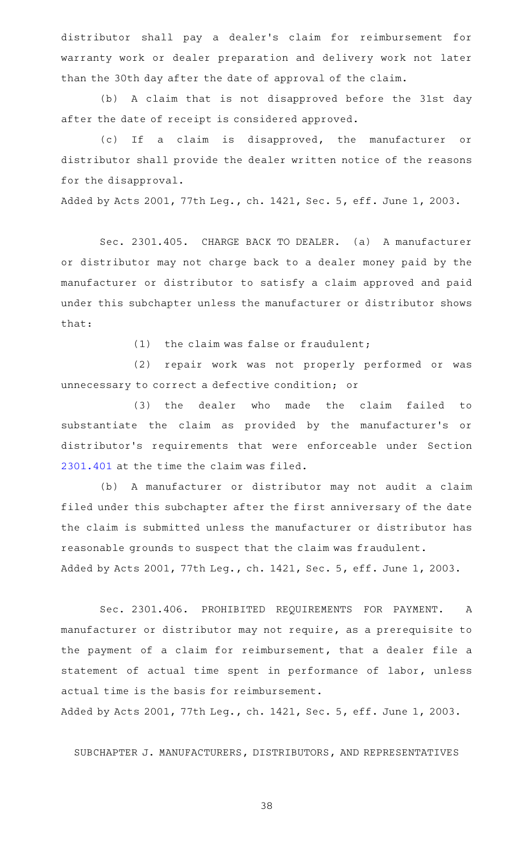distributor shall pay a dealer 's claim for reimbursement for warranty work or dealer preparation and delivery work not later than the 30th day after the date of approval of the claim.

(b) A claim that is not disapproved before the 31st day after the date of receipt is considered approved.

(c) If a claim is disapproved, the manufacturer or distributor shall provide the dealer written notice of the reasons for the disapproval.

Added by Acts 2001, 77th Leg., ch. 1421, Sec. 5, eff. June 1, 2003.

Sec. 2301.405. CHARGE BACK TO DEALER. (a) A manufacturer or distributor may not charge back to a dealer money paid by the manufacturer or distributor to satisfy a claim approved and paid under this subchapter unless the manufacturer or distributor shows that:

(1) the claim was false or fraudulent;

(2) repair work was not properly performed or was unnecessary to correct a defective condition; or

(3) the dealer who made the claim failed to substantiate the claim as provided by the manufacturer 's or distributor 's requirements that were enforceable under Section [2301.401](http://www.statutes.legis.state.tx.us/GetStatute.aspx?Code=OC&Value=2301.401) at the time the claim was filed.

(b) A manufacturer or distributor may not audit a claim filed under this subchapter after the first anniversary of the date the claim is submitted unless the manufacturer or distributor has reasonable grounds to suspect that the claim was fraudulent. Added by Acts 2001, 77th Leg., ch. 1421, Sec. 5, eff. June 1, 2003.

Sec. 2301.406. PROHIBITED REQUIREMENTS FOR PAYMENT. A manufacturer or distributor may not require, as a prerequisite to the payment of a claim for reimbursement, that a dealer file a statement of actual time spent in performance of labor, unless actual time is the basis for reimbursement.

Added by Acts 2001, 77th Leg., ch. 1421, Sec. 5, eff. June 1, 2003.

SUBCHAPTER J. MANUFACTURERS, DISTRIBUTORS, AND REPRESENTATIVES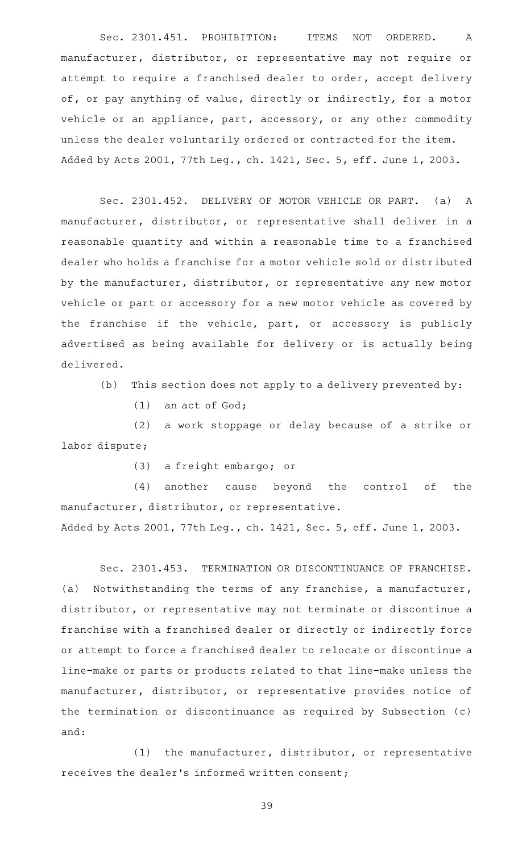Sec. 2301.451. PROHIBITION: ITEMS NOT ORDERED. A manufacturer, distributor, or representative may not require or attempt to require a franchised dealer to order, accept delivery of, or pay anything of value, directly or indirectly, for a motor vehicle or an appliance, part, accessory, or any other commodity unless the dealer voluntarily ordered or contracted for the item. Added by Acts 2001, 77th Leg., ch. 1421, Sec. 5, eff. June 1, 2003.

Sec. 2301.452. DELIVERY OF MOTOR VEHICLE OR PART. (a) A manufacturer, distributor, or representative shall deliver in a reasonable quantity and within a reasonable time to a franchised dealer who holds a franchise for a motor vehicle sold or distributed by the manufacturer, distributor, or representative any new motor vehicle or part or accessory for a new motor vehicle as covered by the franchise if the vehicle, part, or accessory is publicly advertised as being available for delivery or is actually being delivered.

(b) This section does not apply to a delivery prevented by:

 $(1)$  an act of God;

(2) a work stoppage or delay because of a strike or labor dispute;

(3) a freight embargo; or

(4) another cause beyond the control of the manufacturer, distributor, or representative.

Added by Acts 2001, 77th Leg., ch. 1421, Sec. 5, eff. June 1, 2003.

Sec. 2301.453. TERMINATION OR DISCONTINUANCE OF FRANCHISE. (a) Notwithstanding the terms of any franchise, a manufacturer, distributor, or representative may not terminate or discontinue a franchise with a franchised dealer or directly or indirectly force or attempt to force a franchised dealer to relocate or discontinue a line-make or parts or products related to that line-make unless the manufacturer, distributor, or representative provides notice of the termination or discontinuance as required by Subsection (c) and:

 $(1)$  the manufacturer, distributor, or representative receives the dealer 's informed written consent;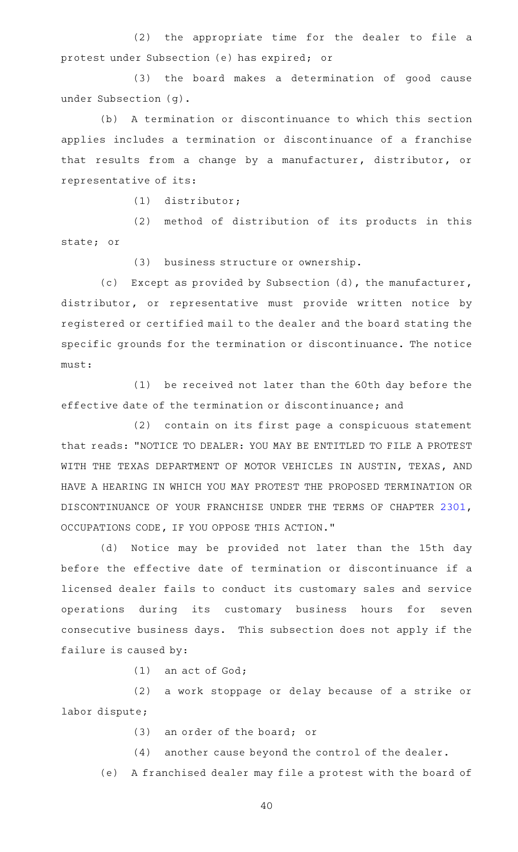(2) the appropriate time for the dealer to file a protest under Subsection (e) has expired; or

(3) the board makes a determination of good cause under Subsection (g).

(b) A termination or discontinuance to which this section applies includes a termination or discontinuance of a franchise that results from a change by a manufacturer, distributor, or representative of its:

(1) distributor;

(2) method of distribution of its products in this state; or

(3) business structure or ownership.

(c) Except as provided by Subsection (d), the manufacturer, distributor, or representative must provide written notice by registered or certified mail to the dealer and the board stating the specific grounds for the termination or discontinuance. The notice must:

(1) be received not later than the 60th day before the effective date of the termination or discontinuance; and

 $(2)$  contain on its first page a conspicuous statement that reads: "NOTICE TO DEALER: YOU MAY BE ENTITLED TO FILE A PROTEST WITH THE TEXAS DEPARTMENT OF MOTOR VEHICLES IN AUSTIN, TEXAS, AND HAVE A HEARING IN WHICH YOU MAY PROTEST THE PROPOSED TERMINATION OR DISCONTINUANCE OF YOUR FRANCHISE UNDER THE TERMS OF CHAPTER [2301](http://www.statutes.legis.state.tx.us/GetStatute.aspx?Code=OC&Value=2301), OCCUPATIONS CODE, IF YOU OPPOSE THIS ACTION."

(d) Notice may be provided not later than the 15th day before the effective date of termination or discontinuance if a licensed dealer fails to conduct its customary sales and service operations during its customary business hours for seven consecutive business days. This subsection does not apply if the failure is caused by:

 $(1)$  an act of God;

(2) a work stoppage or delay because of a strike or labor dispute;

(3) an order of the board; or

(4) another cause beyond the control of the dealer.

(e) A franchised dealer may file a protest with the board of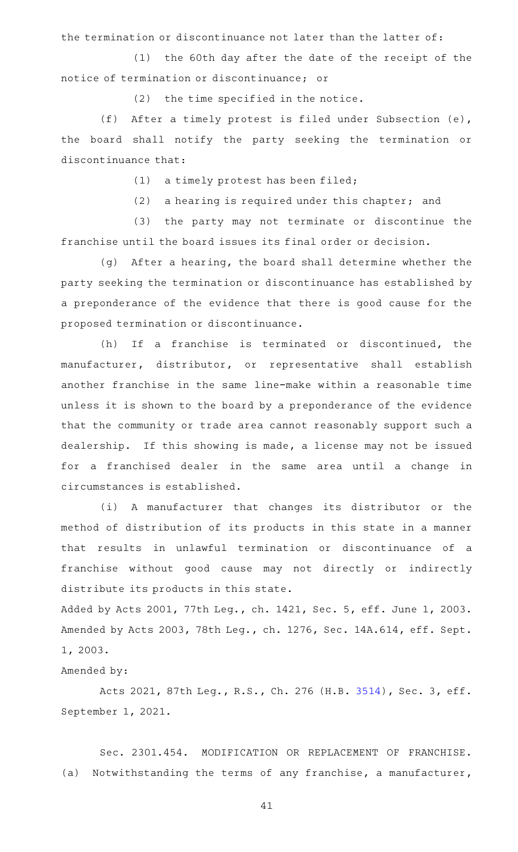the termination or discontinuance not later than the latter of:

 $(1)$  the 60th day after the date of the receipt of the notice of termination or discontinuance; or

 $(2)$  the time specified in the notice.

(f) After a timely protest is filed under Subsection  $(e)$ , the board shall notify the party seeking the termination or discontinuance that:

 $(1)$  a timely protest has been filed;

 $(2)$  a hearing is required under this chapter; and

(3) the party may not terminate or discontinue the franchise until the board issues its final order or decision.

(g) After a hearing, the board shall determine whether the party seeking the termination or discontinuance has established by a preponderance of the evidence that there is good cause for the proposed termination or discontinuance.

(h) If a franchise is terminated or discontinued, the manufacturer, distributor, or representative shall establish another franchise in the same line-make within a reasonable time unless it is shown to the board by a preponderance of the evidence that the community or trade area cannot reasonably support such a dealership. If this showing is made, a license may not be issued for a franchised dealer in the same area until a change in circumstances is established.

(i)AAA manufacturer that changes its distributor or the method of distribution of its products in this state in a manner that results in unlawful termination or discontinuance of a franchise without good cause may not directly or indirectly distribute its products in this state.

Added by Acts 2001, 77th Leg., ch. 1421, Sec. 5, eff. June 1, 2003. Amended by Acts 2003, 78th Leg., ch. 1276, Sec. 14A.614, eff. Sept. 1, 2003.

Amended by:

Acts 2021, 87th Leg., R.S., Ch. 276 (H.B. [3514](http://www.legis.state.tx.us/tlodocs/87R/billtext/html/HB03514F.HTM)), Sec. 3, eff. September 1, 2021.

Sec. 2301.454. MODIFICATION OR REPLACEMENT OF FRANCHISE. (a) Notwithstanding the terms of any franchise, a manufacturer,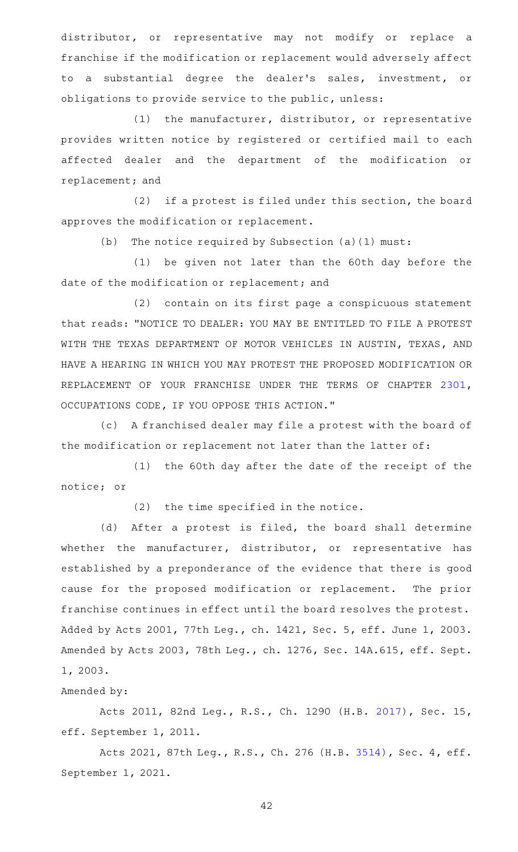distributor, or representative may not modify or replace a franchise if the modification or replacement would adversely affect to a substantial degree the dealer 's sales, investment, or obligations to provide service to the public, unless:

 $(1)$  the manufacturer, distributor, or representative provides written notice by registered or certified mail to each affected dealer and the department of the modification or replacement; and

(2) if a protest is filed under this section, the board approves the modification or replacement.

(b) The notice required by Subsection  $(a)(1)$  must:

(1) be given not later than the 60th day before the date of the modification or replacement; and

(2) contain on its first page a conspicuous statement that reads: "NOTICE TO DEALER: YOU MAY BE ENTITLED TO FILE A PROTEST WITH THE TEXAS DEPARTMENT OF MOTOR VEHICLES IN AUSTIN, TEXAS, AND HAVE A HEARING IN WHICH YOU MAY PROTEST THE PROPOSED MODIFICATION OR REPLACEMENT OF YOUR FRANCHISE UNDER THE TERMS OF CHAPTER [2301](http://www.statutes.legis.state.tx.us/GetStatute.aspx?Code=OC&Value=2301), OCCUPATIONS CODE, IF YOU OPPOSE THIS ACTION."

(c) A franchised dealer may file a protest with the board of the modification or replacement not later than the latter of:

(1) the 60th day after the date of the receipt of the notice; or

 $(2)$  the time specified in the notice.

(d) After a protest is filed, the board shall determine whether the manufacturer, distributor, or representative has established by a preponderance of the evidence that there is good cause for the proposed modification or replacement. The prior franchise continues in effect until the board resolves the protest. Added by Acts 2001, 77th Leg., ch. 1421, Sec. 5, eff. June 1, 2003. Amended by Acts 2003, 78th Leg., ch. 1276, Sec. 14A.615, eff. Sept. 1, 2003.

# Amended by:

Acts 2011, 82nd Leg., R.S., Ch. 1290 (H.B. [2017](http://www.legis.state.tx.us/tlodocs/82R/billtext/html/HB02017F.HTM)), Sec. 15, eff. September 1, 2011.

Acts 2021, 87th Leg., R.S., Ch. 276 (H.B. [3514](http://www.legis.state.tx.us/tlodocs/87R/billtext/html/HB03514F.HTM)), Sec. 4, eff. September 1, 2021.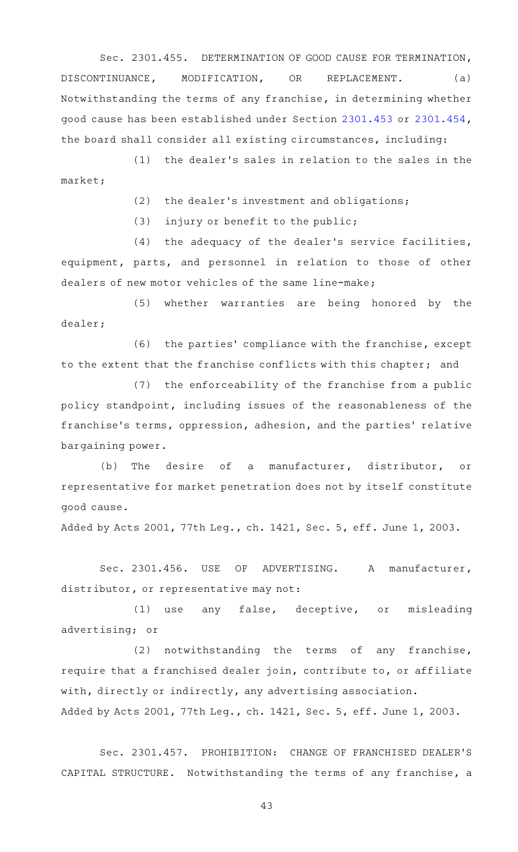Sec. 2301.455. DETERMINATION OF GOOD CAUSE FOR TERMINATION, DISCONTINUANCE, MODIFICATION, OR REPLACEMENT. (a) Notwithstanding the terms of any franchise, in determining whether good cause has been established under Section [2301.453](http://www.statutes.legis.state.tx.us/GetStatute.aspx?Code=OC&Value=2301.453) or [2301.454](http://www.statutes.legis.state.tx.us/GetStatute.aspx?Code=OC&Value=2301.454), the board shall consider all existing circumstances, including:

 $(1)$  the dealer's sales in relation to the sales in the market;

(2) the dealer's investment and obligations;

 $(3)$  injury or benefit to the public;

(4) the adequacy of the dealer's service facilities, equipment, parts, and personnel in relation to those of other dealers of new motor vehicles of the same line-make;

(5) whether warranties are being honored by the dealer;

(6) the parties' compliance with the franchise, except to the extent that the franchise conflicts with this chapter; and

 $(7)$  the enforceability of the franchise from a public policy standpoint, including issues of the reasonableness of the franchise's terms, oppression, adhesion, and the parties' relative bargaining power.

(b) The desire of a manufacturer, distributor, or representative for market penetration does not by itself constitute good cause.

Added by Acts 2001, 77th Leg., ch. 1421, Sec. 5, eff. June 1, 2003.

Sec. 2301.456. USE OF ADVERTISING. A manufacturer, distributor, or representative may not:

(1) use any false, deceptive, or misleading advertising; or

(2) notwithstanding the terms of any franchise, require that a franchised dealer join, contribute to, or affiliate with, directly or indirectly, any advertising association. Added by Acts 2001, 77th Leg., ch. 1421, Sec. 5, eff. June 1, 2003.

Sec. 2301.457. PROHIBITION: CHANGE OF FRANCHISED DEALER'S CAPITAL STRUCTURE. Notwithstanding the terms of any franchise, a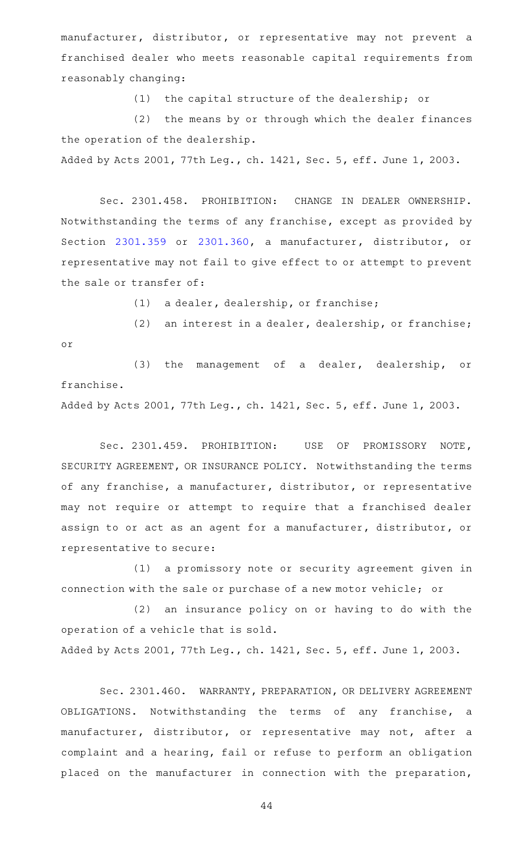manufacturer, distributor, or representative may not prevent a franchised dealer who meets reasonable capital requirements from reasonably changing:

(1) the capital structure of the dealership; or

(2) the means by or through which the dealer finances the operation of the dealership.

Added by Acts 2001, 77th Leg., ch. 1421, Sec. 5, eff. June 1, 2003.

Sec. 2301.458. PROHIBITION: CHANGE IN DEALER OWNERSHIP. Notwithstanding the terms of any franchise, except as provided by Section [2301.359](http://www.statutes.legis.state.tx.us/GetStatute.aspx?Code=OC&Value=2301.359) or [2301.360](http://www.statutes.legis.state.tx.us/GetStatute.aspx?Code=OC&Value=2301.360), a manufacturer, distributor, or representative may not fail to give effect to or attempt to prevent the sale or transfer of:

(1) a dealer, dealership, or franchise;

(2) an interest in a dealer, dealership, or franchise; or

(3) the management of a dealer, dealership, or franchise.

Added by Acts 2001, 77th Leg., ch. 1421, Sec. 5, eff. June 1, 2003.

Sec. 2301.459. PROHIBITION: USE OF PROMISSORY NOTE, SECURITY AGREEMENT, OR INSURANCE POLICY. Notwithstanding the terms of any franchise, a manufacturer, distributor, or representative may not require or attempt to require that a franchised dealer assign to or act as an agent for a manufacturer, distributor, or representative to secure:

(1) a promissory note or security agreement given in connection with the sale or purchase of a new motor vehicle; or

(2) an insurance policy on or having to do with the operation of a vehicle that is sold.

Added by Acts 2001, 77th Leg., ch. 1421, Sec. 5, eff. June 1, 2003.

Sec. 2301.460. WARRANTY, PREPARATION, OR DELIVERY AGREEMENT OBLIGATIONS. Notwithstanding the terms of any franchise, a manufacturer, distributor, or representative may not, after a complaint and a hearing, fail or refuse to perform an obligation placed on the manufacturer in connection with the preparation,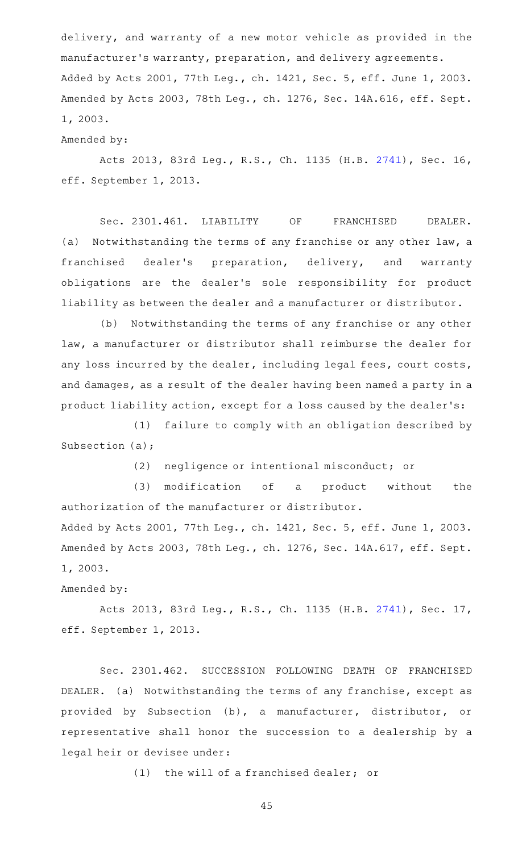delivery, and warranty of a new motor vehicle as provided in the manufacturer 's warranty, preparation, and delivery agreements. Added by Acts 2001, 77th Leg., ch. 1421, Sec. 5, eff. June 1, 2003. Amended by Acts 2003, 78th Leg., ch. 1276, Sec. 14A.616, eff. Sept. 1, 2003.

### Amended by:

Acts 2013, 83rd Leg., R.S., Ch. 1135 (H.B. [2741](http://www.legis.state.tx.us/tlodocs/83R/billtext/html/HB02741F.HTM)), Sec. 16, eff. September 1, 2013.

Sec. 2301.461. LIABILITY OF FRANCHISED DEALER. (a) Notwithstanding the terms of any franchise or any other law, a franchised dealer's preparation, delivery, and warranty obligations are the dealer 's sole responsibility for product liability as between the dealer and a manufacturer or distributor.

(b) Notwithstanding the terms of any franchise or any other law, a manufacturer or distributor shall reimburse the dealer for any loss incurred by the dealer, including legal fees, court costs, and damages, as a result of the dealer having been named a party in a product liability action, except for a loss caused by the dealer 's:

(1) failure to comply with an obligation described by Subsection (a);

(2) negligence or intentional misconduct; or

(3) modification of a product without the authorization of the manufacturer or distributor.

Added by Acts 2001, 77th Leg., ch. 1421, Sec. 5, eff. June 1, 2003. Amended by Acts 2003, 78th Leg., ch. 1276, Sec. 14A.617, eff. Sept. 1, 2003.

# Amended by:

Acts 2013, 83rd Leg., R.S., Ch. 1135 (H.B. [2741](http://www.legis.state.tx.us/tlodocs/83R/billtext/html/HB02741F.HTM)), Sec. 17, eff. September 1, 2013.

Sec. 2301.462. SUCCESSION FOLLOWING DEATH OF FRANCHISED DEALER. (a) Notwithstanding the terms of any franchise, except as provided by Subsection (b), a manufacturer, distributor, or representative shall honor the succession to a dealership by a legal heir or devisee under:

 $(1)$  the will of a franchised dealer; or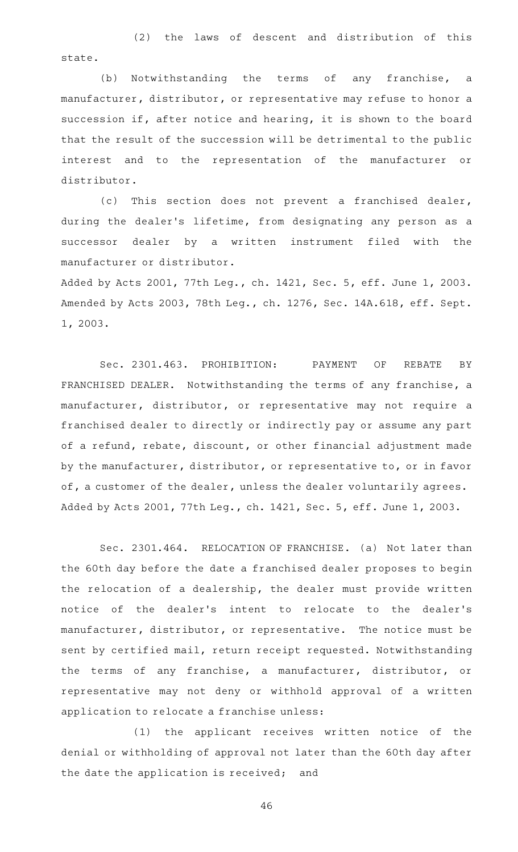(2) the laws of descent and distribution of this state.

(b) Notwithstanding the terms of any franchise, a manufacturer, distributor, or representative may refuse to honor a succession if, after notice and hearing, it is shown to the board that the result of the succession will be detrimental to the public interest and to the representation of the manufacturer or distributor.

(c) This section does not prevent a franchised dealer, during the dealer 's lifetime, from designating any person as a successor dealer by a written instrument filed with the manufacturer or distributor.

Added by Acts 2001, 77th Leg., ch. 1421, Sec. 5, eff. June 1, 2003. Amended by Acts 2003, 78th Leg., ch. 1276, Sec. 14A.618, eff. Sept. 1, 2003.

Sec. 2301.463. PROHIBITION: PAYMENT OF REBATE BY FRANCHISED DEALER. Notwithstanding the terms of any franchise, a manufacturer, distributor, or representative may not require a franchised dealer to directly or indirectly pay or assume any part of a refund, rebate, discount, or other financial adjustment made by the manufacturer, distributor, or representative to, or in favor of, a customer of the dealer, unless the dealer voluntarily agrees. Added by Acts 2001, 77th Leg., ch. 1421, Sec. 5, eff. June 1, 2003.

Sec. 2301.464. RELOCATION OF FRANCHISE. (a) Not later than the 60th day before the date a franchised dealer proposes to begin the relocation of a dealership, the dealer must provide written notice of the dealer 's intent to relocate to the dealer 's manufacturer, distributor, or representative. The notice must be sent by certified mail, return receipt requested. Notwithstanding the terms of any franchise, a manufacturer, distributor, or representative may not deny or withhold approval of a written application to relocate a franchise unless:

(1) the applicant receives written notice of the denial or withholding of approval not later than the 60th day after the date the application is received; and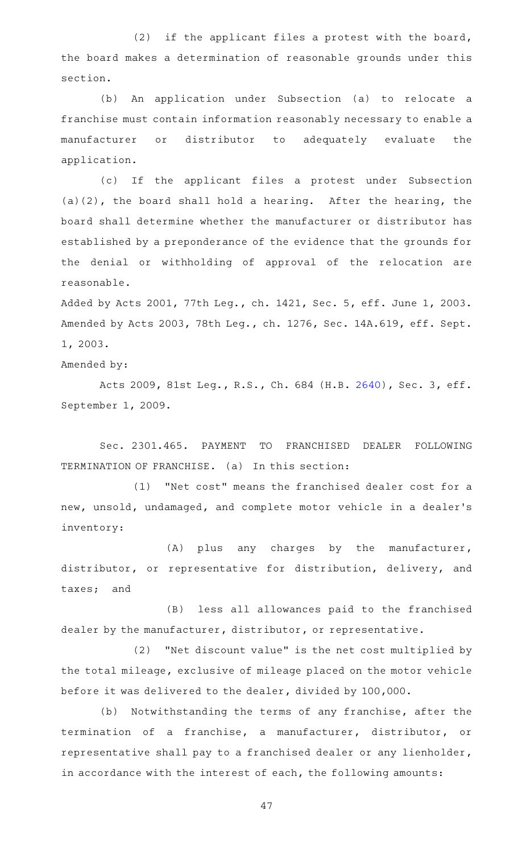(2) if the applicant files a protest with the board, the board makes a determination of reasonable grounds under this section.

(b) An application under Subsection (a) to relocate a franchise must contain information reasonably necessary to enable a manufacturer or distributor to adequately evaluate the application.

(c) If the applicant files a protest under Subsection (a)(2), the board shall hold a hearing. After the hearing, the board shall determine whether the manufacturer or distributor has established by a preponderance of the evidence that the grounds for the denial or withholding of approval of the relocation are reasonable.

Added by Acts 2001, 77th Leg., ch. 1421, Sec. 5, eff. June 1, 2003. Amended by Acts 2003, 78th Leg., ch. 1276, Sec. 14A.619, eff. Sept. 1, 2003.

Amended by:

Acts 2009, 81st Leg., R.S., Ch. 684 (H.B. [2640](http://www.legis.state.tx.us/tlodocs/81R/billtext/html/HB02640F.HTM)), Sec. 3, eff. September 1, 2009.

Sec. 2301.465. PAYMENT TO FRANCHISED DEALER FOLLOWING TERMINATION OF FRANCHISE. (a) In this section:

(1) "Net cost" means the franchised dealer cost for a new, unsold, undamaged, and complete motor vehicle in a dealer 's inventory:

 $(A)$  plus any charges by the manufacturer, distributor, or representative for distribution, delivery, and taxes; and

(B) less all allowances paid to the franchised dealer by the manufacturer, distributor, or representative.

(2) "Net discount value" is the net cost multiplied by the total mileage, exclusive of mileage placed on the motor vehicle before it was delivered to the dealer, divided by 100,000.

(b) Notwithstanding the terms of any franchise, after the termination of a franchise, a manufacturer, distributor, or representative shall pay to a franchised dealer or any lienholder, in accordance with the interest of each, the following amounts: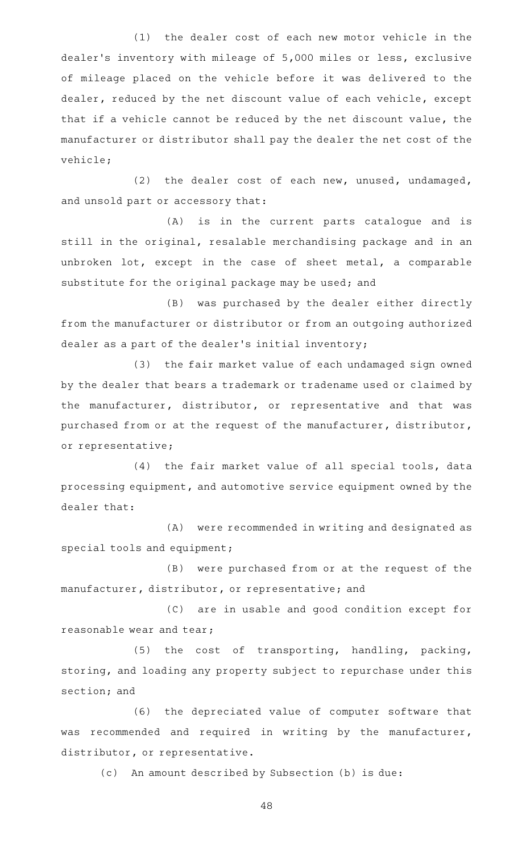(1) the dealer cost of each new motor vehicle in the dealer 's inventory with mileage of 5,000 miles or less, exclusive of mileage placed on the vehicle before it was delivered to the dealer, reduced by the net discount value of each vehicle, except that if a vehicle cannot be reduced by the net discount value, the manufacturer or distributor shall pay the dealer the net cost of the vehicle;

(2) the dealer cost of each new, unused, undamaged, and unsold part or accessory that:

(A) is in the current parts catalogue and is still in the original, resalable merchandising package and in an unbroken lot, except in the case of sheet metal, a comparable substitute for the original package may be used; and

(B) was purchased by the dealer either directly from the manufacturer or distributor or from an outgoing authorized dealer as a part of the dealer 's initial inventory;

(3) the fair market value of each undamaged sign owned by the dealer that bears a trademark or tradename used or claimed by the manufacturer, distributor, or representative and that was purchased from or at the request of the manufacturer, distributor, or representative;

(4) the fair market value of all special tools, data processing equipment, and automotive service equipment owned by the dealer that:

(A) were recommended in writing and designated as special tools and equipment;

(B) were purchased from or at the request of the manufacturer, distributor, or representative; and

(C) are in usable and good condition except for reasonable wear and tear;

(5) the cost of transporting, handling, packing, storing, and loading any property subject to repurchase under this section; and

(6) the depreciated value of computer software that was recommended and required in writing by the manufacturer, distributor, or representative.

(c) An amount described by Subsection (b) is due: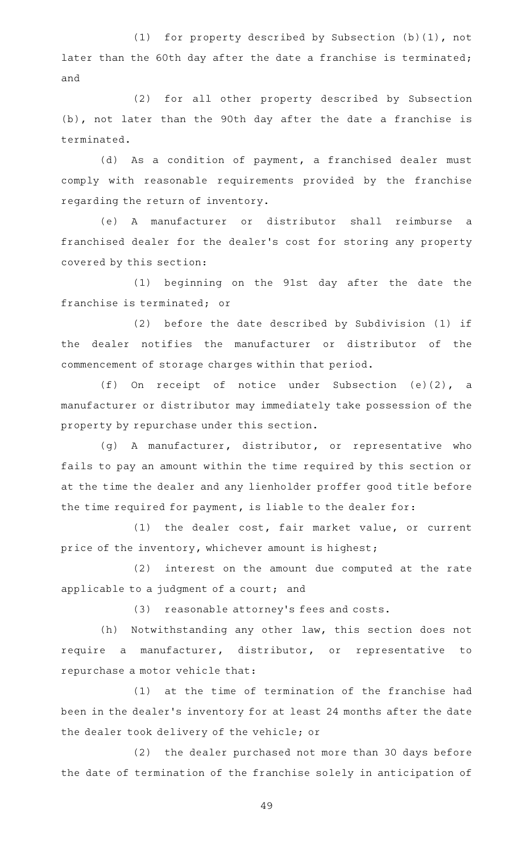(1) for property described by Subsection  $(b)(1)$ , not later than the 60th day after the date a franchise is terminated; and

(2) for all other property described by Subsection (b), not later than the 90th day after the date a franchise is terminated.

(d) As a condition of payment, a franchised dealer must comply with reasonable requirements provided by the franchise regarding the return of inventory.

(e)AAA manufacturer or distributor shall reimburse a franchised dealer for the dealer 's cost for storing any property covered by this section:

(1) beginning on the 91st day after the date the franchise is terminated; or

(2) before the date described by Subdivision (1) if the dealer notifies the manufacturer or distributor of the commencement of storage charges within that period.

(f) On receipt of notice under Subsection  $(e)(2)$ , a manufacturer or distributor may immediately take possession of the property by repurchase under this section.

(g) A manufacturer, distributor, or representative who fails to pay an amount within the time required by this section or at the time the dealer and any lienholder proffer good title before the time required for payment, is liable to the dealer for:

(1) the dealer cost, fair market value, or current price of the inventory, whichever amount is highest;

 $(2)$  interest on the amount due computed at the rate applicable to a judgment of a court; and

(3) reasonable attorney's fees and costs.

(h) Notwithstanding any other law, this section does not require a manufacturer, distributor, or representative to repurchase a motor vehicle that:

 $(1)$  at the time of termination of the franchise had been in the dealer 's inventory for at least 24 months after the date the dealer took delivery of the vehicle; or

(2) the dealer purchased not more than 30 days before the date of termination of the franchise solely in anticipation of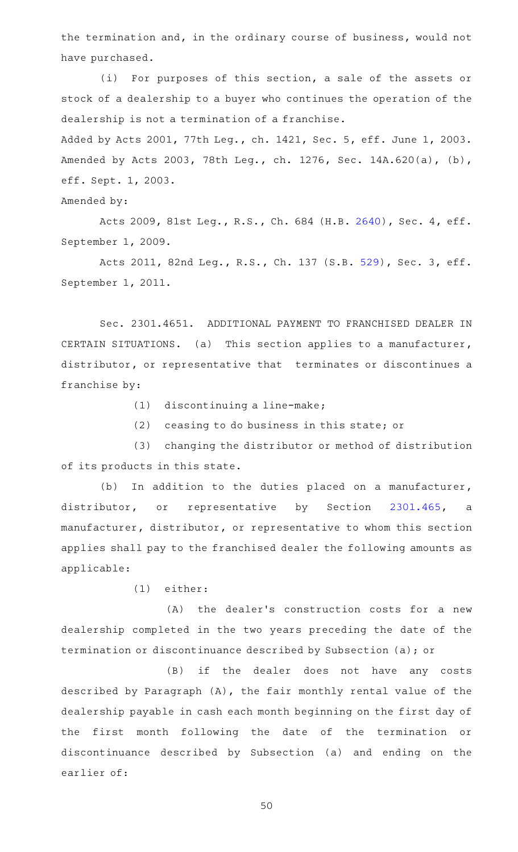the termination and, in the ordinary course of business, would not have purchased.

(i) For purposes of this section, a sale of the assets or stock of a dealership to a buyer who continues the operation of the dealership is not a termination of a franchise.

Added by Acts 2001, 77th Leg., ch. 1421, Sec. 5, eff. June 1, 2003. Amended by Acts 2003, 78th Leg., ch. 1276, Sec. 14A.620(a), (b), eff. Sept. 1, 2003.

Amended by:

Acts 2009, 81st Leg., R.S., Ch. 684 (H.B. [2640](http://www.legis.state.tx.us/tlodocs/81R/billtext/html/HB02640F.HTM)), Sec. 4, eff. September 1, 2009.

Acts 2011, 82nd Leg., R.S., Ch. 137 (S.B. [529](http://www.legis.state.tx.us/tlodocs/82R/billtext/html/SB00529F.HTM)), Sec. 3, eff. September 1, 2011.

Sec. 2301.4651. ADDITIONAL PAYMENT TO FRANCHISED DEALER IN CERTAIN SITUATIONS. (a) This section applies to a manufacturer, distributor, or representative that terminates or discontinues a franchise by:

 $(1)$  discontinuing a line-make;

 $(2)$  ceasing to do business in this state; or

(3) changing the distributor or method of distribution of its products in this state.

(b) In addition to the duties placed on a manufacturer, distributor, or representative by Section [2301.465,](http://www.statutes.legis.state.tx.us/GetStatute.aspx?Code=OC&Value=2301.465) a manufacturer, distributor, or representative to whom this section applies shall pay to the franchised dealer the following amounts as applicable:

 $(1)$  either:

(A) the dealer's construction costs for a new dealership completed in the two years preceding the date of the termination or discontinuance described by Subsection (a); or

(B) if the dealer does not have any costs described by Paragraph (A), the fair monthly rental value of the dealership payable in cash each month beginning on the first day of the first month following the date of the termination or discontinuance described by Subsection (a) and ending on the earlier of: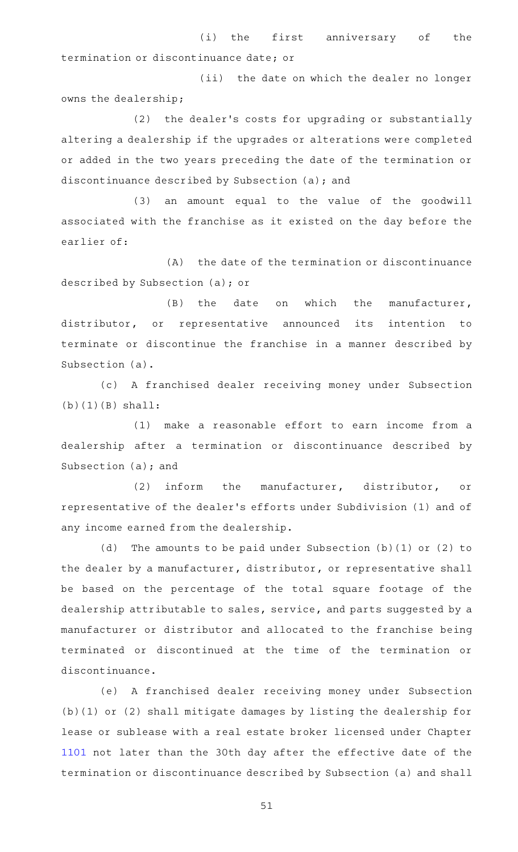(i) the first anniversary of the termination or discontinuance date; or

(ii) the date on which the dealer no longer owns the dealership;

(2) the dealer's costs for upgrading or substantially altering a dealership if the upgrades or alterations were completed or added in the two years preceding the date of the termination or discontinuance described by Subsection (a); and

(3) an amount equal to the value of the goodwill associated with the franchise as it existed on the day before the earlier of:

(A) the date of the termination or discontinuance described by Subsection (a); or

 $(B)$  the date on which the manufacturer, distributor, or representative announced its intention to terminate or discontinue the franchise in a manner described by Subsection (a).

(c)AAA franchised dealer receiving money under Subsection  $(b)(1)(B)$  shall:

 $(1)$  make a reasonable effort to earn income from a dealership after a termination or discontinuance described by Subsection (a); and

(2) inform the manufacturer, distributor, or representative of the dealer 's efforts under Subdivision (1) and of any income earned from the dealership.

(d) The amounts to be paid under Subsection (b)(1) or (2) to the dealer by a manufacturer, distributor, or representative shall be based on the percentage of the total square footage of the dealership attributable to sales, service, and parts suggested by a manufacturer or distributor and allocated to the franchise being terminated or discontinued at the time of the termination or discontinuance.

(e) A franchised dealer receiving money under Subsection (b)(1) or (2) shall mitigate damages by listing the dealership for lease or sublease with a real estate broker licensed under Chapter [1101](http://www.statutes.legis.state.tx.us/GetStatute.aspx?Code=OC&Value=1101) not later than the 30th day after the effective date of the termination or discontinuance described by Subsection (a) and shall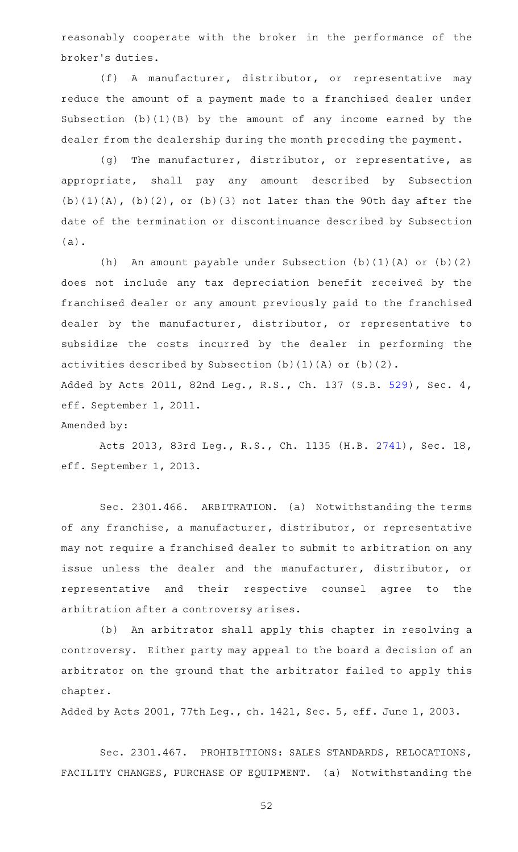reasonably cooperate with the broker in the performance of the broker 's duties.

(f) A manufacturer, distributor, or representative may reduce the amount of a payment made to a franchised dealer under Subsection (b)(1)(B) by the amount of any income earned by the dealer from the dealership during the month preceding the payment.

(g) The manufacturer, distributor, or representative, as appropriate, shall pay any amount described by Subsection  $(b)(1)(A)$ ,  $(b)(2)$ , or  $(b)(3)$  not later than the 90th day after the date of the termination or discontinuance described by Subsection (a).

(h) An amount payable under Subsection (b)(1)(A) or (b)(2) does not include any tax depreciation benefit received by the franchised dealer or any amount previously paid to the franchised dealer by the manufacturer, distributor, or representative to subsidize the costs incurred by the dealer in performing the activities described by Subsection (b)(1)(A) or (b)(2). Added by Acts 2011, 82nd Leg., R.S., Ch. 137 (S.B. [529](http://www.legis.state.tx.us/tlodocs/82R/billtext/html/SB00529F.HTM)), Sec. 4, eff. September 1, 2011.

Amended by:

Acts 2013, 83rd Leg., R.S., Ch. 1135 (H.B. [2741](http://www.legis.state.tx.us/tlodocs/83R/billtext/html/HB02741F.HTM)), Sec. 18, eff. September 1, 2013.

Sec. 2301.466. ARBITRATION. (a) Notwithstanding the terms of any franchise, a manufacturer, distributor, or representative may not require a franchised dealer to submit to arbitration on any issue unless the dealer and the manufacturer, distributor, or representative and their respective counsel agree to the arbitration after a controversy arises.

(b) An arbitrator shall apply this chapter in resolving a controversy. Either party may appeal to the board a decision of an arbitrator on the ground that the arbitrator failed to apply this chapter.

Added by Acts 2001, 77th Leg., ch. 1421, Sec. 5, eff. June 1, 2003.

Sec. 2301.467. PROHIBITIONS: SALES STANDARDS, RELOCATIONS, FACILITY CHANGES, PURCHASE OF EQUIPMENT. (a) Notwithstanding the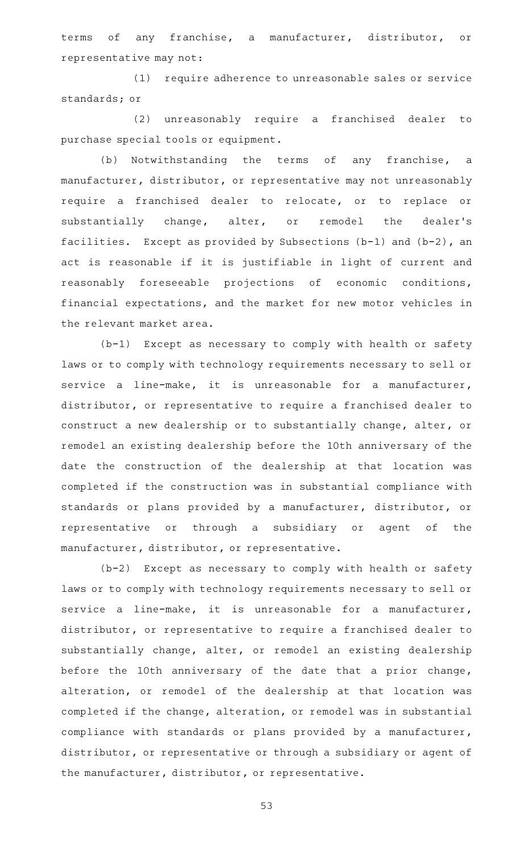terms of any franchise, a manufacturer, distributor, or representative may not:

(1) require adherence to unreasonable sales or service standards; or

(2) unreasonably require a franchised dealer to purchase special tools or equipment.

(b) Notwithstanding the terms of any franchise, a manufacturer, distributor, or representative may not unreasonably require a franchised dealer to relocate, or to replace or substantially change, alter, or remodel the dealer's facilities. Except as provided by Subsections (b-1) and (b-2), an act is reasonable if it is justifiable in light of current and reasonably foreseeable projections of economic conditions, financial expectations, and the market for new motor vehicles in the relevant market area.

 $(b-1)$  Except as necessary to comply with health or safety laws or to comply with technology requirements necessary to sell or service a line-make, it is unreasonable for a manufacturer, distributor, or representative to require a franchised dealer to construct a new dealership or to substantially change, alter, or remodel an existing dealership before the 10th anniversary of the date the construction of the dealership at that location was completed if the construction was in substantial compliance with standards or plans provided by a manufacturer, distributor, or representative or through a subsidiary or agent of the manufacturer, distributor, or representative.

 $(b-2)$  Except as necessary to comply with health or safety laws or to comply with technology requirements necessary to sell or service a line-make, it is unreasonable for a manufacturer, distributor, or representative to require a franchised dealer to substantially change, alter, or remodel an existing dealership before the 10th anniversary of the date that a prior change, alteration, or remodel of the dealership at that location was completed if the change, alteration, or remodel was in substantial compliance with standards or plans provided by a manufacturer, distributor, or representative or through a subsidiary or agent of the manufacturer, distributor, or representative.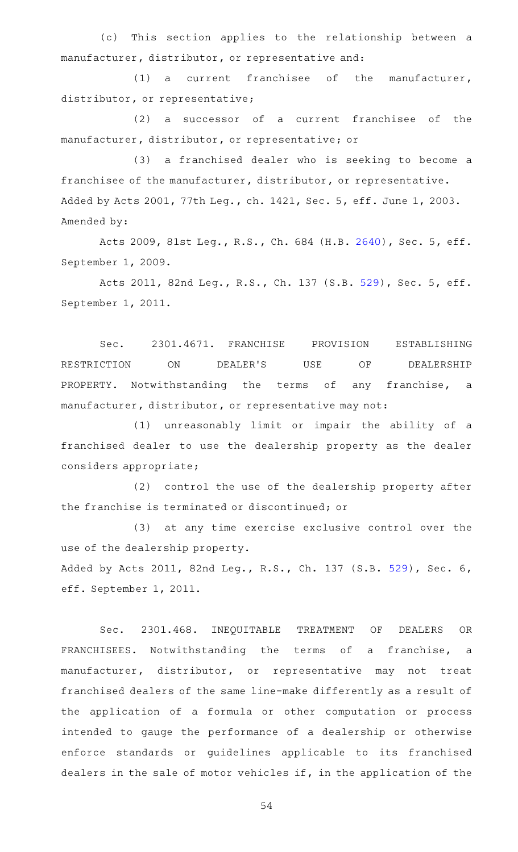(c) This section applies to the relationship between a manufacturer, distributor, or representative and:

 $(1)$  a current franchisee of the manufacturer, distributor, or representative;

 $(2)$  a successor of a current franchisee of the manufacturer, distributor, or representative; or

(3) a franchised dealer who is seeking to become a franchisee of the manufacturer, distributor, or representative. Added by Acts 2001, 77th Leg., ch. 1421, Sec. 5, eff. June 1, 2003. Amended by:

Acts 2009, 81st Leg., R.S., Ch. 684 (H.B. [2640](http://www.legis.state.tx.us/tlodocs/81R/billtext/html/HB02640F.HTM)), Sec. 5, eff. September 1, 2009.

Acts 2011, 82nd Leg., R.S., Ch. 137 (S.B. [529](http://www.legis.state.tx.us/tlodocs/82R/billtext/html/SB00529F.HTM)), Sec. 5, eff. September 1, 2011.

Sec. 2301.4671. FRANCHISE PROVISION ESTABLISHING RESTRICTION ON DEALER'S USE OF DEALERSHIP PROPERTY. Notwithstanding the terms of any franchise, a manufacturer, distributor, or representative may not:

(1) unreasonably limit or impair the ability of a franchised dealer to use the dealership property as the dealer considers appropriate;

(2) control the use of the dealership property after the franchise is terminated or discontinued; or

(3) at any time exercise exclusive control over the use of the dealership property.

Added by Acts 2011, 82nd Leg., R.S., Ch. 137 (S.B. [529](http://www.legis.state.tx.us/tlodocs/82R/billtext/html/SB00529F.HTM)), Sec. 6, eff. September 1, 2011.

Sec. 2301.468. INEQUITABLE TREATMENT OF DEALERS OR FRANCHISEES. Notwithstanding the terms of a franchise, a manufacturer, distributor, or representative may not treat franchised dealers of the same line-make differently as a result of the application of a formula or other computation or process intended to gauge the performance of a dealership or otherwise enforce standards or guidelines applicable to its franchised dealers in the sale of motor vehicles if, in the application of the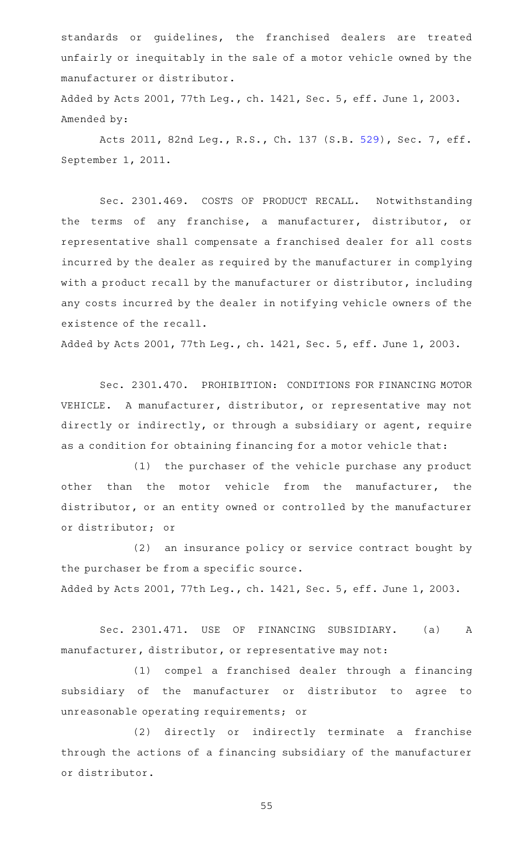standards or guidelines, the franchised dealers are treated unfairly or inequitably in the sale of a motor vehicle owned by the manufacturer or distributor.

Added by Acts 2001, 77th Leg., ch. 1421, Sec. 5, eff. June 1, 2003. Amended by:

Acts 2011, 82nd Leg., R.S., Ch. 137 (S.B. [529](http://www.legis.state.tx.us/tlodocs/82R/billtext/html/SB00529F.HTM)), Sec. 7, eff. September 1, 2011.

Sec. 2301.469. COSTS OF PRODUCT RECALL. Notwithstanding the terms of any franchise, a manufacturer, distributor, or representative shall compensate a franchised dealer for all costs incurred by the dealer as required by the manufacturer in complying with a product recall by the manufacturer or distributor, including any costs incurred by the dealer in notifying vehicle owners of the existence of the recall.

Added by Acts 2001, 77th Leg., ch. 1421, Sec. 5, eff. June 1, 2003.

Sec. 2301.470. PROHIBITION: CONDITIONS FOR FINANCING MOTOR VEHICLE. A manufacturer, distributor, or representative may not directly or indirectly, or through a subsidiary or agent, require as a condition for obtaining financing for a motor vehicle that:

(1) the purchaser of the vehicle purchase any product other than the motor vehicle from the manufacturer, the distributor, or an entity owned or controlled by the manufacturer or distributor; or

(2) an insurance policy or service contract bought by the purchaser be from a specific source. Added by Acts 2001, 77th Leg., ch. 1421, Sec. 5, eff. June 1, 2003.

Sec. 2301.471. USE OF FINANCING SUBSIDIARY. (a) A manufacturer, distributor, or representative may not:

(1) compel a franchised dealer through a financing subsidiary of the manufacturer or distributor to agree to unreasonable operating requirements; or

(2) directly or indirectly terminate a franchise through the actions of a financing subsidiary of the manufacturer or distributor.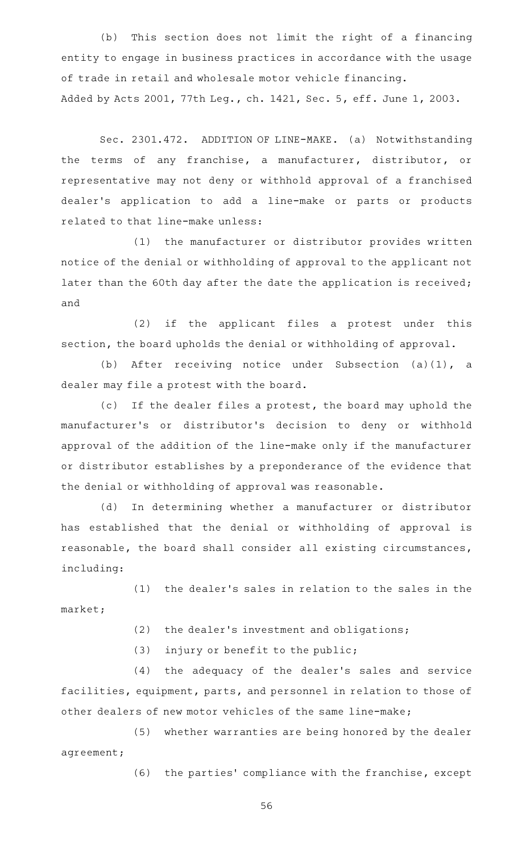(b) This section does not limit the right of a financing entity to engage in business practices in accordance with the usage of trade in retail and wholesale motor vehicle financing. Added by Acts 2001, 77th Leg., ch. 1421, Sec. 5, eff. June 1, 2003.

Sec. 2301.472. ADDITION OF LINE-MAKE. (a) Notwithstanding the terms of any franchise, a manufacturer, distributor, or representative may not deny or withhold approval of a franchised dealer 's application to add a line-make or parts or products related to that line-make unless:

(1) the manufacturer or distributor provides written notice of the denial or withholding of approval to the applicant not later than the 60th day after the date the application is received; and

(2) if the applicant files a protest under this section, the board upholds the denial or withholding of approval.

(b) After receiving notice under Subsection  $(a)(1)$ , a dealer may file a protest with the board.

(c) If the dealer files a protest, the board may uphold the manufacturer 's or distributor 's decision to deny or withhold approval of the addition of the line-make only if the manufacturer or distributor establishes by a preponderance of the evidence that the denial or withholding of approval was reasonable.

(d) In determining whether a manufacturer or distributor has established that the denial or withholding of approval is reasonable, the board shall consider all existing circumstances, including:

(1) the dealer's sales in relation to the sales in the market;

 $(2)$  the dealer's investment and obligations;

 $(3)$  injury or benefit to the public;

(4) the adequacy of the dealer's sales and service facilities, equipment, parts, and personnel in relation to those of other dealers of new motor vehicles of the same line-make;

(5) whether warranties are being honored by the dealer agreement;

(6) the parties' compliance with the franchise, except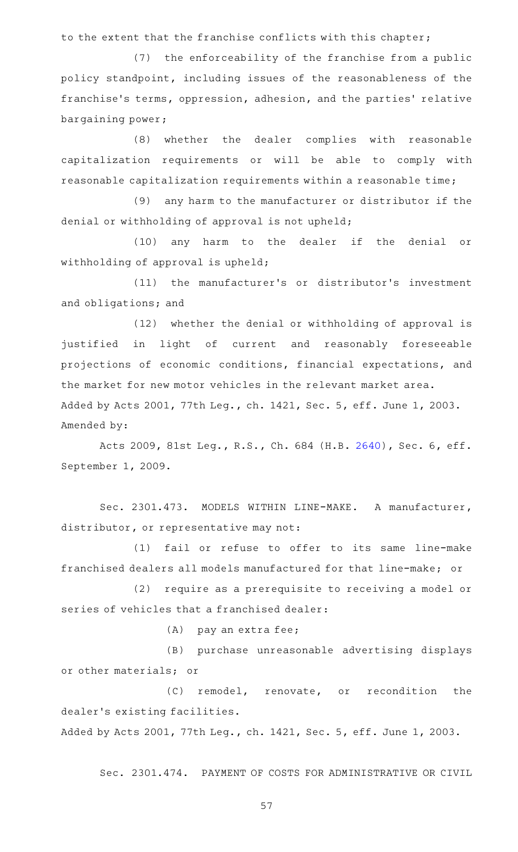to the extent that the franchise conflicts with this chapter;

 $(7)$  the enforceability of the franchise from a public policy standpoint, including issues of the reasonableness of the franchise's terms, oppression, adhesion, and the parties' relative bargaining power;

(8) whether the dealer complies with reasonable capitalization requirements or will be able to comply with reasonable capitalization requirements within a reasonable time;

 $(9)$  any harm to the manufacturer or distributor if the denial or withholding of approval is not upheld;

(10) any harm to the dealer if the denial or withholding of approval is upheld;

(11) the manufacturer's or distributor's investment and obligations; and

(12) whether the denial or withholding of approval is justified in light of current and reasonably foreseeable projections of economic conditions, financial expectations, and the market for new motor vehicles in the relevant market area. Added by Acts 2001, 77th Leg., ch. 1421, Sec. 5, eff. June 1, 2003. Amended by:

Acts 2009, 81st Leg., R.S., Ch. 684 (H.B. [2640](http://www.legis.state.tx.us/tlodocs/81R/billtext/html/HB02640F.HTM)), Sec. 6, eff. September 1, 2009.

Sec. 2301.473. MODELS WITHIN LINE-MAKE. A manufacturer, distributor, or representative may not:

(1) fail or refuse to offer to its same line-make franchised dealers all models manufactured for that line-make; or

(2) require as a prerequisite to receiving a model or series of vehicles that a franchised dealer:

 $(A)$  pay an extra fee;

(B) purchase unreasonable advertising displays or other materials; or

(C) remodel, renovate, or recondition the dealer 's existing facilities.

Added by Acts 2001, 77th Leg., ch. 1421, Sec. 5, eff. June 1, 2003.

Sec. 2301.474. PAYMENT OF COSTS FOR ADMINISTRATIVE OR CIVIL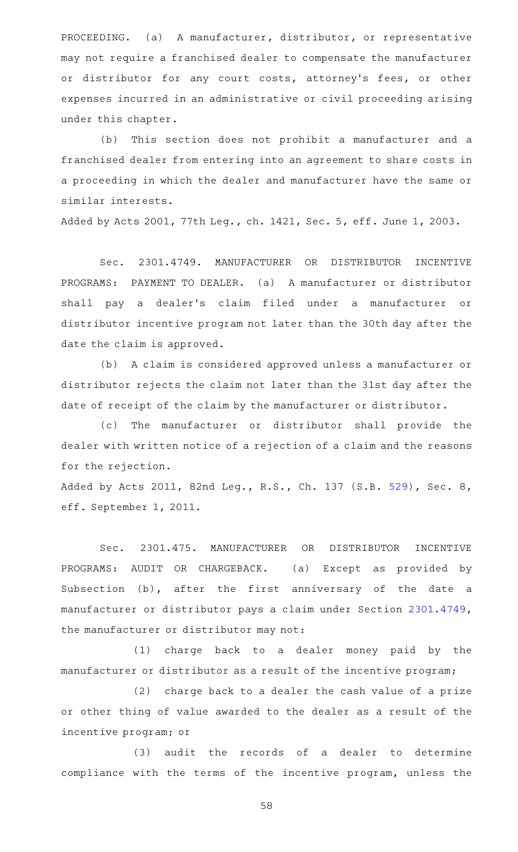PROCEEDING. (a) A manufacturer, distributor, or representative may not require a franchised dealer to compensate the manufacturer or distributor for any court costs, attorney's fees, or other expenses incurred in an administrative or civil proceeding arising under this chapter.

(b) This section does not prohibit a manufacturer and a franchised dealer from entering into an agreement to share costs in a proceeding in which the dealer and manufacturer have the same or similar interests.

Added by Acts 2001, 77th Leg., ch. 1421, Sec. 5, eff. June 1, 2003.

Sec. 2301.4749. MANUFACTURER OR DISTRIBUTOR INCENTIVE PROGRAMS: PAYMENT TO DEALER. (a) A manufacturer or distributor shall pay a dealer 's claim filed under a manufacturer or distributor incentive program not later than the 30th day after the date the claim is approved.

(b) A claim is considered approved unless a manufacturer or distributor rejects the claim not later than the 31st day after the date of receipt of the claim by the manufacturer or distributor.

(c) The manufacturer or distributor shall provide the dealer with written notice of a rejection of a claim and the reasons for the rejection.

Added by Acts 2011, 82nd Leg., R.S., Ch. 137 (S.B. [529](http://www.legis.state.tx.us/tlodocs/82R/billtext/html/SB00529F.HTM)), Sec. 8, eff. September 1, 2011.

Sec. 2301.475. MANUFACTURER OR DISTRIBUTOR INCENTIVE PROGRAMS: AUDIT OR CHARGEBACK. (a) Except as provided by Subsection (b), after the first anniversary of the date a manufacturer or distributor pays a claim under Section [2301.4749](http://www.statutes.legis.state.tx.us/GetStatute.aspx?Code=OC&Value=2301.4749), the manufacturer or distributor may not:

(1) charge back to a dealer money paid by the manufacturer or distributor as a result of the incentive program;

(2) charge back to a dealer the cash value of a prize or other thing of value awarded to the dealer as a result of the incentive program; or

(3) audit the records of a dealer to determine compliance with the terms of the incentive program, unless the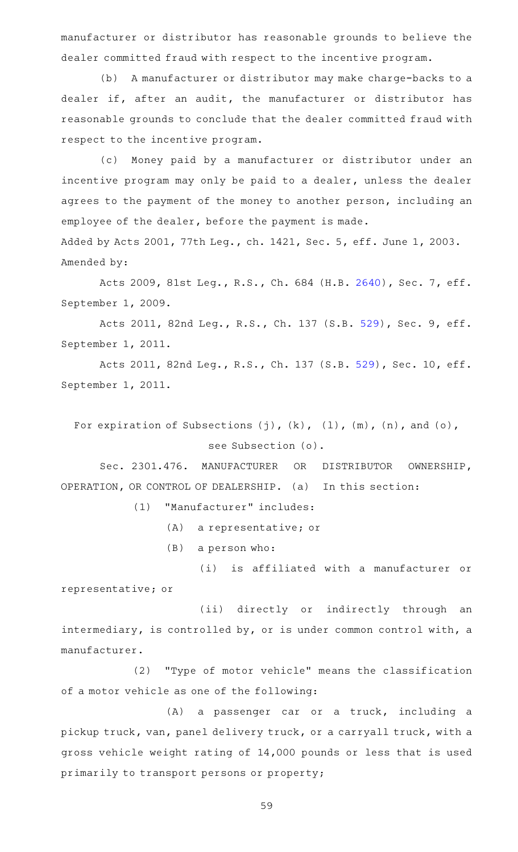manufacturer or distributor has reasonable grounds to believe the dealer committed fraud with respect to the incentive program.

(b) A manufacturer or distributor may make charge-backs to a dealer if, after an audit, the manufacturer or distributor has reasonable grounds to conclude that the dealer committed fraud with respect to the incentive program.

(c) Money paid by a manufacturer or distributor under an incentive program may only be paid to a dealer, unless the dealer agrees to the payment of the money to another person, including an employee of the dealer, before the payment is made.

Added by Acts 2001, 77th Leg., ch. 1421, Sec. 5, eff. June 1, 2003. Amended by:

Acts 2009, 81st Leg., R.S., Ch. 684 (H.B. [2640](http://www.legis.state.tx.us/tlodocs/81R/billtext/html/HB02640F.HTM)), Sec. 7, eff. September 1, 2009.

Acts 2011, 82nd Leg., R.S., Ch. 137 (S.B. [529](http://www.legis.state.tx.us/tlodocs/82R/billtext/html/SB00529F.HTM)), Sec. 9, eff. September 1, 2011.

Acts 2011, 82nd Leg., R.S., Ch. 137 (S.B. [529\)](http://www.legis.state.tx.us/tlodocs/82R/billtext/html/SB00529F.HTM), Sec. 10, eff. September 1, 2011.

For expiration of Subsections  $(j)$ ,  $(k)$ ,  $(1)$ ,  $(m)$ ,  $(n)$ , and  $(o)$ , see Subsection (o).

Sec. 2301.476. MANUFACTURER OR DISTRIBUTOR OWNERSHIP, OPERATION, OR CONTROL OF DEALERSHIP. (a) In this section:

(1) "Manufacturer" includes:

(A) a representative; or

 $(B)$  a person who:

(i) is affiliated with a manufacturer or representative; or

(ii) directly or indirectly through an intermediary, is controlled by, or is under common control with, a manufacturer.

(2) "Type of motor vehicle" means the classification of a motor vehicle as one of the following:

(A) a passenger car or a truck, including a pickup truck, van, panel delivery truck, or a carryall truck, with a gross vehicle weight rating of 14,000 pounds or less that is used primarily to transport persons or property;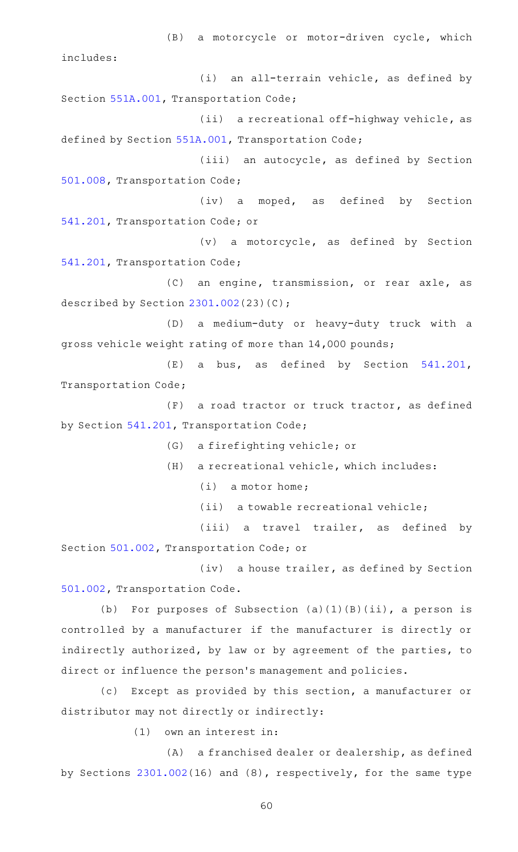(B) a motorcycle or motor-driven cycle, which includes:  $(i)$  an all-terrain vehicle, as defined by Section [551A.001](http://www.statutes.legis.state.tx.us/GetStatute.aspx?Code=TN&Value=551A.001), Transportation Code; (ii) a recreational off-highway vehicle, as defined by Section [551A.001](http://www.statutes.legis.state.tx.us/GetStatute.aspx?Code=TN&Value=551A.001), Transportation Code; (iii) an autocycle, as defined by Section [501.008,](http://www.statutes.legis.state.tx.us/GetStatute.aspx?Code=TN&Value=501.008) Transportation Code; (iv) a moped, as defined by Section [541.201,](http://www.statutes.legis.state.tx.us/GetStatute.aspx?Code=TN&Value=541.201) Transportation Code; or  $(v)$  a motorcycle, as defined by Section [541.201,](http://www.statutes.legis.state.tx.us/GetStatute.aspx?Code=TN&Value=541.201) Transportation Code; (C) an engine, transmission, or rear axle, as described by Section [2301.002](http://www.statutes.legis.state.tx.us/GetStatute.aspx?Code=OC&Value=2301.002)(23)(C); (D) a medium-duty or heavy-duty truck with a gross vehicle weight rating of more than 14,000 pounds; (E) a bus, as defined by Section [541.201](http://www.statutes.legis.state.tx.us/GetStatute.aspx?Code=TN&Value=541.201), Transportation Code;  $(F)$  a road tractor or truck tractor, as defined by Section [541.201,](http://www.statutes.legis.state.tx.us/GetStatute.aspx?Code=TN&Value=541.201) Transportation Code; (G) a firefighting vehicle; or  $(H)$  a recreational vehicle, which includes:  $(i)$  a motor home; (ii) a towable recreational vehicle; (iii) a travel trailer, as defined by Section [501.002,](http://www.statutes.legis.state.tx.us/GetStatute.aspx?Code=TN&Value=501.002) Transportation Code; or (iv) a house trailer, as defined by Section

[501.002,](http://www.statutes.legis.state.tx.us/GetStatute.aspx?Code=TN&Value=501.002) Transportation Code.

(b) For purposes of Subsection  $(a)(1)(B)(ii)$ , a person is controlled by a manufacturer if the manufacturer is directly or indirectly authorized, by law or by agreement of the parties, to direct or influence the person 's management and policies.

(c) Except as provided by this section, a manufacturer or distributor may not directly or indirectly:

 $(1)$  own an interest in:

(A) a franchised dealer or dealership, as defined by Sections [2301.002\(](http://www.statutes.legis.state.tx.us/GetStatute.aspx?Code=OC&Value=2301.002)16) and (8), respectively, for the same type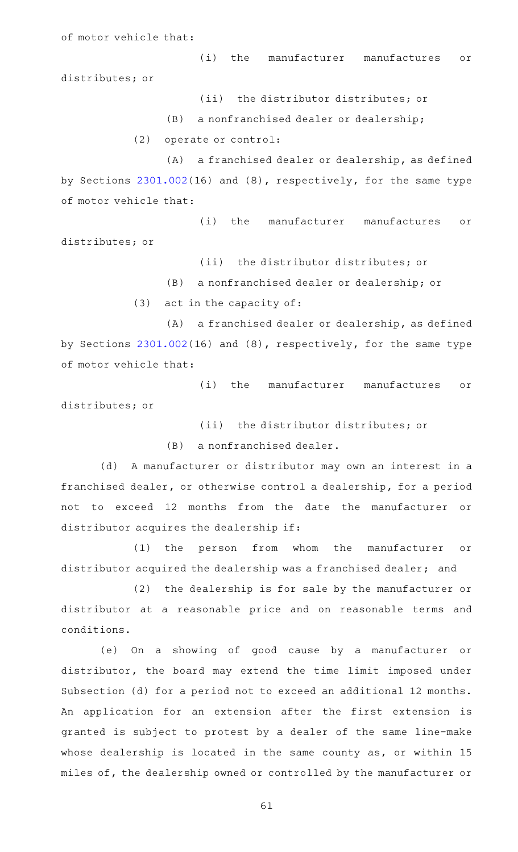of motor vehicle that:

(i) the manufacturer manufactures or distributes; or

(ii) the distributor distributes; or

 $(B)$  a nonfranchised dealer or dealership;

(2) operate or control:

 $(A)$  a franchised dealer or dealership, as defined by Sections [2301.002\(](http://www.statutes.legis.state.tx.us/GetStatute.aspx?Code=OC&Value=2301.002)16) and (8), respectively, for the same type of motor vehicle that:

(i) the manufacturer manufactures or distributes; or

(ii) the distributor distributes; or

(B) a nonfranchised dealer or dealership; or

 $(3)$  act in the capacity of:

(A) a franchised dealer or dealership, as defined by Sections [2301.002\(](http://www.statutes.legis.state.tx.us/GetStatute.aspx?Code=OC&Value=2301.002)16) and (8), respectively, for the same type of motor vehicle that:

(i) the manufacturer manufactures or distributes; or

(ii) the distributor distributes; or

(B) a nonfranchised dealer.

(d) A manufacturer or distributor may own an interest in a franchised dealer, or otherwise control a dealership, for a period not to exceed 12 months from the date the manufacturer or distributor acquires the dealership if:

(1) the person from whom the manufacturer or distributor acquired the dealership was a franchised dealer; and

(2) the dealership is for sale by the manufacturer or distributor at a reasonable price and on reasonable terms and conditions.

(e) On a showing of good cause by a manufacturer or distributor, the board may extend the time limit imposed under Subsection (d) for a period not to exceed an additional 12 months. An application for an extension after the first extension is granted is subject to protest by a dealer of the same line-make whose dealership is located in the same county as, or within 15 miles of, the dealership owned or controlled by the manufacturer or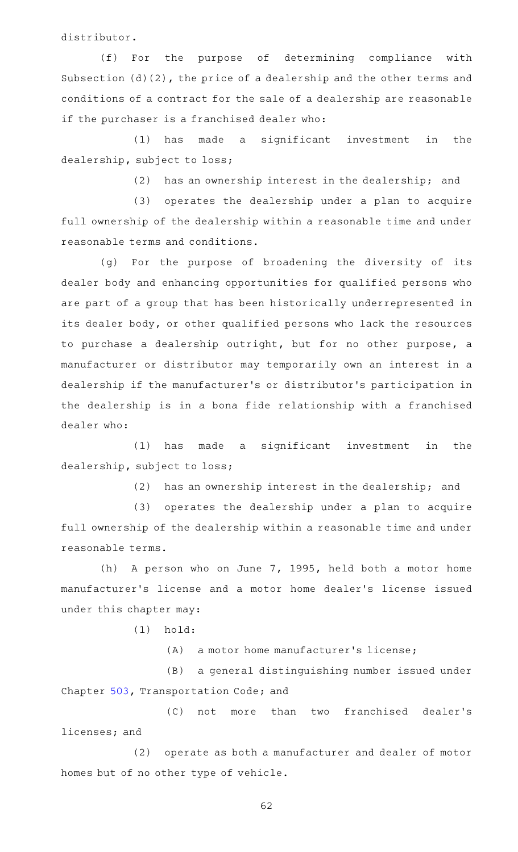distributor.

(f) For the purpose of determining compliance with Subsection (d)(2), the price of a dealership and the other terms and conditions of a contract for the sale of a dealership are reasonable if the purchaser is a franchised dealer who:

 $(1)$  has made a significant investment in the dealership, subject to loss;

(2) has an ownership interest in the dealership; and

(3) operates the dealership under a plan to acquire full ownership of the dealership within a reasonable time and under reasonable terms and conditions.

(g) For the purpose of broadening the diversity of its dealer body and enhancing opportunities for qualified persons who are part of a group that has been historically underrepresented in its dealer body, or other qualified persons who lack the resources to purchase a dealership outright, but for no other purpose, a manufacturer or distributor may temporarily own an interest in a dealership if the manufacturer 's or distributor 's participation in the dealership is in a bona fide relationship with a franchised dealer who:

 $(1)$  has made a significant investment in the dealership, subject to loss;

(2) has an ownership interest in the dealership; and

(3) operates the dealership under a plan to acquire full ownership of the dealership within a reasonable time and under reasonable terms.

(h) A person who on June 7, 1995, held both a motor home manufacturer 's license and a motor home dealer 's license issued under this chapter may:

 $(1)$  hold:

 $(A)$  a motor home manufacturer's license;

(B) a general distinguishing number issued under Chapter [503,](http://www.statutes.legis.state.tx.us/GetStatute.aspx?Code=TN&Value=503) Transportation Code; and

(C) not more than two franchised dealer's licenses; and

(2) operate as both a manufacturer and dealer of motor homes but of no other type of vehicle.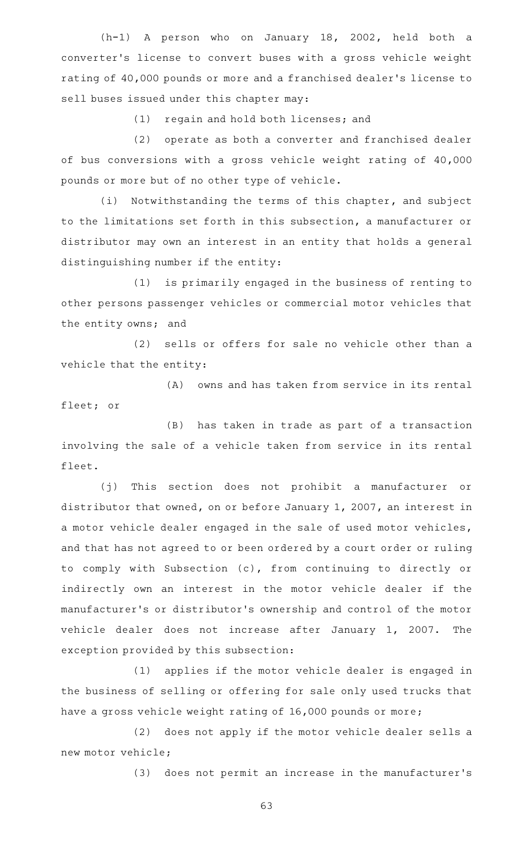(h-1) A person who on January 18, 2002, held both a converter 's license to convert buses with a gross vehicle weight rating of 40,000 pounds or more and a franchised dealer 's license to sell buses issued under this chapter may:

(1) regain and hold both licenses; and

(2) operate as both a converter and franchised dealer of bus conversions with a gross vehicle weight rating of 40,000 pounds or more but of no other type of vehicle.

(i) Notwithstanding the terms of this chapter, and subject to the limitations set forth in this subsection, a manufacturer or distributor may own an interest in an entity that holds a general distinguishing number if the entity:

(1) is primarily engaged in the business of renting to other persons passenger vehicles or commercial motor vehicles that the entity owns; and

(2) sells or offers for sale no vehicle other than a vehicle that the entity:

(A) owns and has taken from service in its rental fleet; or

 $(B)$  has taken in trade as part of a transaction involving the sale of a vehicle taken from service in its rental fleet.

(j) This section does not prohibit a manufacturer or distributor that owned, on or before January 1, 2007, an interest in a motor vehicle dealer engaged in the sale of used motor vehicles, and that has not agreed to or been ordered by a court order or ruling to comply with Subsection (c), from continuing to directly or indirectly own an interest in the motor vehicle dealer if the manufacturer 's or distributor 's ownership and control of the motor vehicle dealer does not increase after January 1, 2007. The exception provided by this subsection:

(1) applies if the motor vehicle dealer is engaged in the business of selling or offering for sale only used trucks that have a gross vehicle weight rating of 16,000 pounds or more;

(2) does not apply if the motor vehicle dealer sells a new motor vehicle;

(3) does not permit an increase in the manufacturer's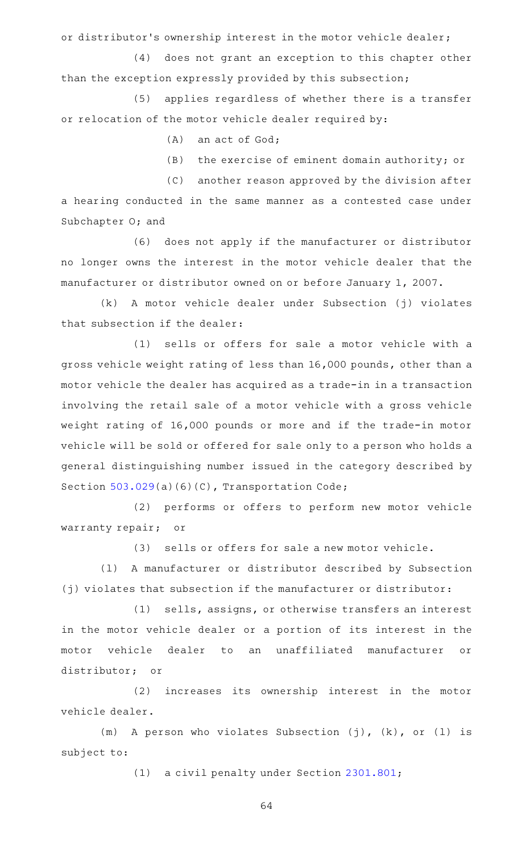or distributor 's ownership interest in the motor vehicle dealer;

(4) does not grant an exception to this chapter other than the exception expressly provided by this subsection;

(5) applies regardless of whether there is a transfer or relocation of the motor vehicle dealer required by:

- $(A)$  an act of God;
- $(B)$  the exercise of eminent domain authority; or

(C) another reason approved by the division after a hearing conducted in the same manner as a contested case under Subchapter O; and

(6) does not apply if the manufacturer or distributor no longer owns the interest in the motor vehicle dealer that the manufacturer or distributor owned on or before January 1, 2007.

(k)AAA motor vehicle dealer under Subsection (j) violates that subsection if the dealer:

(1) sells or offers for sale a motor vehicle with a gross vehicle weight rating of less than 16,000 pounds, other than a motor vehicle the dealer has acquired as a trade-in in a transaction involving the retail sale of a motor vehicle with a gross vehicle weight rating of 16,000 pounds or more and if the trade-in motor vehicle will be sold or offered for sale only to a person who holds a general distinguishing number issued in the category described by Section [503.029\(](http://www.statutes.legis.state.tx.us/GetStatute.aspx?Code=TN&Value=503.029)a)(6)(C), Transportation Code;

(2) performs or offers to perform new motor vehicle warranty repair; or

(3) sells or offers for sale a new motor vehicle.

(1) A manufacturer or distributor described by Subsection (j) violates that subsection if the manufacturer or distributor:

(1) sells, assigns, or otherwise transfers an interest in the motor vehicle dealer or a portion of its interest in the motor vehicle dealer to an unaffiliated manufacturer or distributor; or

(2) increases its ownership interest in the motor vehicle dealer.

(m) A person who violates Subsection (j),  $(k)$ , or (l) is subject to:

(1) a civil penalty under Section [2301.801;](http://www.statutes.legis.state.tx.us/GetStatute.aspx?Code=OC&Value=2301.801)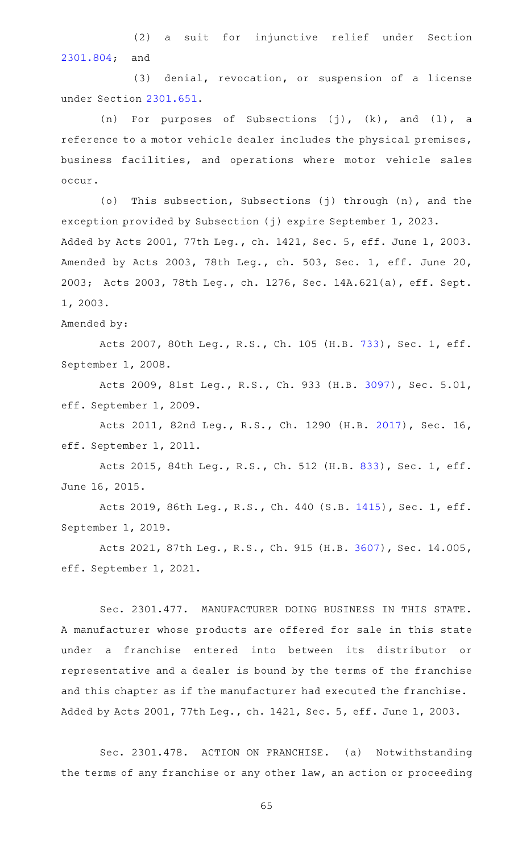(2) a suit for injunctive relief under Section [2301.804](http://www.statutes.legis.state.tx.us/GetStatute.aspx?Code=OC&Value=2301.804); and

(3) denial, revocation, or suspension of a license under Section [2301.651](http://www.statutes.legis.state.tx.us/GetStatute.aspx?Code=OC&Value=2301.651).

(n) For purposes of Subsections (j),  $(k)$ , and  $(1)$ , a reference to a motor vehicle dealer includes the physical premises, business facilities, and operations where motor vehicle sales occur.

(o) This subsection, Subsections (j) through (n), and the exception provided by Subsection (j) expire September 1, 2023. Added by Acts 2001, 77th Leg., ch. 1421, Sec. 5, eff. June 1, 2003. Amended by Acts 2003, 78th Leg., ch. 503, Sec. 1, eff. June 20, 2003; Acts 2003, 78th Leg., ch. 1276, Sec. 14A.621(a), eff. Sept. 1, 2003.

Amended by:

Acts 2007, 80th Leg., R.S., Ch. 105 (H.B. [733](http://www.legis.state.tx.us/tlodocs/80R/billtext/html/HB00733F.HTM)), Sec. 1, eff. September 1, 2008.

Acts 2009, 81st Leg., R.S., Ch. 933 (H.B. [3097\)](http://www.legis.state.tx.us/tlodocs/81R/billtext/html/HB03097F.HTM), Sec. 5.01, eff. September 1, 2009.

Acts 2011, 82nd Leg., R.S., Ch. 1290 (H.B. [2017](http://www.legis.state.tx.us/tlodocs/82R/billtext/html/HB02017F.HTM)), Sec. 16, eff. September 1, 2011.

Acts 2015, 84th Leg., R.S., Ch. 512 (H.B. [833](http://www.legis.state.tx.us/tlodocs/84R/billtext/html/HB00833F.HTM)), Sec. 1, eff. June 16, 2015.

Acts 2019, 86th Leg., R.S., Ch. 440 (S.B. [1415](http://www.legis.state.tx.us/tlodocs/86R/billtext/html/SB01415F.HTM)), Sec. 1, eff. September 1, 2019.

Acts 2021, 87th Leg., R.S., Ch. 915 (H.B. [3607\)](http://www.legis.state.tx.us/tlodocs/87R/billtext/html/HB03607F.HTM), Sec. 14.005, eff. September 1, 2021.

Sec. 2301.477. MANUFACTURER DOING BUSINESS IN THIS STATE. A manufacturer whose products are offered for sale in this state under a franchise entered into between its distributor or representative and a dealer is bound by the terms of the franchise and this chapter as if the manufacturer had executed the franchise. Added by Acts 2001, 77th Leg., ch. 1421, Sec. 5, eff. June 1, 2003.

Sec. 2301.478. ACTION ON FRANCHISE. (a) Notwithstanding the terms of any franchise or any other law, an action or proceeding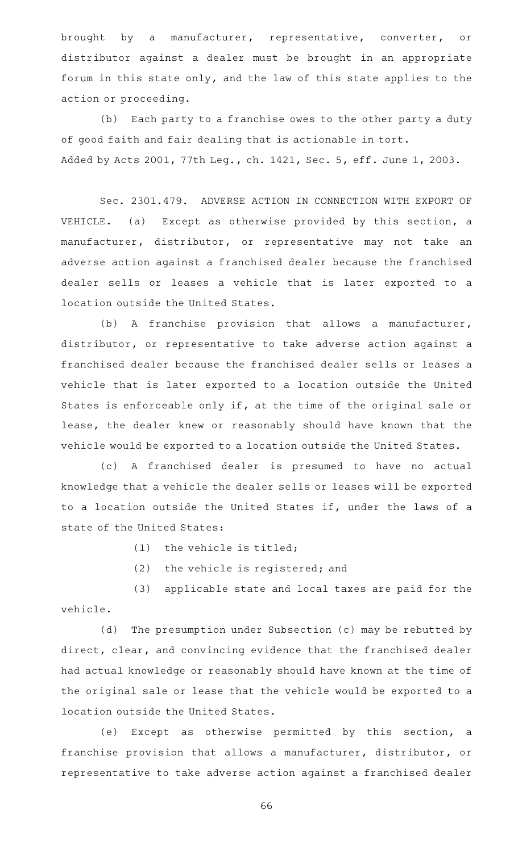brought by a manufacturer, representative, converter, or distributor against a dealer must be brought in an appropriate forum in this state only, and the law of this state applies to the action or proceeding.

(b) Each party to a franchise owes to the other party a duty of good faith and fair dealing that is actionable in tort. Added by Acts 2001, 77th Leg., ch. 1421, Sec. 5, eff. June 1, 2003.

Sec. 2301.479. ADVERSE ACTION IN CONNECTION WITH EXPORT OF VEHICLE. (a) Except as otherwise provided by this section, a manufacturer, distributor, or representative may not take an adverse action against a franchised dealer because the franchised dealer sells or leases a vehicle that is later exported to a location outside the United States.

 $(b)$  A franchise provision that allows a manufacturer, distributor, or representative to take adverse action against a franchised dealer because the franchised dealer sells or leases a vehicle that is later exported to a location outside the United States is enforceable only if, at the time of the original sale or lease, the dealer knew or reasonably should have known that the vehicle would be exported to a location outside the United States.

(c)AAA franchised dealer is presumed to have no actual knowledge that a vehicle the dealer sells or leases will be exported to a location outside the United States if, under the laws of a state of the United States:

 $(1)$  the vehicle is titled;

 $(2)$  the vehicle is registered; and

(3) applicable state and local taxes are paid for the vehicle.

(d) The presumption under Subsection (c) may be rebutted by direct, clear, and convincing evidence that the franchised dealer had actual knowledge or reasonably should have known at the time of the original sale or lease that the vehicle would be exported to a location outside the United States.

(e) Except as otherwise permitted by this section, a franchise provision that allows a manufacturer, distributor, or representative to take adverse action against a franchised dealer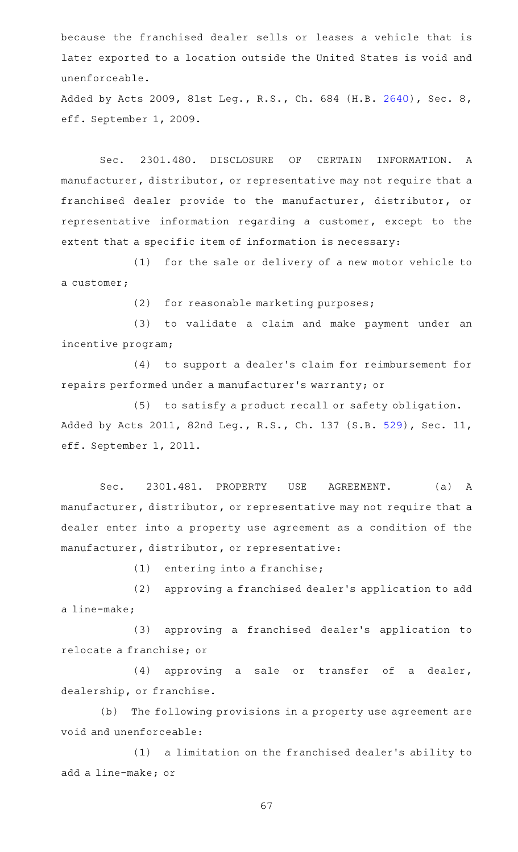because the franchised dealer sells or leases a vehicle that is later exported to a location outside the United States is void and unenforceable.

Added by Acts 2009, 81st Leg., R.S., Ch. 684 (H.B. [2640](http://www.legis.state.tx.us/tlodocs/81R/billtext/html/HB02640F.HTM)), Sec. 8, eff. September 1, 2009.

Sec. 2301.480. DISCLOSURE OF CERTAIN INFORMATION. A manufacturer, distributor, or representative may not require that a franchised dealer provide to the manufacturer, distributor, or representative information regarding a customer, except to the extent that a specific item of information is necessary:

(1) for the sale or delivery of a new motor vehicle to a customer;

(2) for reasonable marketing purposes;

(3) to validate a claim and make payment under an incentive program;

(4) to support a dealer's claim for reimbursement for repairs performed under a manufacturer 's warranty; or

(5) to satisfy a product recall or safety obligation. Added by Acts 2011, 82nd Leg., R.S., Ch. 137 (S.B. [529\)](http://www.legis.state.tx.us/tlodocs/82R/billtext/html/SB00529F.HTM), Sec. 11, eff. September 1, 2011.

Sec. 2301.481. PROPERTY USE AGREEMENT. (a) A manufacturer, distributor, or representative may not require that a dealer enter into a property use agreement as a condition of the manufacturer, distributor, or representative:

 $(1)$  entering into a franchise;

(2) approving a franchised dealer's application to add a line-make;

(3) approving a franchised dealer's application to relocate a franchise; or

(4) approving a sale or transfer of a dealer, dealership, or franchise.

(b) The following provisions in a property use agreement are void and unenforceable:

(1) a limitation on the franchised dealer's ability to add a line-make; or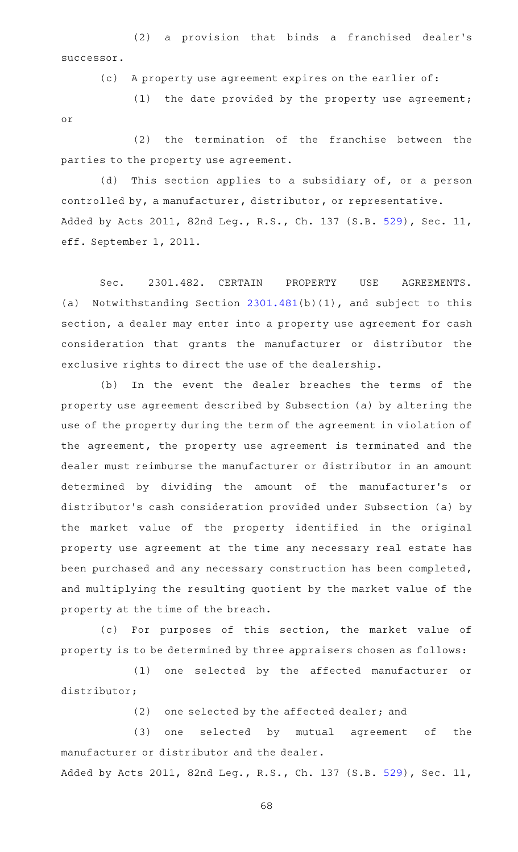(2) a provision that binds a franchised dealer's successor.

(c) A property use agreement expires on the earlier of:

(1) the date provided by the property use agreement; or

 $(2)$  the termination of the franchise between the parties to the property use agreement.

(d) This section applies to a subsidiary of, or a person controlled by, a manufacturer, distributor, or representative. Added by Acts 2011, 82nd Leg., R.S., Ch. 137 (S.B. [529\)](http://www.legis.state.tx.us/tlodocs/82R/billtext/html/SB00529F.HTM), Sec. 11, eff. September 1, 2011.

Sec. 2301.482. CERTAIN PROPERTY USE AGREEMENTS. (a) Notwithstanding Section  $2301.481(b)(1)$  $2301.481(b)(1)$ , and subject to this section, a dealer may enter into a property use agreement for cash consideration that grants the manufacturer or distributor the exclusive rights to direct the use of the dealership.

(b) In the event the dealer breaches the terms of the property use agreement described by Subsection (a) by altering the use of the property during the term of the agreement in violation of the agreement, the property use agreement is terminated and the dealer must reimburse the manufacturer or distributor in an amount determined by dividing the amount of the manufacturer 's or distributor 's cash consideration provided under Subsection (a) by the market value of the property identified in the original property use agreement at the time any necessary real estate has been purchased and any necessary construction has been completed, and multiplying the resulting quotient by the market value of the property at the time of the breach.

(c) For purposes of this section, the market value of property is to be determined by three appraisers chosen as follows:

(1) one selected by the affected manufacturer or distributor;

(2) one selected by the affected dealer; and

(3) one selected by mutual agreement of the manufacturer or distributor and the dealer.

Added by Acts 2011, 82nd Leg., R.S., Ch. 137 (S.B. [529\)](http://www.legis.state.tx.us/tlodocs/82R/billtext/html/SB00529F.HTM), Sec. 11,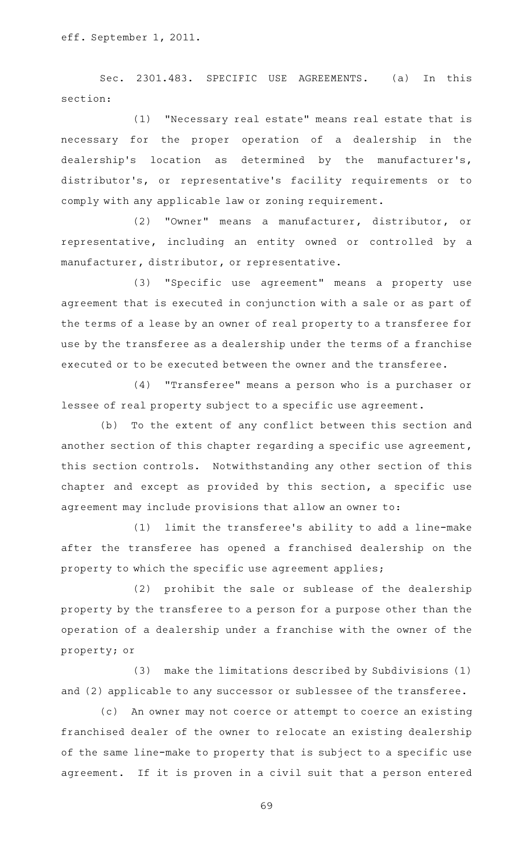Sec. 2301.483. SPECIFIC USE AGREEMENTS. (a) In this section:

(1) "Necessary real estate" means real estate that is necessary for the proper operation of a dealership in the dealership's location as determined by the manufacturer's, distributor 's, or representative 's facility requirements or to comply with any applicable law or zoning requirement.

(2) "Owner" means a manufacturer, distributor, or representative, including an entity owned or controlled by a manufacturer, distributor, or representative.

(3) "Specific use agreement" means a property use agreement that is executed in conjunction with a sale or as part of the terms of a lease by an owner of real property to a transferee for use by the transferee as a dealership under the terms of a franchise executed or to be executed between the owner and the transferee.

(4) "Transferee" means a person who is a purchaser or lessee of real property subject to a specific use agreement.

(b) To the extent of any conflict between this section and another section of this chapter regarding a specific use agreement, this section controls. Notwithstanding any other section of this chapter and except as provided by this section, a specific use agreement may include provisions that allow an owner to:

(1) limit the transferee's ability to add a line-make after the transferee has opened a franchised dealership on the property to which the specific use agreement applies;

(2) prohibit the sale or sublease of the dealership property by the transferee to a person for a purpose other than the operation of a dealership under a franchise with the owner of the property; or

(3) make the limitations described by Subdivisions (1) and (2) applicable to any successor or sublessee of the transferee.

(c) An owner may not coerce or attempt to coerce an existing franchised dealer of the owner to relocate an existing dealership of the same line-make to property that is subject to a specific use agreement. If it is proven in a civil suit that a person entered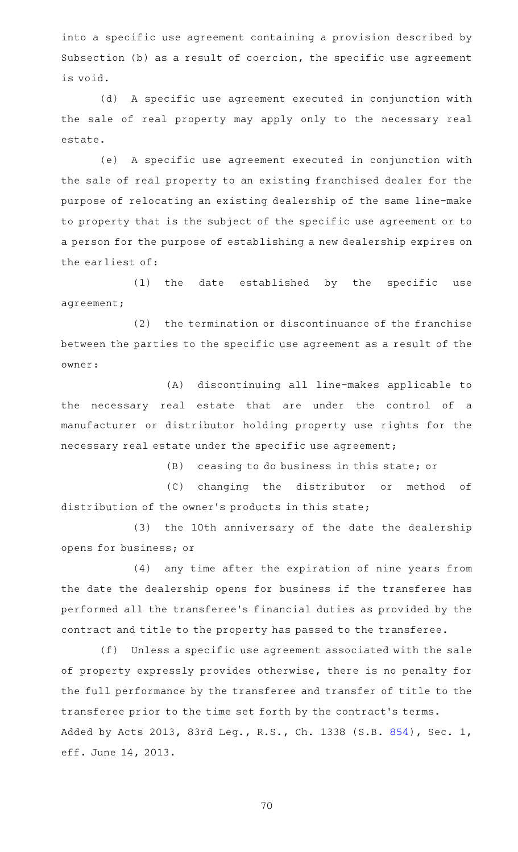into a specific use agreement containing a provision described by Subsection (b) as a result of coercion, the specific use agreement is void.

(d) A specific use agreement executed in conjunction with the sale of real property may apply only to the necessary real estate.

(e) A specific use agreement executed in conjunction with the sale of real property to an existing franchised dealer for the purpose of relocating an existing dealership of the same line-make to property that is the subject of the specific use agreement or to a person for the purpose of establishing a new dealership expires on the earliest of:

 $(1)$  the date established by the specific use agreement;

 $(2)$  the termination or discontinuance of the franchise between the parties to the specific use agreement as a result of the owner:

(A) discontinuing all line-makes applicable to the necessary real estate that are under the control of a manufacturer or distributor holding property use rights for the necessary real estate under the specific use agreement;

 $(B)$  ceasing to do business in this state; or

(C) changing the distributor or method of distribution of the owner 's products in this state;

(3) the 10th anniversary of the date the dealership opens for business; or

(4) any time after the expiration of nine years from the date the dealership opens for business if the transferee has performed all the transferee 's financial duties as provided by the contract and title to the property has passed to the transferee.

(f) Unless a specific use agreement associated with the sale of property expressly provides otherwise, there is no penalty for the full performance by the transferee and transfer of title to the transferee prior to the time set forth by the contract 's terms. Added by Acts 2013, 83rd Leg., R.S., Ch. 1338 (S.B. [854](http://www.legis.state.tx.us/tlodocs/83R/billtext/html/SB00854F.HTM)), Sec. 1, eff. June 14, 2013.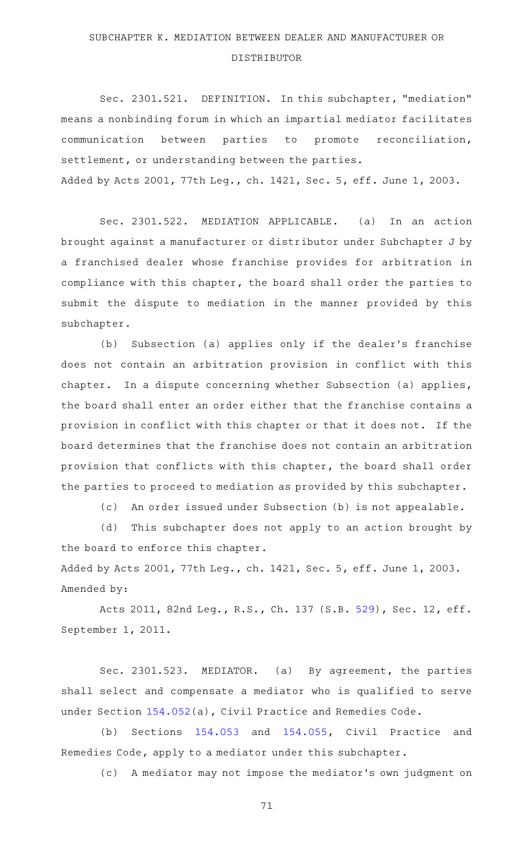#### SUBCHAPTER K. MEDIATION BETWEEN DEALER AND MANUFACTURER OR

#### DISTRIBUTOR

Sec. 2301.521. DEFINITION. In this subchapter, "mediation" means a nonbinding forum in which an impartial mediator facilitates communication between parties to promote reconciliation, settlement, or understanding between the parties. Added by Acts 2001, 77th Leg., ch. 1421, Sec. 5, eff. June 1, 2003.

Sec. 2301.522. MEDIATION APPLICABLE. (a) In an action brought against a manufacturer or distributor under Subchapter J by a franchised dealer whose franchise provides for arbitration in compliance with this chapter, the board shall order the parties to submit the dispute to mediation in the manner provided by this subchapter.

(b) Subsection (a) applies only if the dealer's franchise does not contain an arbitration provision in conflict with this chapter. In a dispute concerning whether Subsection (a) applies, the board shall enter an order either that the franchise contains a provision in conflict with this chapter or that it does not. If the board determines that the franchise does not contain an arbitration provision that conflicts with this chapter, the board shall order the parties to proceed to mediation as provided by this subchapter.

(c) An order issued under Subsection (b) is not appealable.

(d) This subchapter does not apply to an action brought by the board to enforce this chapter.

Added by Acts 2001, 77th Leg., ch. 1421, Sec. 5, eff. June 1, 2003. Amended by:

Acts 2011, 82nd Leg., R.S., Ch. 137 (S.B. [529\)](http://www.legis.state.tx.us/tlodocs/82R/billtext/html/SB00529F.HTM), Sec. 12, eff. September 1, 2011.

Sec. 2301.523. MEDIATOR. (a) By agreement, the parties shall select and compensate a mediator who is qualified to serve under Section [154.052](http://www.statutes.legis.state.tx.us/GetStatute.aspx?Code=CP&Value=154.052)(a), Civil Practice and Remedies Code.

(b) Sections  $154.053$  and  $154.055$ , Civil Practice and Remedies Code, apply to a mediator under this subchapter.

(c)AAA mediator may not impose the mediator 's own judgment on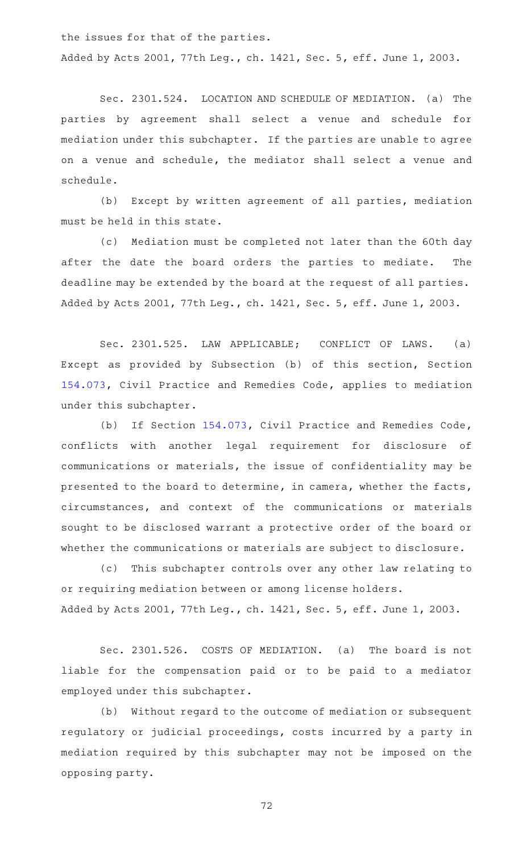the issues for that of the parties.

Added by Acts 2001, 77th Leg., ch. 1421, Sec. 5, eff. June 1, 2003.

Sec. 2301.524. LOCATION AND SCHEDULE OF MEDIATION. (a) The parties by agreement shall select a venue and schedule for mediation under this subchapter. If the parties are unable to agree on a venue and schedule, the mediator shall select a venue and schedule.

(b) Except by written agreement of all parties, mediation must be held in this state.

(c) Mediation must be completed not later than the 60th day after the date the board orders the parties to mediate. The deadline may be extended by the board at the request of all parties. Added by Acts 2001, 77th Leg., ch. 1421, Sec. 5, eff. June 1, 2003.

Sec. 2301.525. LAW APPLICABLE; CONFLICT OF LAWS. (a) Except as provided by Subsection (b) of this section, Section [154.073,](http://www.statutes.legis.state.tx.us/GetStatute.aspx?Code=CP&Value=154.073) Civil Practice and Remedies Code, applies to mediation under this subchapter.

(b) If Section [154.073,](http://www.statutes.legis.state.tx.us/GetStatute.aspx?Code=CP&Value=154.073) Civil Practice and Remedies Code, conflicts with another legal requirement for disclosure of communications or materials, the issue of confidentiality may be presented to the board to determine, in camera, whether the facts, circumstances, and context of the communications or materials sought to be disclosed warrant a protective order of the board or whether the communications or materials are subject to disclosure.

(c) This subchapter controls over any other law relating to or requiring mediation between or among license holders. Added by Acts 2001, 77th Leg., ch. 1421, Sec. 5, eff. June 1, 2003.

Sec. 2301.526. COSTS OF MEDIATION. (a) The board is not liable for the compensation paid or to be paid to a mediator employed under this subchapter.

(b) Without regard to the outcome of mediation or subsequent regulatory or judicial proceedings, costs incurred by a party in mediation required by this subchapter may not be imposed on the opposing party.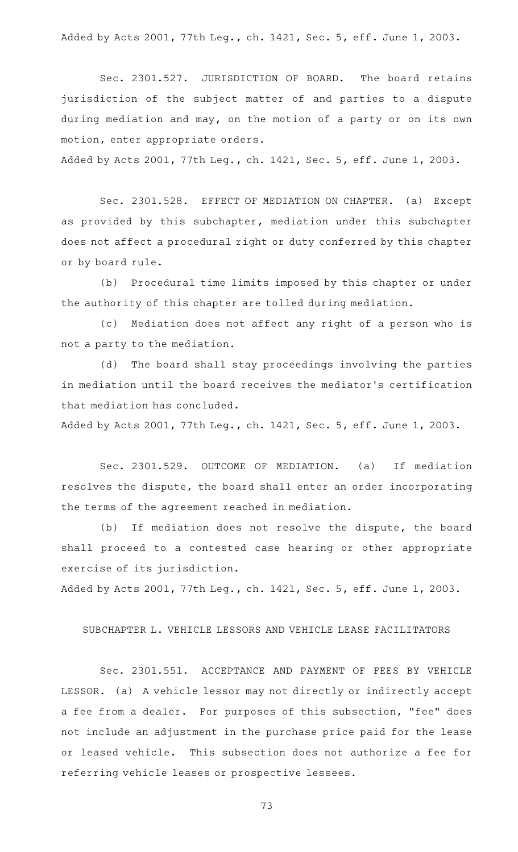Added by Acts 2001, 77th Leg., ch. 1421, Sec. 5, eff. June 1, 2003.

Sec. 2301.527. JURISDICTION OF BOARD. The board retains jurisdiction of the subject matter of and parties to a dispute during mediation and may, on the motion of a party or on its own motion, enter appropriate orders.

Added by Acts 2001, 77th Leg., ch. 1421, Sec. 5, eff. June 1, 2003.

Sec. 2301.528. EFFECT OF MEDIATION ON CHAPTER. (a) Except as provided by this subchapter, mediation under this subchapter does not affect a procedural right or duty conferred by this chapter or by board rule.

(b) Procedural time limits imposed by this chapter or under the authority of this chapter are tolled during mediation.

(c) Mediation does not affect any right of a person who is not a party to the mediation.

(d) The board shall stay proceedings involving the parties in mediation until the board receives the mediator 's certification that mediation has concluded.

Added by Acts 2001, 77th Leg., ch. 1421, Sec. 5, eff. June 1, 2003.

Sec. 2301.529. OUTCOME OF MEDIATION. (a) If mediation resolves the dispute, the board shall enter an order incorporating the terms of the agreement reached in mediation.

(b) If mediation does not resolve the dispute, the board shall proceed to a contested case hearing or other appropriate exercise of its jurisdiction.

Added by Acts 2001, 77th Leg., ch. 1421, Sec. 5, eff. June 1, 2003.

## SUBCHAPTER L. VEHICLE LESSORS AND VEHICLE LEASE FACILITATORS

Sec. 2301.551. ACCEPTANCE AND PAYMENT OF FEES BY VEHICLE LESSOR. (a) A vehicle lessor may not directly or indirectly accept a fee from a dealer. For purposes of this subsection, "fee" does not include an adjustment in the purchase price paid for the lease or leased vehicle. This subsection does not authorize a fee for referring vehicle leases or prospective lessees.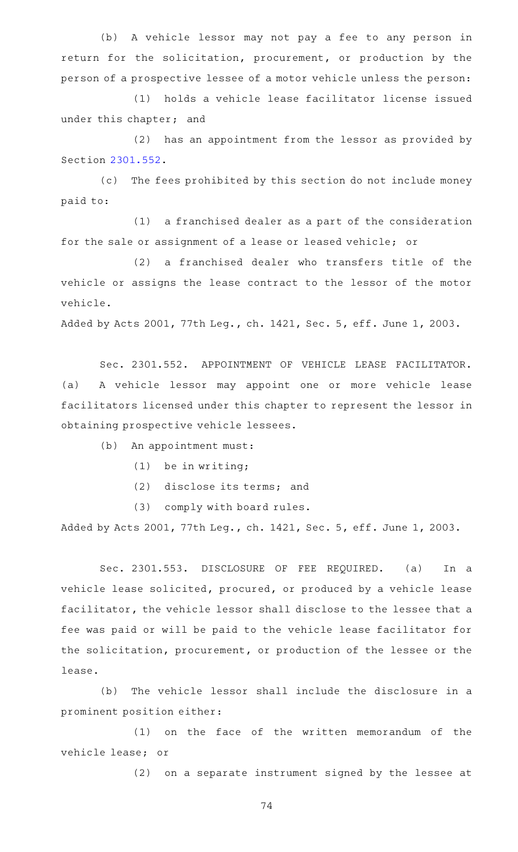(b) A vehicle lessor may not pay a fee to any person in return for the solicitation, procurement, or production by the person of a prospective lessee of a motor vehicle unless the person:

(1) holds a vehicle lease facilitator license issued under this chapter; and

 $(2)$  has an appointment from the lessor as provided by Section [2301.552](http://www.statutes.legis.state.tx.us/GetStatute.aspx?Code=OC&Value=2301.552).

(c) The fees prohibited by this section do not include money paid to:

 $(1)$  a franchised dealer as a part of the consideration for the sale or assignment of a lease or leased vehicle; or

(2) a franchised dealer who transfers title of the vehicle or assigns the lease contract to the lessor of the motor vehicle.

Added by Acts 2001, 77th Leg., ch. 1421, Sec. 5, eff. June 1, 2003.

Sec. 2301.552. APPOINTMENT OF VEHICLE LEASE FACILITATOR. (a) A vehicle lessor may appoint one or more vehicle lease facilitators licensed under this chapter to represent the lessor in obtaining prospective vehicle lessees.

(b) An appointment must:

- $(1)$  be in writing;
- (2) disclose its terms; and

(3) comply with board rules.

Added by Acts 2001, 77th Leg., ch. 1421, Sec. 5, eff. June 1, 2003.

Sec. 2301.553. DISCLOSURE OF FEE REQUIRED. (a) In a vehicle lease solicited, procured, or produced by a vehicle lease facilitator, the vehicle lessor shall disclose to the lessee that a fee was paid or will be paid to the vehicle lease facilitator for the solicitation, procurement, or production of the lessee or the lease.

(b) The vehicle lessor shall include the disclosure in a prominent position either:

(1) on the face of the written memorandum of the vehicle lease; or

(2) on a separate instrument signed by the lessee at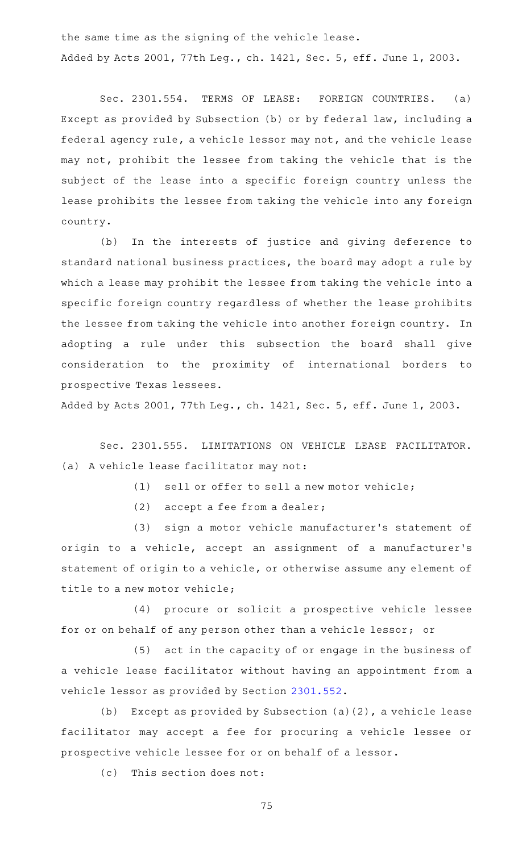the same time as the signing of the vehicle lease. Added by Acts 2001, 77th Leg., ch. 1421, Sec. 5, eff. June 1, 2003.

Sec. 2301.554. TERMS OF LEASE: FOREIGN COUNTRIES. (a) Except as provided by Subsection (b) or by federal law, including a federal agency rule, a vehicle lessor may not, and the vehicle lease may not, prohibit the lessee from taking the vehicle that is the subject of the lease into a specific foreign country unless the lease prohibits the lessee from taking the vehicle into any foreign country.

(b) In the interests of justice and giving deference to standard national business practices, the board may adopt a rule by which a lease may prohibit the lessee from taking the vehicle into a specific foreign country regardless of whether the lease prohibits the lessee from taking the vehicle into another foreign country. In adopting a rule under this subsection the board shall give consideration to the proximity of international borders to prospective Texas lessees.

Added by Acts 2001, 77th Leg., ch. 1421, Sec. 5, eff. June 1, 2003.

Sec. 2301.555. LIMITATIONS ON VEHICLE LEASE FACILITATOR. (a) A vehicle lease facilitator may not:

 $(1)$  sell or offer to sell a new motor vehicle;

(2) accept a fee from a dealer;

(3) sign a motor vehicle manufacturer's statement of origin to a vehicle, accept an assignment of a manufacturer 's statement of origin to a vehicle, or otherwise assume any element of title to a new motor vehicle;

(4) procure or solicit a prospective vehicle lessee for or on behalf of any person other than a vehicle lessor; or

(5) act in the capacity of or engage in the business of a vehicle lease facilitator without having an appointment from a vehicle lessor as provided by Section [2301.552](http://www.statutes.legis.state.tx.us/GetStatute.aspx?Code=OC&Value=2301.552).

(b) Except as provided by Subsection (a)(2), a vehicle lease facilitator may accept a fee for procuring a vehicle lessee or prospective vehicle lessee for or on behalf of a lessor.

 $(c)$  This section does not: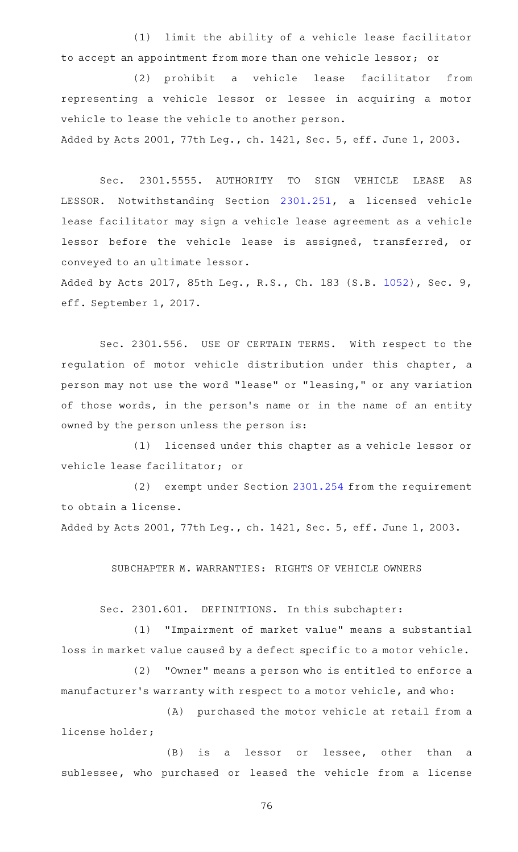(1) limit the ability of a vehicle lease facilitator to accept an appointment from more than one vehicle lessor; or

(2) prohibit a vehicle lease facilitator from representing a vehicle lessor or lessee in acquiring a motor vehicle to lease the vehicle to another person.

Added by Acts 2001, 77th Leg., ch. 1421, Sec. 5, eff. June 1, 2003.

Sec. 2301.5555. AUTHORITY TO SIGN VEHICLE LEASE AS LESSOR. Notwithstanding Section [2301.251,](http://www.statutes.legis.state.tx.us/GetStatute.aspx?Code=OC&Value=2301.251) a licensed vehicle lease facilitator may sign a vehicle lease agreement as a vehicle lessor before the vehicle lease is assigned, transferred, or conveyed to an ultimate lessor.

Added by Acts 2017, 85th Leg., R.S., Ch. 183 (S.B. [1052](http://www.legis.state.tx.us/tlodocs/85R/billtext/html/SB01052F.HTM)), Sec. 9, eff. September 1, 2017.

Sec. 2301.556. USE OF CERTAIN TERMS. With respect to the regulation of motor vehicle distribution under this chapter, a person may not use the word "lease" or "leasing," or any variation of those words, in the person's name or in the name of an entity owned by the person unless the person is:

(1) licensed under this chapter as a vehicle lessor or vehicle lease facilitator; or

(2) exempt under Section [2301.254](http://www.statutes.legis.state.tx.us/GetStatute.aspx?Code=OC&Value=2301.254) from the requirement to obtain a license.

Added by Acts 2001, 77th Leg., ch. 1421, Sec. 5, eff. June 1, 2003.

SUBCHAPTER M. WARRANTIES: RIGHTS OF VEHICLE OWNERS

Sec. 2301.601. DEFINITIONS. In this subchapter:

(1) "Impairment of market value" means a substantial loss in market value caused by a defect specific to a motor vehicle.

(2) "Owner" means a person who is entitled to enforce a manufacturer 's warranty with respect to a motor vehicle, and who:

(A) purchased the motor vehicle at retail from a license holder;

(B) is a lessor or lessee, other than a sublessee, who purchased or leased the vehicle from a license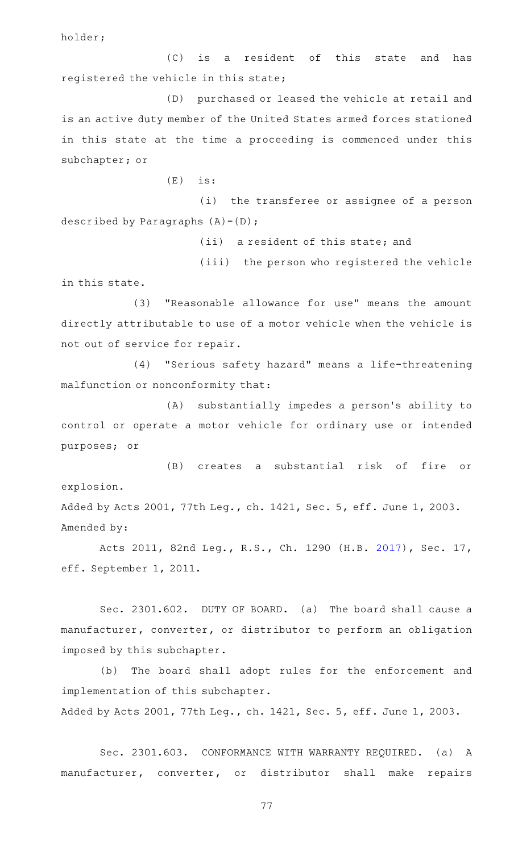holder;

(C) is a resident of this state and has registered the vehicle in this state;

(D) purchased or leased the vehicle at retail and is an active duty member of the United States armed forces stationed in this state at the time a proceeding is commenced under this subchapter; or

 $(E)$  is:

(i) the transferee or assignee of a person described by Paragraphs  $(A) - (D)$ ;

(ii) a resident of this state; and

(iii) the person who registered the vehicle in this state.

(3) "Reasonable allowance for use" means the amount directly attributable to use of a motor vehicle when the vehicle is not out of service for repair.

(4) "Serious safety hazard" means a life-threatening malfunction or nonconformity that:

(A) substantially impedes a person's ability to control or operate a motor vehicle for ordinary use or intended purposes; or

(B) creates a substantial risk of fire or explosion. Added by Acts 2001, 77th Leg., ch. 1421, Sec. 5, eff. June 1, 2003.

Amended by:

Acts 2011, 82nd Leg., R.S., Ch. 1290 (H.B. [2017](http://www.legis.state.tx.us/tlodocs/82R/billtext/html/HB02017F.HTM)), Sec. 17, eff. September 1, 2011.

Sec. 2301.602. DUTY OF BOARD. (a) The board shall cause a manufacturer, converter, or distributor to perform an obligation imposed by this subchapter.

(b) The board shall adopt rules for the enforcement and implementation of this subchapter. Added by Acts 2001, 77th Leg., ch. 1421, Sec. 5, eff. June 1, 2003.

Sec. 2301.603. CONFORMANCE WITH WARRANTY REQUIRED. (a) A manufacturer, converter, or distributor shall make repairs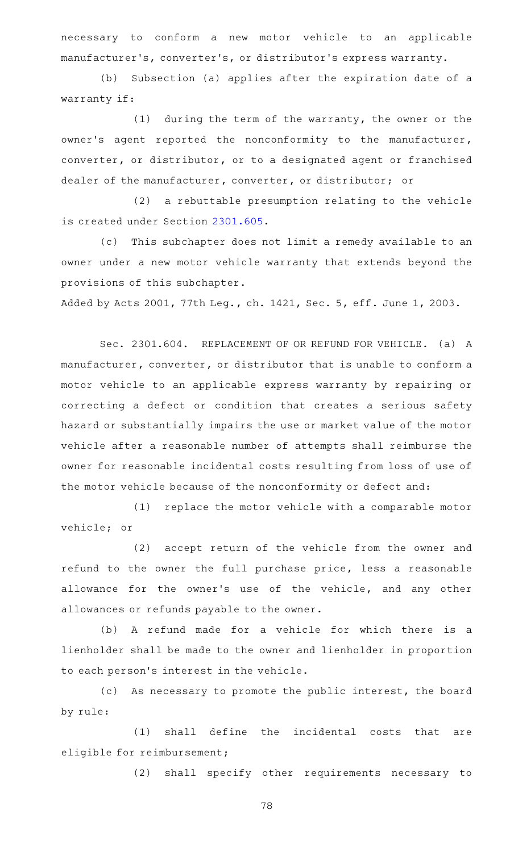necessary to conform a new motor vehicle to an applicable manufacturer 's, converter 's, or distributor 's express warranty.

(b) Subsection (a) applies after the expiration date of a warranty if:

 $(1)$  during the term of the warranty, the owner or the owner's agent reported the nonconformity to the manufacturer, converter, or distributor, or to a designated agent or franchised dealer of the manufacturer, converter, or distributor; or

 $(2)$  a rebuttable presumption relating to the vehicle is created under Section [2301.605](http://www.statutes.legis.state.tx.us/GetStatute.aspx?Code=OC&Value=2301.605).

(c) This subchapter does not limit a remedy available to an owner under a new motor vehicle warranty that extends beyond the provisions of this subchapter.

Added by Acts 2001, 77th Leg., ch. 1421, Sec. 5, eff. June 1, 2003.

Sec. 2301.604. REPLACEMENT OF OR REFUND FOR VEHICLE. (a) A manufacturer, converter, or distributor that is unable to conform a motor vehicle to an applicable express warranty by repairing or correcting a defect or condition that creates a serious safety hazard or substantially impairs the use or market value of the motor vehicle after a reasonable number of attempts shall reimburse the owner for reasonable incidental costs resulting from loss of use of the motor vehicle because of the nonconformity or defect and:

(1) replace the motor vehicle with a comparable motor vehicle; or

(2) accept return of the vehicle from the owner and refund to the owner the full purchase price, less a reasonable allowance for the owner 's use of the vehicle, and any other allowances or refunds payable to the owner.

(b) A refund made for a vehicle for which there is a lienholder shall be made to the owner and lienholder in proportion to each person 's interest in the vehicle.

(c) As necessary to promote the public interest, the board by rule:

(1) shall define the incidental costs that are eligible for reimbursement;

(2) shall specify other requirements necessary to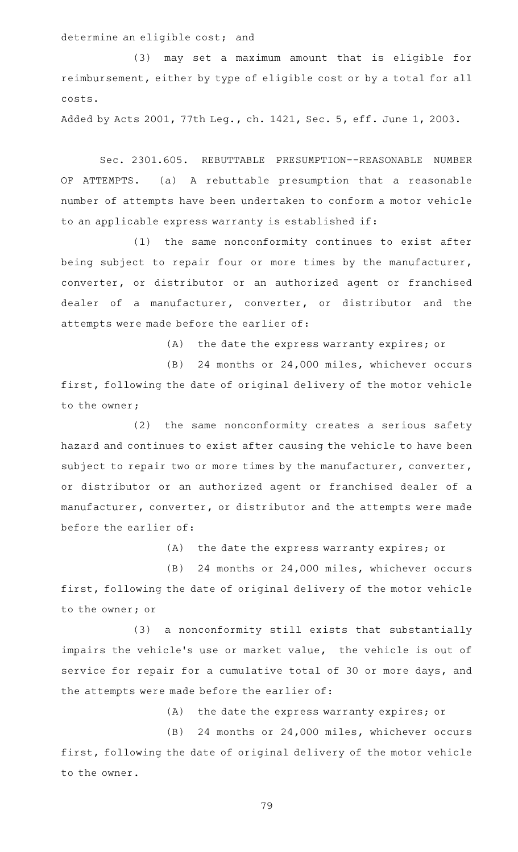determine an eligible cost; and

(3) may set a maximum amount that is eligible for reimbursement, either by type of eligible cost or by a total for all costs.

Added by Acts 2001, 77th Leg., ch. 1421, Sec. 5, eff. June 1, 2003.

Sec. 2301.605. REBUTTABLE PRESUMPTION--REASONABLE NUMBER OF ATTEMPTS. (a) A rebuttable presumption that a reasonable number of attempts have been undertaken to conform a motor vehicle to an applicable express warranty is established if:

(1) the same nonconformity continues to exist after being subject to repair four or more times by the manufacturer, converter, or distributor or an authorized agent or franchised dealer of a manufacturer, converter, or distributor and the attempts were made before the earlier of:

(A) the date the express warranty expires; or

(B) 24 months or 24,000 miles, whichever occurs first, following the date of original delivery of the motor vehicle to the owner;

(2) the same nonconformity creates a serious safety hazard and continues to exist after causing the vehicle to have been subject to repair two or more times by the manufacturer, converter, or distributor or an authorized agent or franchised dealer of a manufacturer, converter, or distributor and the attempts were made before the earlier of:

(A) the date the express warranty expires; or

(B) 24 months or 24,000 miles, whichever occurs first, following the date of original delivery of the motor vehicle to the owner; or

(3) a nonconformity still exists that substantially impairs the vehicle's use or market value, the vehicle is out of service for repair for a cumulative total of 30 or more days, and the attempts were made before the earlier of:

(A) the date the express warranty expires; or

(B) 24 months or 24,000 miles, whichever occurs first, following the date of original delivery of the motor vehicle to the owner.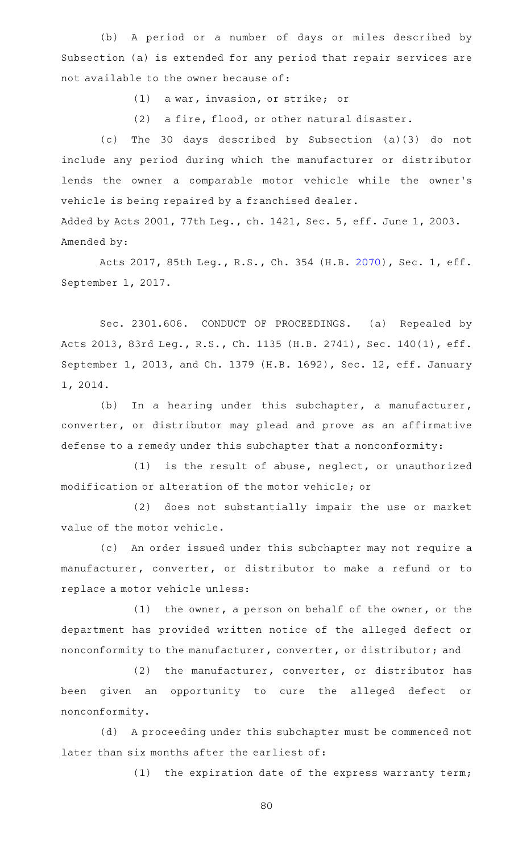(b) A period or a number of days or miles described by Subsection (a) is extended for any period that repair services are not available to the owner because of:

(1) a war, invasion, or strike; or

(2) a fire, flood, or other natural disaster.

(c) The 30 days described by Subsection (a)(3) do not include any period during which the manufacturer or distributor lends the owner a comparable motor vehicle while the owner 's vehicle is being repaired by a franchised dealer.

Added by Acts 2001, 77th Leg., ch. 1421, Sec. 5, eff. June 1, 2003. Amended by:

Acts 2017, 85th Leg., R.S., Ch. 354 (H.B. [2070](http://www.legis.state.tx.us/tlodocs/85R/billtext/html/HB02070F.HTM)), Sec. 1, eff. September 1, 2017.

Sec. 2301.606. CONDUCT OF PROCEEDINGS. (a) Repealed by Acts 2013, 83rd Leg., R.S., Ch. 1135 (H.B. 2741), Sec. 140(1), eff. September 1, 2013, and Ch. 1379 (H.B. 1692), Sec. 12, eff. January 1, 2014.

(b) In a hearing under this subchapter, a manufacturer, converter, or distributor may plead and prove as an affirmative defense to a remedy under this subchapter that a nonconformity:

 $(1)$  is the result of abuse, neglect, or unauthorized modification or alteration of the motor vehicle; or

(2) does not substantially impair the use or market value of the motor vehicle.

(c) An order issued under this subchapter may not require a manufacturer, converter, or distributor to make a refund or to replace a motor vehicle unless:

 $(1)$  the owner, a person on behalf of the owner, or the department has provided written notice of the alleged defect or nonconformity to the manufacturer, converter, or distributor; and

(2) the manufacturer, converter, or distributor has been given an opportunity to cure the alleged defect or nonconformity.

(d) A proceeding under this subchapter must be commenced not later than six months after the earliest of:

(1) the expiration date of the express warranty term;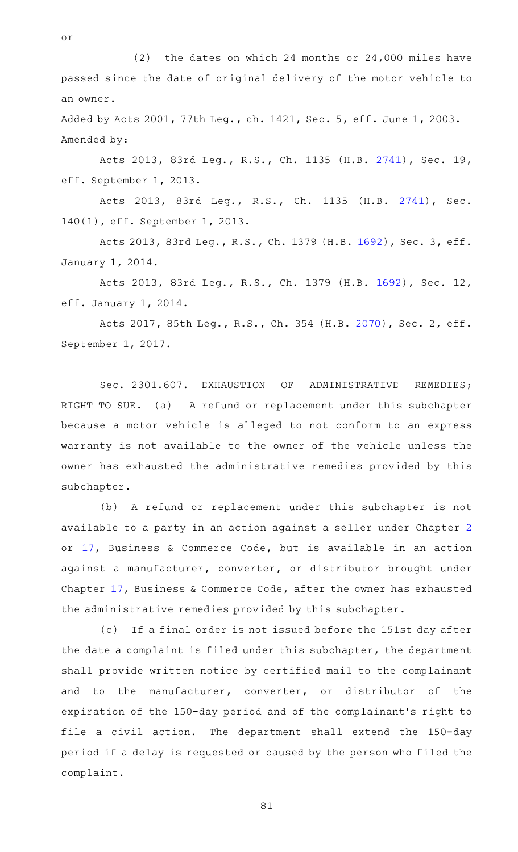(2) the dates on which 24 months or  $24,000$  miles have passed since the date of original delivery of the motor vehicle to an owner.

or

Added by Acts 2001, 77th Leg., ch. 1421, Sec. 5, eff. June 1, 2003. Amended by:

Acts 2013, 83rd Leg., R.S., Ch. 1135 (H.B. [2741](http://www.legis.state.tx.us/tlodocs/83R/billtext/html/HB02741F.HTM)), Sec. 19, eff. September 1, 2013.

Acts 2013, 83rd Leg., R.S., Ch. 1135 (H.B. [2741\)](http://www.legis.state.tx.us/tlodocs/83R/billtext/html/HB02741F.HTM), Sec. 140(1), eff. September 1, 2013.

Acts 2013, 83rd Leg., R.S., Ch. 1379 (H.B. [1692](http://www.legis.state.tx.us/tlodocs/83R/billtext/html/HB01692F.HTM)), Sec. 3, eff. January 1, 2014.

Acts 2013, 83rd Leg., R.S., Ch. 1379 (H.B. [1692](http://www.legis.state.tx.us/tlodocs/83R/billtext/html/HB01692F.HTM)), Sec. 12, eff. January 1, 2014.

Acts 2017, 85th Leg., R.S., Ch. 354 (H.B. [2070](http://www.legis.state.tx.us/tlodocs/85R/billtext/html/HB02070F.HTM)), Sec. 2, eff. September 1, 2017.

Sec. 2301.607. EXHAUSTION OF ADMINISTRATIVE REMEDIES; RIGHT TO SUE. (a) A refund or replacement under this subchapter because a motor vehicle is alleged to not conform to an express warranty is not available to the owner of the vehicle unless the owner has exhausted the administrative remedies provided by this subchapter.

(b) A refund or replacement under this subchapter is not available to a party in an action against a seller under Chapter [2](http://www.statutes.legis.state.tx.us/GetStatute.aspx?Code=BC&Value=2) or [17](http://www.statutes.legis.state.tx.us/GetStatute.aspx?Code=BC&Value=17), Business & Commerce Code, but is available in an action against a manufacturer, converter, or distributor brought under Chapter [17,](http://www.statutes.legis.state.tx.us/GetStatute.aspx?Code=BC&Value=17) Business & Commerce Code, after the owner has exhausted the administrative remedies provided by this subchapter.

(c) If a final order is not issued before the 151st day after the date a complaint is filed under this subchapter, the department shall provide written notice by certified mail to the complainant and to the manufacturer, converter, or distributor of the expiration of the 150-day period and of the complainant 's right to file a civil action. The department shall extend the 150-day period if a delay is requested or caused by the person who filed the complaint.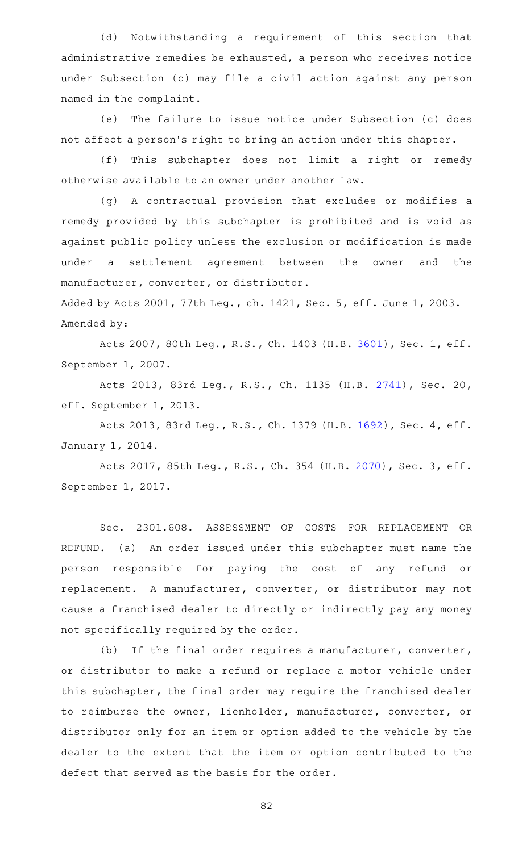(d) Notwithstanding a requirement of this section that administrative remedies be exhausted, a person who receives notice under Subsection (c) may file a civil action against any person named in the complaint.

(e) The failure to issue notice under Subsection (c) does not affect a person 's right to bring an action under this chapter.

(f) This subchapter does not limit a right or remedy otherwise available to an owner under another law.

(g) A contractual provision that excludes or modifies a remedy provided by this subchapter is prohibited and is void as against public policy unless the exclusion or modification is made under a settlement agreement between the owner and the manufacturer, converter, or distributor.

Added by Acts 2001, 77th Leg., ch. 1421, Sec. 5, eff. June 1, 2003. Amended by:

Acts 2007, 80th Leg., R.S., Ch. 1403 (H.B. [3601](http://www.legis.state.tx.us/tlodocs/80R/billtext/html/HB03601F.HTM)), Sec. 1, eff. September 1, 2007.

Acts 2013, 83rd Leg., R.S., Ch. 1135 (H.B. [2741](http://www.legis.state.tx.us/tlodocs/83R/billtext/html/HB02741F.HTM)), Sec. 20, eff. September 1, 2013.

Acts 2013, 83rd Leg., R.S., Ch. 1379 (H.B. [1692](http://www.legis.state.tx.us/tlodocs/83R/billtext/html/HB01692F.HTM)), Sec. 4, eff. January 1, 2014.

Acts 2017, 85th Leg., R.S., Ch. 354 (H.B. [2070](http://www.legis.state.tx.us/tlodocs/85R/billtext/html/HB02070F.HTM)), Sec. 3, eff. September 1, 2017.

Sec. 2301.608. ASSESSMENT OF COSTS FOR REPLACEMENT OR REFUND. (a) An order issued under this subchapter must name the person responsible for paying the cost of any refund or replacement. A manufacturer, converter, or distributor may not cause a franchised dealer to directly or indirectly pay any money not specifically required by the order.

(b) If the final order requires a manufacturer, converter, or distributor to make a refund or replace a motor vehicle under this subchapter, the final order may require the franchised dealer to reimburse the owner, lienholder, manufacturer, converter, or distributor only for an item or option added to the vehicle by the dealer to the extent that the item or option contributed to the defect that served as the basis for the order.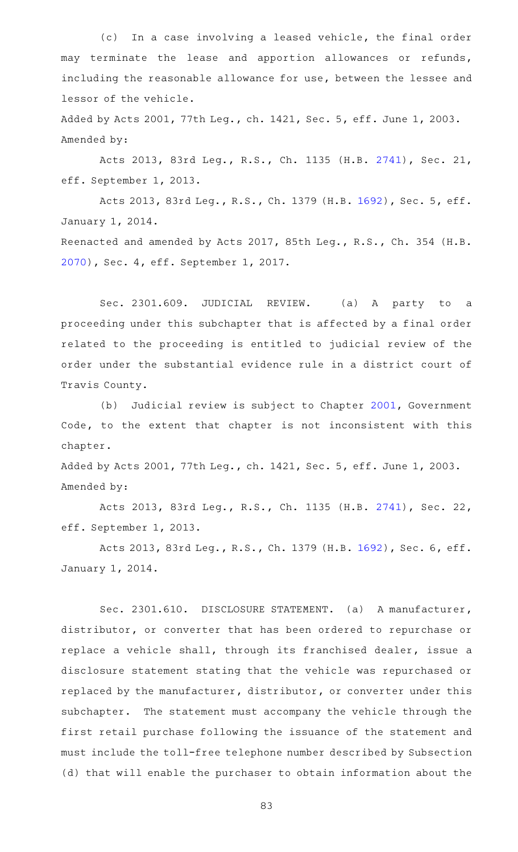(c) In a case involving a leased vehicle, the final order may terminate the lease and apportion allowances or refunds, including the reasonable allowance for use, between the lessee and lessor of the vehicle.

Added by Acts 2001, 77th Leg., ch. 1421, Sec. 5, eff. June 1, 2003. Amended by:

Acts 2013, 83rd Leg., R.S., Ch. 1135 (H.B. [2741](http://www.legis.state.tx.us/tlodocs/83R/billtext/html/HB02741F.HTM)), Sec. 21, eff. September 1, 2013.

Acts 2013, 83rd Leg., R.S., Ch. 1379 (H.B. [1692](http://www.legis.state.tx.us/tlodocs/83R/billtext/html/HB01692F.HTM)), Sec. 5, eff. January 1, 2014.

Reenacted and amended by Acts 2017, 85th Leg., R.S., Ch. 354 (H.B. [2070](http://www.legis.state.tx.us/tlodocs/85R/billtext/html/HB02070F.HTM)), Sec. 4, eff. September 1, 2017.

Sec. 2301.609. JUDICIAL REVIEW. (a) A party to a proceeding under this subchapter that is affected by a final order related to the proceeding is entitled to judicial review of the order under the substantial evidence rule in a district court of Travis County.

(b) Judicial review is subject to Chapter [2001](http://www.statutes.legis.state.tx.us/GetStatute.aspx?Code=GV&Value=2001), Government Code, to the extent that chapter is not inconsistent with this chapter.

Added by Acts 2001, 77th Leg., ch. 1421, Sec. 5, eff. June 1, 2003. Amended by:

Acts 2013, 83rd Leg., R.S., Ch. 1135 (H.B. [2741](http://www.legis.state.tx.us/tlodocs/83R/billtext/html/HB02741F.HTM)), Sec. 22, eff. September 1, 2013.

Acts 2013, 83rd Leg., R.S., Ch. 1379 (H.B. [1692](http://www.legis.state.tx.us/tlodocs/83R/billtext/html/HB01692F.HTM)), Sec. 6, eff. January 1, 2014.

Sec. 2301.610. DISCLOSURE STATEMENT. (a) A manufacturer, distributor, or converter that has been ordered to repurchase or replace a vehicle shall, through its franchised dealer, issue a disclosure statement stating that the vehicle was repurchased or replaced by the manufacturer, distributor, or converter under this subchapter. The statement must accompany the vehicle through the first retail purchase following the issuance of the statement and must include the toll-free telephone number described by Subsection (d) that will enable the purchaser to obtain information about the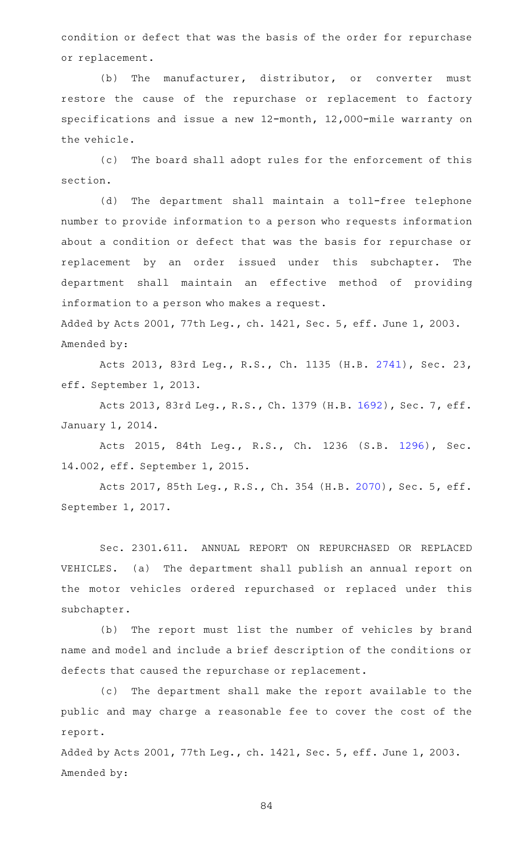condition or defect that was the basis of the order for repurchase or replacement.

(b) The manufacturer, distributor, or converter must restore the cause of the repurchase or replacement to factory specifications and issue a new 12-month, 12,000-mile warranty on the vehicle.

(c) The board shall adopt rules for the enforcement of this section.

(d) The department shall maintain a toll-free telephone number to provide information to a person who requests information about a condition or defect that was the basis for repurchase or replacement by an order issued under this subchapter. The department shall maintain an effective method of providing information to a person who makes a request.

Added by Acts 2001, 77th Leg., ch. 1421, Sec. 5, eff. June 1, 2003. Amended by:

Acts 2013, 83rd Leg., R.S., Ch. 1135 (H.B. [2741](http://www.legis.state.tx.us/tlodocs/83R/billtext/html/HB02741F.HTM)), Sec. 23, eff. September 1, 2013.

Acts 2013, 83rd Leg., R.S., Ch. 1379 (H.B. [1692](http://www.legis.state.tx.us/tlodocs/83R/billtext/html/HB01692F.HTM)), Sec. 7, eff. January 1, 2014.

Acts 2015, 84th Leg., R.S., Ch. 1236 (S.B. [1296\)](http://www.legis.state.tx.us/tlodocs/84R/billtext/html/SB01296F.HTM), Sec. 14.002, eff. September 1, 2015.

Acts 2017, 85th Leg., R.S., Ch. 354 (H.B. [2070](http://www.legis.state.tx.us/tlodocs/85R/billtext/html/HB02070F.HTM)), Sec. 5, eff. September 1, 2017.

Sec. 2301.611. ANNUAL REPORT ON REPURCHASED OR REPLACED VEHICLES. (a) The department shall publish an annual report on the motor vehicles ordered repurchased or replaced under this subchapter.

(b) The report must list the number of vehicles by brand name and model and include a brief description of the conditions or defects that caused the repurchase or replacement.

(c) The department shall make the report available to the public and may charge a reasonable fee to cover the cost of the report.

Added by Acts 2001, 77th Leg., ch. 1421, Sec. 5, eff. June 1, 2003. Amended by: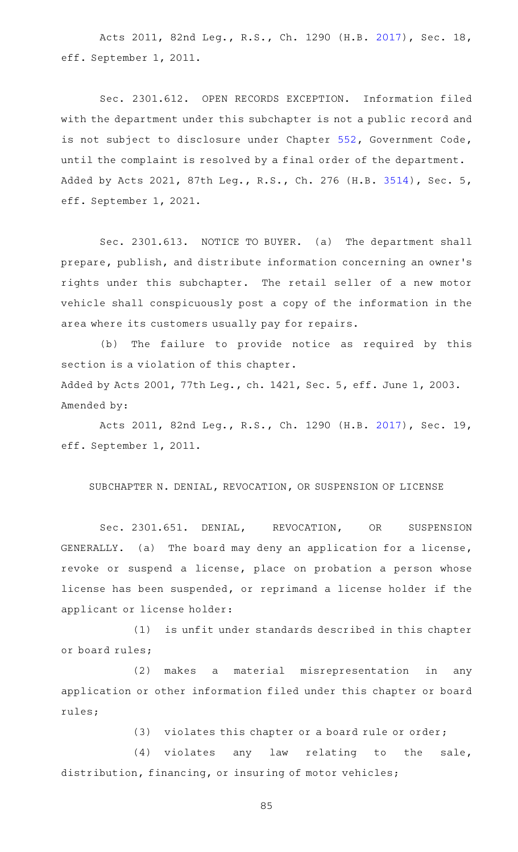Acts 2011, 82nd Leg., R.S., Ch. 1290 (H.B. [2017](http://www.legis.state.tx.us/tlodocs/82R/billtext/html/HB02017F.HTM)), Sec. 18, eff. September 1, 2011.

Sec. 2301.612. OPEN RECORDS EXCEPTION. Information filed with the department under this subchapter is not a public record and is not subject to disclosure under Chapter [552](http://www.statutes.legis.state.tx.us/GetStatute.aspx?Code=GV&Value=552), Government Code, until the complaint is resolved by a final order of the department. Added by Acts 2021, 87th Leg., R.S., Ch. 276 (H.B. [3514](http://www.legis.state.tx.us/tlodocs/87R/billtext/html/HB03514F.HTM)), Sec. 5, eff. September 1, 2021.

Sec. 2301.613. NOTICE TO BUYER. (a) The department shall prepare, publish, and distribute information concerning an owner 's rights under this subchapter. The retail seller of a new motor vehicle shall conspicuously post a copy of the information in the area where its customers usually pay for repairs.

(b) The failure to provide notice as required by this section is a violation of this chapter.

Added by Acts 2001, 77th Leg., ch. 1421, Sec. 5, eff. June 1, 2003. Amended by:

Acts 2011, 82nd Leg., R.S., Ch. 1290 (H.B. [2017](http://www.legis.state.tx.us/tlodocs/82R/billtext/html/HB02017F.HTM)), Sec. 19, eff. September 1, 2011.

SUBCHAPTER N. DENIAL, REVOCATION, OR SUSPENSION OF LICENSE

Sec. 2301.651. DENIAL, REVOCATION, OR SUSPENSION GENERALLY. (a) The board may deny an application for a license, revoke or suspend a license, place on probation a person whose license has been suspended, or reprimand a license holder if the applicant or license holder:

(1) is unfit under standards described in this chapter or board rules;

(2) makes a material misrepresentation in any application or other information filed under this chapter or board rules;

(3) violates this chapter or a board rule or order;

 $(4)$  violates any law relating to the sale, distribution, financing, or insuring of motor vehicles;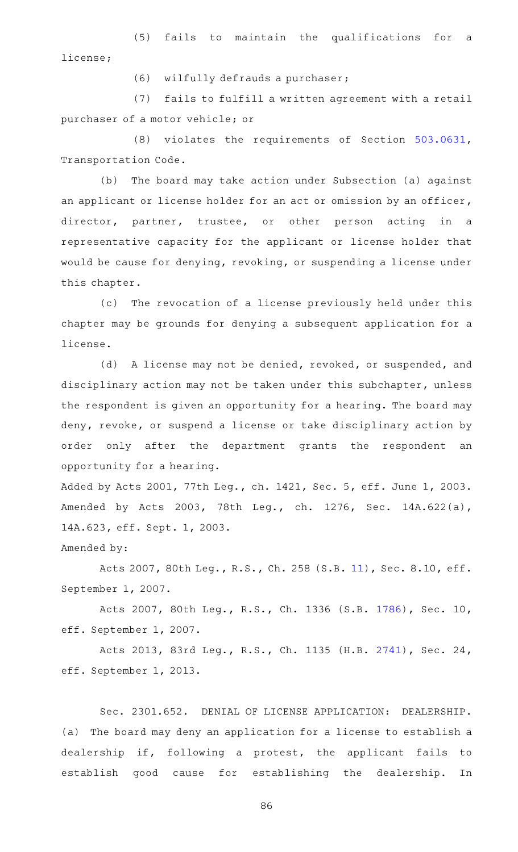(5) fails to maintain the qualifications for a license;

(6) wilfully defrauds a purchaser;

(7) fails to fulfill a written agreement with a retail purchaser of a motor vehicle; or

(8) violates the requirements of Section [503.0631](http://www.statutes.legis.state.tx.us/GetStatute.aspx?Code=TN&Value=503.0631), Transportation Code.

(b) The board may take action under Subsection (a) against an applicant or license holder for an act or omission by an officer, director, partner, trustee, or other person acting in a representative capacity for the applicant or license holder that would be cause for denying, revoking, or suspending a license under this chapter.

(c) The revocation of a license previously held under this chapter may be grounds for denying a subsequent application for a license.

(d) A license may not be denied, revoked, or suspended, and disciplinary action may not be taken under this subchapter, unless the respondent is given an opportunity for a hearing. The board may deny, revoke, or suspend a license or take disciplinary action by order only after the department grants the respondent an opportunity for a hearing.

Added by Acts 2001, 77th Leg., ch. 1421, Sec. 5, eff. June 1, 2003. Amended by Acts 2003, 78th Leg., ch. 1276, Sec. 14A.622(a), 14A.623, eff. Sept. 1, 2003.

Amended by:

Acts 2007, 80th Leg., R.S., Ch. 258 (S.B. [11\)](http://www.legis.state.tx.us/tlodocs/80R/billtext/html/SB00011F.HTM), Sec. 8.10, eff. September 1, 2007.

Acts 2007, 80th Leg., R.S., Ch. 1336 (S.B. [1786](http://www.legis.state.tx.us/tlodocs/80R/billtext/html/SB01786F.HTM)), Sec. 10, eff. September 1, 2007.

Acts 2013, 83rd Leg., R.S., Ch. 1135 (H.B. [2741](http://www.legis.state.tx.us/tlodocs/83R/billtext/html/HB02741F.HTM)), Sec. 24, eff. September 1, 2013.

Sec. 2301.652. DENIAL OF LICENSE APPLICATION: DEALERSHIP. (a) The board may deny an application for a license to establish a dealership if, following a protest, the applicant fails to establish good cause for establishing the dealership. In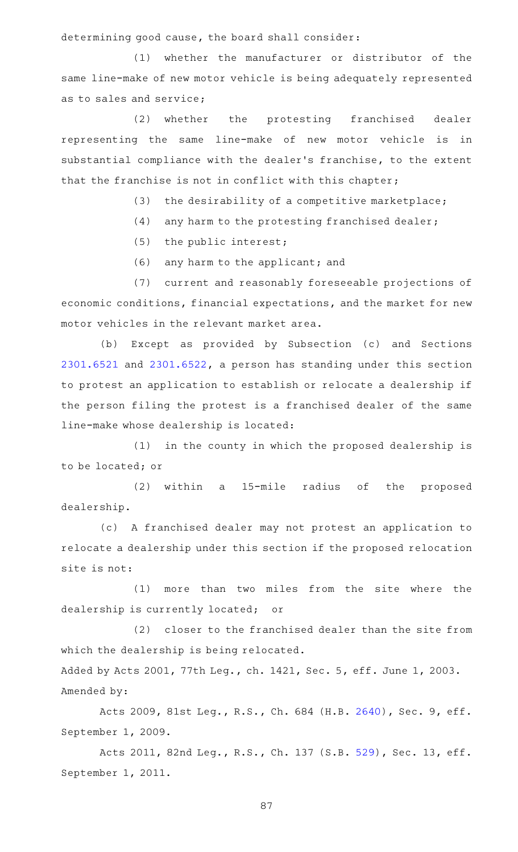determining good cause, the board shall consider:

(1) whether the manufacturer or distributor of the same line-make of new motor vehicle is being adequately represented as to sales and service;

(2) whether the protesting franchised dealer representing the same line-make of new motor vehicle is in substantial compliance with the dealer 's franchise, to the extent that the franchise is not in conflict with this chapter;

- (3) the desirability of a competitive marketplace;
- $(4)$  any harm to the protesting franchised dealer;
- $(5)$  the public interest;
- (6) any harm to the applicant; and

(7) current and reasonably foreseeable projections of economic conditions, financial expectations, and the market for new motor vehicles in the relevant market area.

(b) Except as provided by Subsection (c) and Sections [2301.6521](http://www.statutes.legis.state.tx.us/GetStatute.aspx?Code=OC&Value=2301.6521) and [2301.6522,](http://www.statutes.legis.state.tx.us/GetStatute.aspx?Code=OC&Value=2301.6522) a person has standing under this section to protest an application to establish or relocate a dealership if the person filing the protest is a franchised dealer of the same line-make whose dealership is located:

(1) in the county in which the proposed dealership is to be located; or

(2) within a 15-mile radius of the proposed dealership.

(c) A franchised dealer may not protest an application to relocate a dealership under this section if the proposed relocation site is not:

(1) more than two miles from the site where the dealership is currently located; or

(2) closer to the franchised dealer than the site from which the dealership is being relocated.

Added by Acts 2001, 77th Leg., ch. 1421, Sec. 5, eff. June 1, 2003. Amended by:

Acts 2009, 81st Leg., R.S., Ch. 684 (H.B. [2640](http://www.legis.state.tx.us/tlodocs/81R/billtext/html/HB02640F.HTM)), Sec. 9, eff. September 1, 2009.

Acts 2011, 82nd Leg., R.S., Ch. 137 (S.B. [529\)](http://www.legis.state.tx.us/tlodocs/82R/billtext/html/SB00529F.HTM), Sec. 13, eff. September 1, 2011.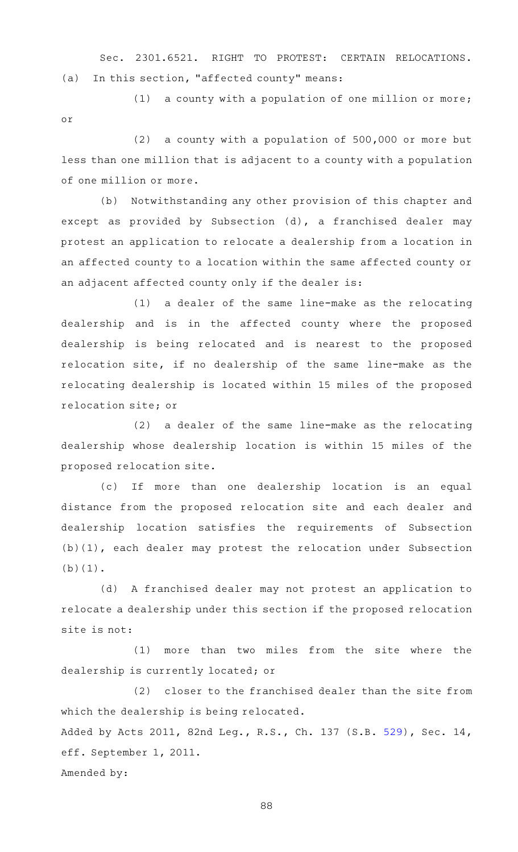Sec. 2301.6521. RIGHT TO PROTEST: CERTAIN RELOCATIONS. (a) In this section, "affected county" means:

 $(1)$  a county with a population of one million or more; or

 $(2)$  a county with a population of 500,000 or more but less than one million that is adjacent to a county with a population of one million or more.

(b) Notwithstanding any other provision of this chapter and except as provided by Subsection (d), a franchised dealer may protest an application to relocate a dealership from a location in an affected county to a location within the same affected county or an adjacent affected county only if the dealer is:

 $(1)$  a dealer of the same line-make as the relocating dealership and is in the affected county where the proposed dealership is being relocated and is nearest to the proposed relocation site, if no dealership of the same line-make as the relocating dealership is located within 15 miles of the proposed relocation site; or

 $(2)$  a dealer of the same line-make as the relocating dealership whose dealership location is within 15 miles of the proposed relocation site.

(c) If more than one dealership location is an equal distance from the proposed relocation site and each dealer and dealership location satisfies the requirements of Subsection (b)(1), each dealer may protest the relocation under Subsection (b)(1).

(d) A franchised dealer may not protest an application to relocate a dealership under this section if the proposed relocation site is not:

 $(1)$  more than two miles from the site where the dealership is currently located; or

(2) closer to the franchised dealer than the site from which the dealership is being relocated. Added by Acts 2011, 82nd Leg., R.S., Ch. 137 (S.B. [529\)](http://www.legis.state.tx.us/tlodocs/82R/billtext/html/SB00529F.HTM), Sec. 14, eff. September 1, 2011. Amended by: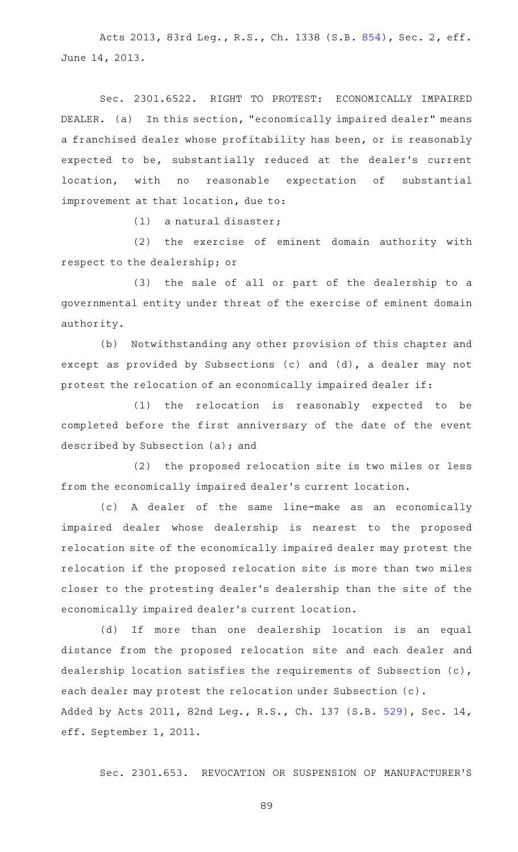Acts 2013, 83rd Leg., R.S., Ch. 1338 (S.B. [854](http://www.legis.state.tx.us/tlodocs/83R/billtext/html/SB00854F.HTM)), Sec. 2, eff. June 14, 2013.

Sec. 2301.6522. RIGHT TO PROTEST: ECONOMICALLY IMPAIRED DEALER. (a) In this section, "economically impaired dealer" means a franchised dealer whose profitability has been, or is reasonably expected to be, substantially reduced at the dealer 's current location, with no reasonable expectation of substantial improvement at that location, due to:

 $(1)$  a natural disaster;

(2) the exercise of eminent domain authority with respect to the dealership; or

(3) the sale of all or part of the dealership to a governmental entity under threat of the exercise of eminent domain authority.

(b) Notwithstanding any other provision of this chapter and except as provided by Subsections (c) and (d), a dealer may not protest the relocation of an economically impaired dealer if:

(1) the relocation is reasonably expected to be completed before the first anniversary of the date of the event described by Subsection (a); and

(2) the proposed relocation site is two miles or less from the economically impaired dealer 's current location.

(c)AAA dealer of the same line-make as an economically impaired dealer whose dealership is nearest to the proposed relocation site of the economically impaired dealer may protest the relocation if the proposed relocation site is more than two miles closer to the protesting dealer 's dealership than the site of the economically impaired dealer 's current location.

(d) If more than one dealership location is an equal distance from the proposed relocation site and each dealer and dealership location satisfies the requirements of Subsection (c), each dealer may protest the relocation under Subsection (c). Added by Acts 2011, 82nd Leg., R.S., Ch. 137 (S.B. [529\)](http://www.legis.state.tx.us/tlodocs/82R/billtext/html/SB00529F.HTM), Sec. 14, eff. September 1, 2011.

Sec. 2301.653. REVOCATION OR SUSPENSION OF MANUFACTURER'S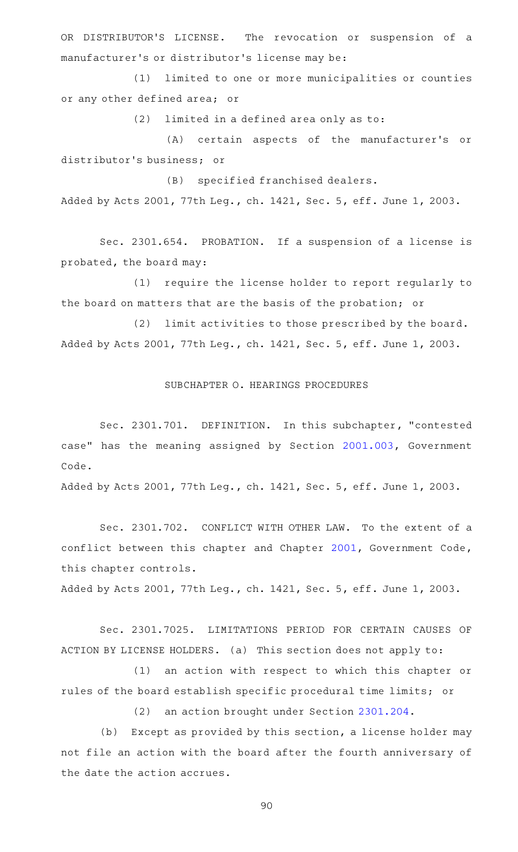OR DISTRIBUTOR'S LICENSE. The revocation or suspension of a manufacturer 's or distributor 's license may be:

(1) limited to one or more municipalities or counties or any other defined area; or

 $(2)$  limited in a defined area only as to:

(A) certain aspects of the manufacturer's or distributor 's business; or

(B) specified franchised dealers.

Added by Acts 2001, 77th Leg., ch. 1421, Sec. 5, eff. June 1, 2003.

Sec. 2301.654. PROBATION. If a suspension of a license is probated, the board may:

(1) require the license holder to report regularly to the board on matters that are the basis of the probation; or

(2) limit activities to those prescribed by the board. Added by Acts 2001, 77th Leg., ch. 1421, Sec. 5, eff. June 1, 2003.

## SUBCHAPTER O. HEARINGS PROCEDURES

Sec. 2301.701. DEFINITION. In this subchapter, "contested case" has the meaning assigned by Section [2001.003](http://www.statutes.legis.state.tx.us/GetStatute.aspx?Code=GV&Value=2001.003), Government Code.

Added by Acts 2001, 77th Leg., ch. 1421, Sec. 5, eff. June 1, 2003.

Sec. 2301.702. CONFLICT WITH OTHER LAW. To the extent of a conflict between this chapter and Chapter [2001](http://www.statutes.legis.state.tx.us/GetStatute.aspx?Code=GV&Value=2001), Government Code, this chapter controls.

Added by Acts 2001, 77th Leg., ch. 1421, Sec. 5, eff. June 1, 2003.

Sec. 2301.7025. LIMITATIONS PERIOD FOR CERTAIN CAUSES OF ACTION BY LICENSE HOLDERS. (a) This section does not apply to:

(1) an action with respect to which this chapter or rules of the board establish specific procedural time limits; or

(2) an action brought under Section [2301.204.](http://www.statutes.legis.state.tx.us/GetStatute.aspx?Code=OC&Value=2301.204)

(b) Except as provided by this section, a license holder may not file an action with the board after the fourth anniversary of the date the action accrues.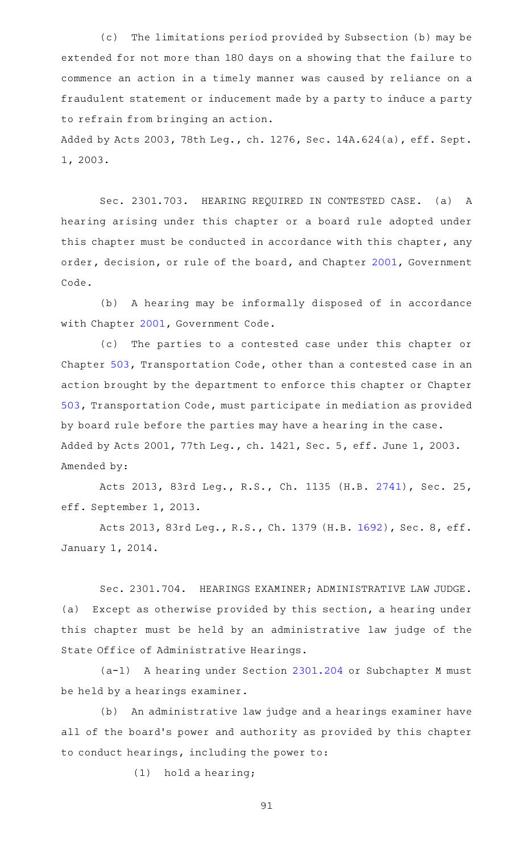(c) The limitations period provided by Subsection (b) may be extended for not more than 180 days on a showing that the failure to commence an action in a timely manner was caused by reliance on a fraudulent statement or inducement made by a party to induce a party to refrain from bringing an action.

Added by Acts 2003, 78th Leg., ch. 1276, Sec. 14A.624(a), eff. Sept. 1, 2003.

Sec. 2301.703. HEARING REQUIRED IN CONTESTED CASE. (a) A hearing arising under this chapter or a board rule adopted under this chapter must be conducted in accordance with this chapter, any order, decision, or rule of the board, and Chapter [2001](http://www.statutes.legis.state.tx.us/GetStatute.aspx?Code=GV&Value=2001), Government Code.

(b) A hearing may be informally disposed of in accordance with Chapter [2001](http://www.statutes.legis.state.tx.us/GetStatute.aspx?Code=GV&Value=2001), Government Code.

(c) The parties to a contested case under this chapter or Chapter [503](http://www.statutes.legis.state.tx.us/GetStatute.aspx?Code=TN&Value=503), Transportation Code, other than a contested case in an action brought by the department to enforce this chapter or Chapter [503,](http://www.statutes.legis.state.tx.us/GetStatute.aspx?Code=TN&Value=503) Transportation Code, must participate in mediation as provided by board rule before the parties may have a hearing in the case. Added by Acts 2001, 77th Leg., ch. 1421, Sec. 5, eff. June 1, 2003. Amended by:

Acts 2013, 83rd Leg., R.S., Ch. 1135 (H.B. [2741](http://www.legis.state.tx.us/tlodocs/83R/billtext/html/HB02741F.HTM)), Sec. 25, eff. September 1, 2013.

Acts 2013, 83rd Leg., R.S., Ch. 1379 (H.B. [1692](http://www.legis.state.tx.us/tlodocs/83R/billtext/html/HB01692F.HTM)), Sec. 8, eff. January 1, 2014.

Sec. 2301.704. HEARINGS EXAMINER; ADMINISTRATIVE LAW JUDGE. (a) Except as otherwise provided by this section, a hearing under this chapter must be held by an administrative law judge of the State Office of Administrative Hearings.

(a-1) A hearing under Section [2301.204](http://www.statutes.legis.state.tx.us/GetStatute.aspx?Code=OC&Value=2301.204) or Subchapter M must be held by a hearings examiner.

(b) An administrative law judge and a hearings examiner have all of the board's power and authority as provided by this chapter to conduct hearings, including the power to:

 $(1)$  hold a hearing;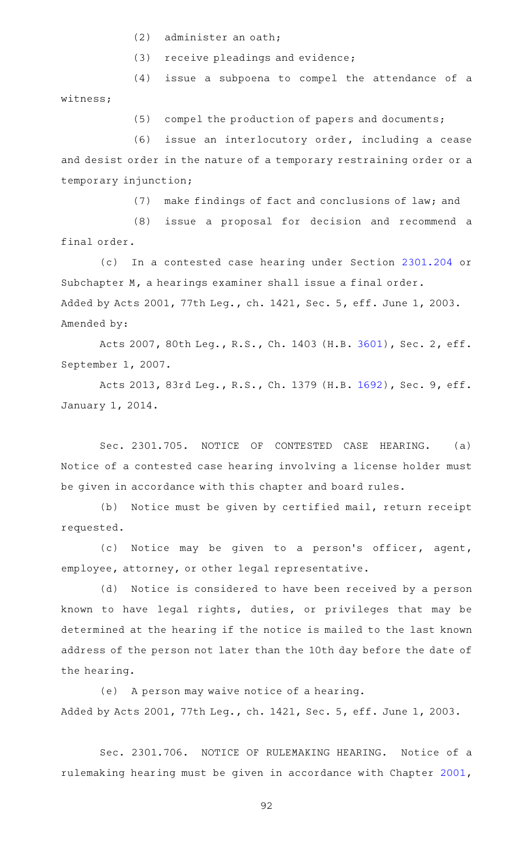- $(2)$  administer an oath;
- $(3)$  receive pleadings and evidence;
- (4) issue a subpoena to compel the attendance of a witness;

 $(5)$  compel the production of papers and documents;

(6) issue an interlocutory order, including a cease and desist order in the nature of a temporary restraining order or a temporary injunction;

(7) make findings of fact and conclusions of law; and

(8) issue a proposal for decision and recommend a final order.

(c) In a contested case hearing under Section [2301.204](http://www.statutes.legis.state.tx.us/GetStatute.aspx?Code=OC&Value=2301.204) or Subchapter M, a hearings examiner shall issue a final order. Added by Acts 2001, 77th Leg., ch. 1421, Sec. 5, eff. June 1, 2003. Amended by:

Acts 2007, 80th Leg., R.S., Ch. 1403 (H.B. [3601](http://www.legis.state.tx.us/tlodocs/80R/billtext/html/HB03601F.HTM)), Sec. 2, eff. September 1, 2007.

Acts 2013, 83rd Leg., R.S., Ch. 1379 (H.B. [1692](http://www.legis.state.tx.us/tlodocs/83R/billtext/html/HB01692F.HTM)), Sec. 9, eff. January 1, 2014.

Sec. 2301.705. NOTICE OF CONTESTED CASE HEARING. (a) Notice of a contested case hearing involving a license holder must be given in accordance with this chapter and board rules.

(b) Notice must be given by certified mail, return receipt requested.

(c) Notice may be given to a person's officer, agent, employee, attorney, or other legal representative.

(d) Notice is considered to have been received by a person known to have legal rights, duties, or privileges that may be determined at the hearing if the notice is mailed to the last known address of the person not later than the 10th day before the date of the hearing.

(e) A person may waive notice of a hearing. Added by Acts 2001, 77th Leg., ch. 1421, Sec. 5, eff. June 1, 2003.

Sec. 2301.706. NOTICE OF RULEMAKING HEARING. Notice of a rulemaking hearing must be given in accordance with Chapter [2001](http://www.statutes.legis.state.tx.us/GetStatute.aspx?Code=GV&Value=2001),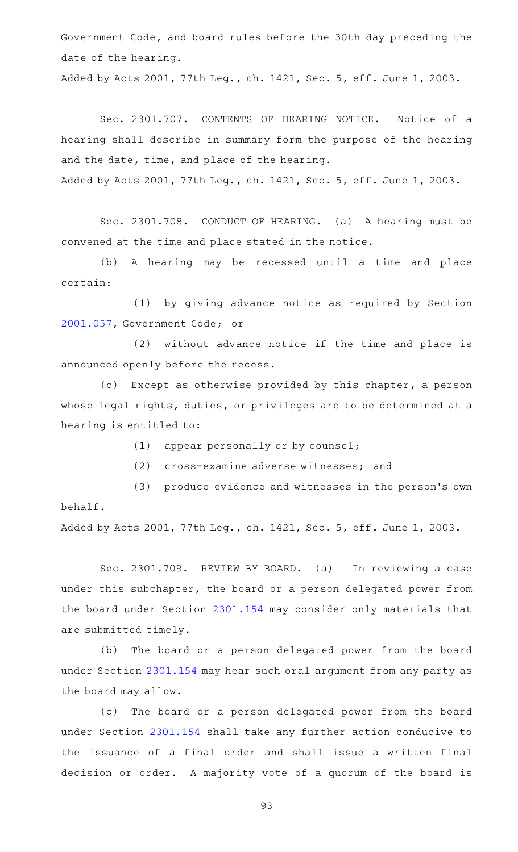Government Code, and board rules before the 30th day preceding the date of the hearing.

Added by Acts 2001, 77th Leg., ch. 1421, Sec. 5, eff. June 1, 2003.

Sec. 2301.707. CONTENTS OF HEARING NOTICE. Notice of a hearing shall describe in summary form the purpose of the hearing and the date, time, and place of the hearing. Added by Acts 2001, 77th Leg., ch. 1421, Sec. 5, eff. June 1, 2003.

Sec. 2301.708. CONDUCT OF HEARING. (a) A hearing must be convened at the time and place stated in the notice.

(b) A hearing may be recessed until a time and place certain:

(1) by giving advance notice as required by Section [2001.057](http://www.statutes.legis.state.tx.us/GetStatute.aspx?Code=GV&Value=2001.057), Government Code; or

(2) without advance notice if the time and place is announced openly before the recess.

(c) Except as otherwise provided by this chapter, a person whose legal rights, duties, or privileges are to be determined at a hearing is entitled to:

 $(1)$  appear personally or by counsel;

(2) cross-examine adverse witnesses; and

(3) produce evidence and witnesses in the person's own behalf.

Added by Acts 2001, 77th Leg., ch. 1421, Sec. 5, eff. June 1, 2003.

Sec. 2301.709. REVIEW BY BOARD. (a) In reviewing a case under this subchapter, the board or a person delegated power from the board under Section [2301.154](http://www.statutes.legis.state.tx.us/GetStatute.aspx?Code=OC&Value=2301.154) may consider only materials that are submitted timely.

(b) The board or a person delegated power from the board under Section [2301.154](http://www.statutes.legis.state.tx.us/GetStatute.aspx?Code=OC&Value=2301.154) may hear such oral argument from any party as the board may allow.

(c) The board or a person delegated power from the board under Section [2301.154](http://www.statutes.legis.state.tx.us/GetStatute.aspx?Code=OC&Value=2301.154) shall take any further action conducive to the issuance of a final order and shall issue a written final decision or order. A majority vote of a quorum of the board is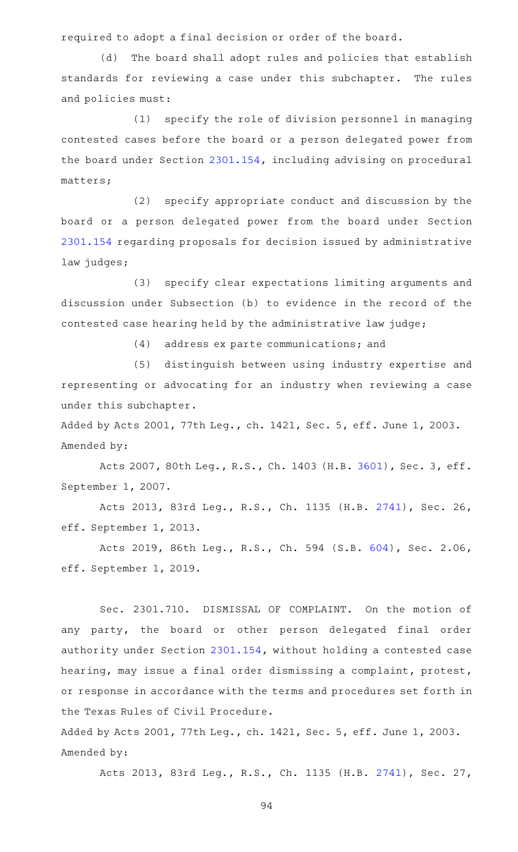required to adopt a final decision or order of the board.

(d) The board shall adopt rules and policies that establish standards for reviewing a case under this subchapter. The rules and policies must:

 $(1)$  specify the role of division personnel in managing contested cases before the board or a person delegated power from the board under Section [2301.154](http://www.statutes.legis.state.tx.us/GetStatute.aspx?Code=OC&Value=2301.154), including advising on procedural matters;

(2) specify appropriate conduct and discussion by the board or a person delegated power from the board under Section [2301.154](http://www.statutes.legis.state.tx.us/GetStatute.aspx?Code=OC&Value=2301.154) regarding proposals for decision issued by administrative law judges;

(3) specify clear expectations limiting arguments and discussion under Subsection (b) to evidence in the record of the contested case hearing held by the administrative law judge;

(4) address ex parte communications; and

(5) distinguish between using industry expertise and representing or advocating for an industry when reviewing a case under this subchapter.

Added by Acts 2001, 77th Leg., ch. 1421, Sec. 5, eff. June 1, 2003. Amended by:

Acts 2007, 80th Leg., R.S., Ch. 1403 (H.B. [3601](http://www.legis.state.tx.us/tlodocs/80R/billtext/html/HB03601F.HTM)), Sec. 3, eff. September 1, 2007.

Acts 2013, 83rd Leg., R.S., Ch. 1135 (H.B. [2741](http://www.legis.state.tx.us/tlodocs/83R/billtext/html/HB02741F.HTM)), Sec. 26, eff. September 1, 2013.

Acts 2019, 86th Leg., R.S., Ch. 594 (S.B. [604](http://www.legis.state.tx.us/tlodocs/86R/billtext/html/SB00604F.HTM)), Sec. 2.06, eff. September 1, 2019.

Sec. 2301.710. DISMISSAL OF COMPLAINT. On the motion of any party, the board or other person delegated final order authority under Section [2301.154,](http://www.statutes.legis.state.tx.us/GetStatute.aspx?Code=OC&Value=2301.154) without holding a contested case hearing, may issue a final order dismissing a complaint, protest, or response in accordance with the terms and procedures set forth in the Texas Rules of Civil Procedure.

Added by Acts 2001, 77th Leg., ch. 1421, Sec. 5, eff. June 1, 2003. Amended by:

Acts 2013, 83rd Leg., R.S., Ch. 1135 (H.B. [2741](http://www.legis.state.tx.us/tlodocs/83R/billtext/html/HB02741F.HTM)), Sec. 27,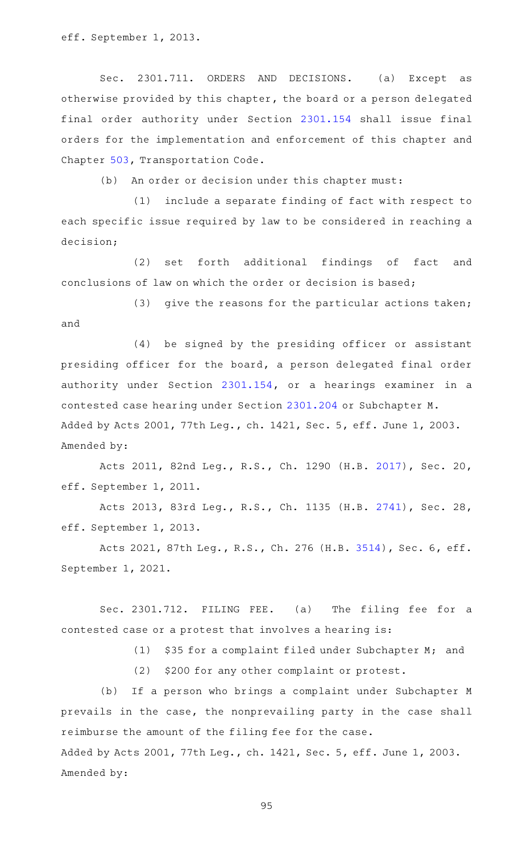eff. September 1, 2013.

Sec. 2301.711. ORDERS AND DECISIONS. (a) Except as otherwise provided by this chapter, the board or a person delegated final order authority under Section [2301.154](http://www.statutes.legis.state.tx.us/GetStatute.aspx?Code=OC&Value=2301.154) shall issue final orders for the implementation and enforcement of this chapter and Chapter [503,](http://www.statutes.legis.state.tx.us/GetStatute.aspx?Code=TN&Value=503) Transportation Code.

(b) An order or decision under this chapter must:

 $(1)$  include a separate finding of fact with respect to each specific issue required by law to be considered in reaching a decision;

(2) set forth additional findings of fact and conclusions of law on which the order or decision is based;

(3) give the reasons for the particular actions taken; and

(4) be signed by the presiding officer or assistant presiding officer for the board, a person delegated final order authority under Section [2301.154](http://www.statutes.legis.state.tx.us/GetStatute.aspx?Code=OC&Value=2301.154), or a hearings examiner in a contested case hearing under Section [2301.204](http://www.statutes.legis.state.tx.us/GetStatute.aspx?Code=OC&Value=2301.204) or Subchapter M. Added by Acts 2001, 77th Leg., ch. 1421, Sec. 5, eff. June 1, 2003. Amended by:

Acts 2011, 82nd Leg., R.S., Ch. 1290 (H.B. [2017](http://www.legis.state.tx.us/tlodocs/82R/billtext/html/HB02017F.HTM)), Sec. 20, eff. September 1, 2011.

Acts 2013, 83rd Leg., R.S., Ch. 1135 (H.B. [2741](http://www.legis.state.tx.us/tlodocs/83R/billtext/html/HB02741F.HTM)), Sec. 28, eff. September 1, 2013.

Acts 2021, 87th Leg., R.S., Ch. 276 (H.B. [3514](http://www.legis.state.tx.us/tlodocs/87R/billtext/html/HB03514F.HTM)), Sec. 6, eff. September 1, 2021.

Sec. 2301.712. FILING FEE. (a) The filing fee for a contested case or a protest that involves a hearing is:

(1)  $$35$  for a complaint filed under Subchapter M; and

(2) \$200 for any other complaint or protest.

(b) If a person who brings a complaint under Subchapter M prevails in the case, the nonprevailing party in the case shall reimburse the amount of the filing fee for the case. Added by Acts 2001, 77th Leg., ch. 1421, Sec. 5, eff. June 1, 2003.

Amended by: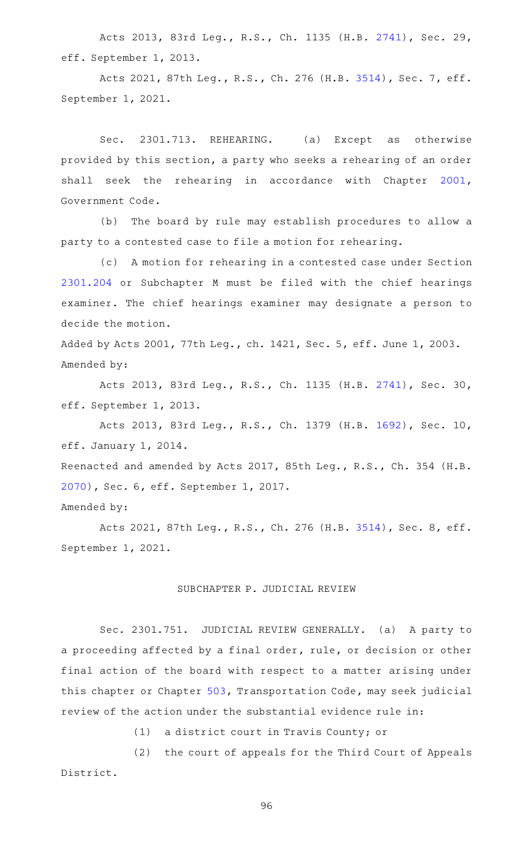Acts 2013, 83rd Leg., R.S., Ch. 1135 (H.B. [2741](http://www.legis.state.tx.us/tlodocs/83R/billtext/html/HB02741F.HTM)), Sec. 29, eff. September 1, 2013.

Acts 2021, 87th Leg., R.S., Ch. 276 (H.B. [3514](http://www.legis.state.tx.us/tlodocs/87R/billtext/html/HB03514F.HTM)), Sec. 7, eff. September 1, 2021.

Sec. 2301.713. REHEARING. (a) Except as otherwise provided by this section, a party who seeks a rehearing of an order shall seek the rehearing in accordance with Chapter [2001](http://www.statutes.legis.state.tx.us/GetStatute.aspx?Code=GV&Value=2001), Government Code.

(b) The board by rule may establish procedures to allow a party to a contested case to file a motion for rehearing.

(c) A motion for rehearing in a contested case under Section [2301.204](http://www.statutes.legis.state.tx.us/GetStatute.aspx?Code=OC&Value=2301.204) or Subchapter M must be filed with the chief hearings examiner. The chief hearings examiner may designate a person to decide the motion.

Added by Acts 2001, 77th Leg., ch. 1421, Sec. 5, eff. June 1, 2003. Amended by:

Acts 2013, 83rd Leg., R.S., Ch. 1135 (H.B. [2741](http://www.legis.state.tx.us/tlodocs/83R/billtext/html/HB02741F.HTM)), Sec. 30, eff. September 1, 2013.

Acts 2013, 83rd Leg., R.S., Ch. 1379 (H.B. [1692](http://www.legis.state.tx.us/tlodocs/83R/billtext/html/HB01692F.HTM)), Sec. 10, eff. January 1, 2014.

Reenacted and amended by Acts 2017, 85th Leg., R.S., Ch. 354 (H.B. [2070](http://www.legis.state.tx.us/tlodocs/85R/billtext/html/HB02070F.HTM)), Sec. 6, eff. September 1, 2017.

Amended by:

Acts 2021, 87th Leg., R.S., Ch. 276 (H.B. [3514](http://www.legis.state.tx.us/tlodocs/87R/billtext/html/HB03514F.HTM)), Sec. 8, eff. September 1, 2021.

## SUBCHAPTER P. JUDICIAL REVIEW

Sec. 2301.751. JUDICIAL REVIEW GENERALLY. (a) A party to a proceeding affected by a final order, rule, or decision or other final action of the board with respect to a matter arising under this chapter or Chapter [503](http://www.statutes.legis.state.tx.us/GetStatute.aspx?Code=TN&Value=503), Transportation Code, may seek judicial review of the action under the substantial evidence rule in:

(1) a district court in Travis County; or

(2) the court of appeals for the Third Court of Appeals District.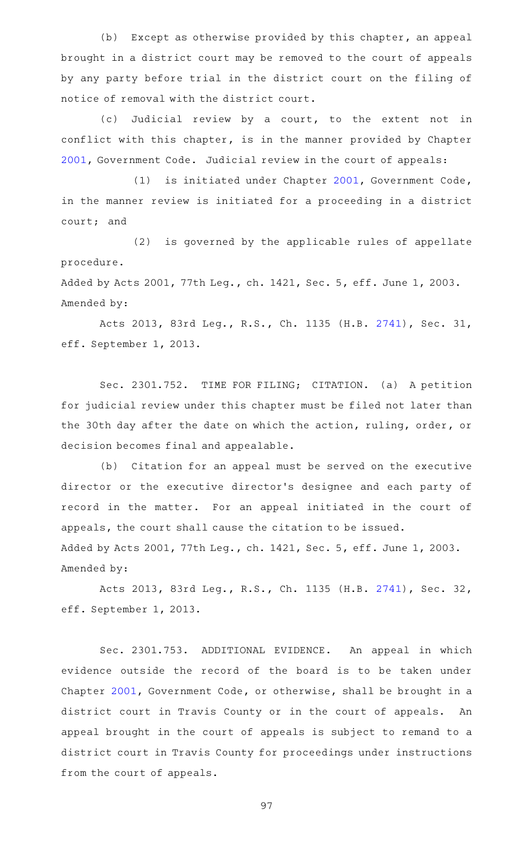$(b)$  Except as otherwise provided by this chapter, an appeal brought in a district court may be removed to the court of appeals by any party before trial in the district court on the filing of notice of removal with the district court.

(c) Judicial review by a court, to the extent not in conflict with this chapter, is in the manner provided by Chapter [2001](http://www.statutes.legis.state.tx.us/GetStatute.aspx?Code=GV&Value=2001), Government Code. Judicial review in the court of appeals:

(1) is initiated under Chapter [2001](http://www.statutes.legis.state.tx.us/GetStatute.aspx?Code=GV&Value=2001), Government Code, in the manner review is initiated for a proceeding in a district court; and

(2) is governed by the applicable rules of appellate procedure.

Added by Acts 2001, 77th Leg., ch. 1421, Sec. 5, eff. June 1, 2003. Amended by:

Acts 2013, 83rd Leg., R.S., Ch. 1135 (H.B. [2741](http://www.legis.state.tx.us/tlodocs/83R/billtext/html/HB02741F.HTM)), Sec. 31, eff. September 1, 2013.

Sec. 2301.752. TIME FOR FILING; CITATION. (a) A petition for judicial review under this chapter must be filed not later than the 30th day after the date on which the action, ruling, order, or decision becomes final and appealable.

(b) Citation for an appeal must be served on the executive director or the executive director 's designee and each party of record in the matter. For an appeal initiated in the court of appeals, the court shall cause the citation to be issued. Added by Acts 2001, 77th Leg., ch. 1421, Sec. 5, eff. June 1, 2003. Amended by:

Acts 2013, 83rd Leg., R.S., Ch. 1135 (H.B. [2741](http://www.legis.state.tx.us/tlodocs/83R/billtext/html/HB02741F.HTM)), Sec. 32, eff. September 1, 2013.

Sec. 2301.753. ADDITIONAL EVIDENCE. An appeal in which evidence outside the record of the board is to be taken under Chapter [2001](http://www.statutes.legis.state.tx.us/GetStatute.aspx?Code=GV&Value=2001), Government Code, or otherwise, shall be brought in a district court in Travis County or in the court of appeals. An appeal brought in the court of appeals is subject to remand to a district court in Travis County for proceedings under instructions from the court of appeals.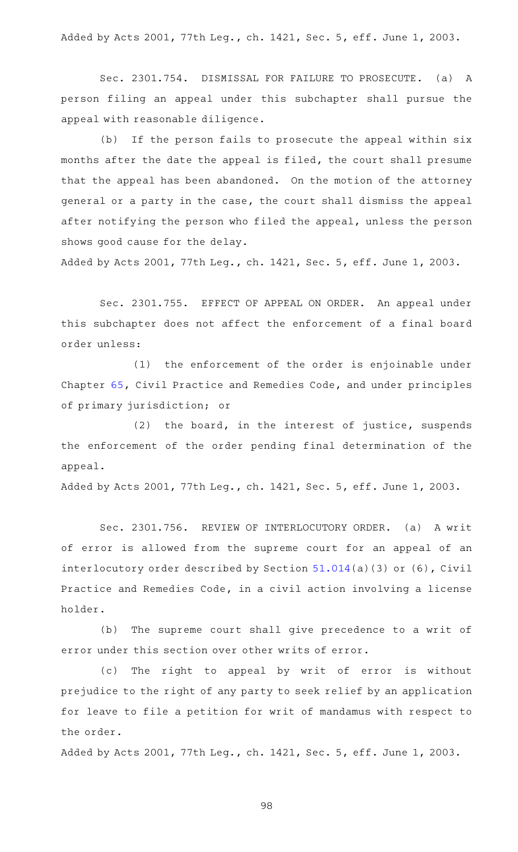Added by Acts 2001, 77th Leg., ch. 1421, Sec. 5, eff. June 1, 2003.

Sec. 2301.754. DISMISSAL FOR FAILURE TO PROSECUTE. (a) A person filing an appeal under this subchapter shall pursue the appeal with reasonable diligence.

(b) If the person fails to prosecute the appeal within six months after the date the appeal is filed, the court shall presume that the appeal has been abandoned. On the motion of the attorney general or a party in the case, the court shall dismiss the appeal after notifying the person who filed the appeal, unless the person shows good cause for the delay.

Added by Acts 2001, 77th Leg., ch. 1421, Sec. 5, eff. June 1, 2003.

Sec. 2301.755. EFFECT OF APPEAL ON ORDER. An appeal under this subchapter does not affect the enforcement of a final board order unless:

(1) the enforcement of the order is enjoinable under Chapter [65](http://www.statutes.legis.state.tx.us/GetStatute.aspx?Code=CP&Value=65), Civil Practice and Remedies Code, and under principles of primary jurisdiction; or

 $(2)$  the board, in the interest of justice, suspends the enforcement of the order pending final determination of the appeal.

Added by Acts 2001, 77th Leg., ch. 1421, Sec. 5, eff. June 1, 2003.

Sec. 2301.756. REVIEW OF INTERLOCUTORY ORDER. (a) A writ of error is allowed from the supreme court for an appeal of an interlocutory order described by Section [51.014](http://www.statutes.legis.state.tx.us/GetStatute.aspx?Code=CP&Value=51.014)(a)(3) or (6), Civil Practice and Remedies Code, in a civil action involving a license holder.

(b) The supreme court shall give precedence to a writ of error under this section over other writs of error.

(c) The right to appeal by writ of error is without prejudice to the right of any party to seek relief by an application for leave to file a petition for writ of mandamus with respect to the order.

Added by Acts 2001, 77th Leg., ch. 1421, Sec. 5, eff. June 1, 2003.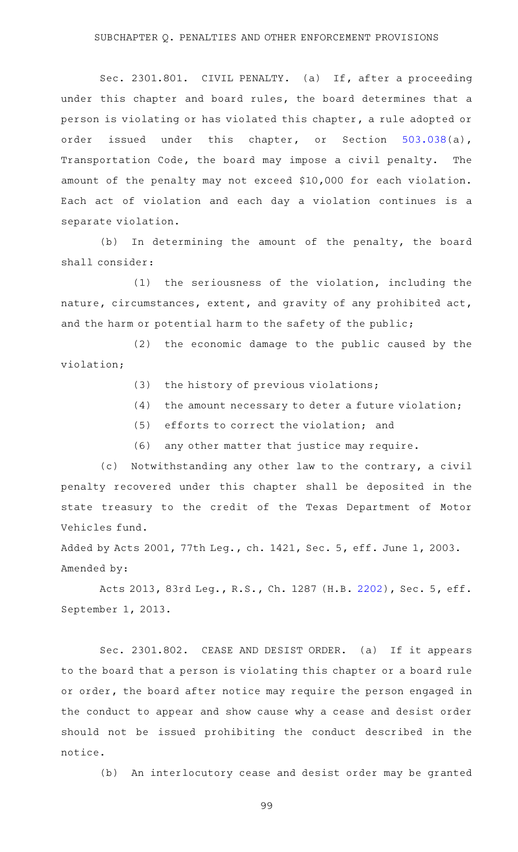### SUBCHAPTER Q. PENALTIES AND OTHER ENFORCEMENT PROVISIONS

Sec. 2301.801. CIVIL PENALTY. (a) If, after a proceeding under this chapter and board rules, the board determines that a person is violating or has violated this chapter, a rule adopted or order issued under this chapter, or Section [503.038\(](http://www.statutes.legis.state.tx.us/GetStatute.aspx?Code=TN&Value=503.038)a), Transportation Code, the board may impose a civil penalty. The amount of the penalty may not exceed \$10,000 for each violation. Each act of violation and each day a violation continues is a separate violation.

(b) In determining the amount of the penalty, the board shall consider:

 $(1)$  the seriousness of the violation, including the nature, circumstances, extent, and gravity of any prohibited act, and the harm or potential harm to the safety of the public;

(2) the economic damage to the public caused by the violation;

- $(3)$  the history of previous violations;
- $(4)$  the amount necessary to deter a future violation;
- $(5)$  efforts to correct the violation; and
- (6) any other matter that justice may require.

(c) Notwithstanding any other law to the contrary, a civil penalty recovered under this chapter shall be deposited in the state treasury to the credit of the Texas Department of Motor Vehicles fund.

Added by Acts 2001, 77th Leg., ch. 1421, Sec. 5, eff. June 1, 2003. Amended by:

Acts 2013, 83rd Leg., R.S., Ch. 1287 (H.B. [2202](http://www.legis.state.tx.us/tlodocs/83R/billtext/html/HB02202F.HTM)), Sec. 5, eff. September 1, 2013.

Sec. 2301.802. CEASE AND DESIST ORDER. (a) If it appears to the board that a person is violating this chapter or a board rule or order, the board after notice may require the person engaged in the conduct to appear and show cause why a cease and desist order should not be issued prohibiting the conduct described in the notice.

(b) An interlocutory cease and desist order may be granted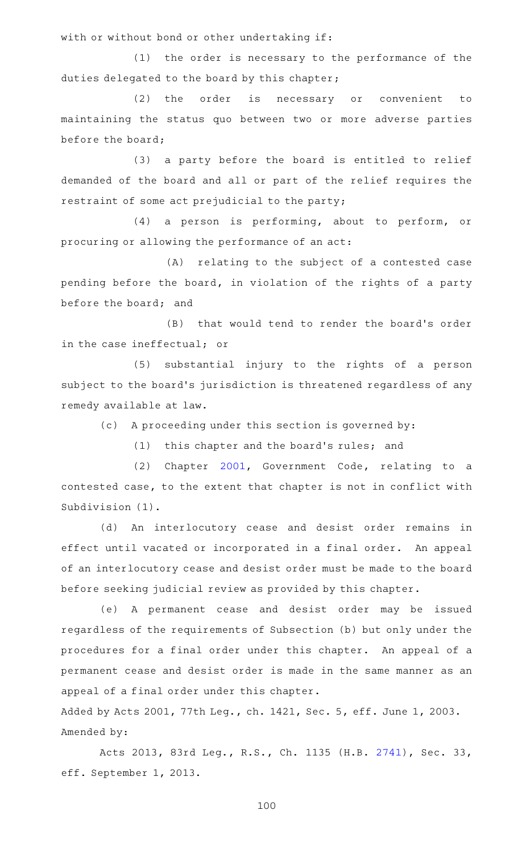with or without bond or other undertaking if:

(1) the order is necessary to the performance of the duties delegated to the board by this chapter;

(2) the order is necessary or convenient to maintaining the status quo between two or more adverse parties before the board;

(3) a party before the board is entitled to relief demanded of the board and all or part of the relief requires the restraint of some act prejudicial to the party;

(4) a person is performing, about to perform, or procuring or allowing the performance of an act:

(A) relating to the subject of a contested case pending before the board, in violation of the rights of a party before the board; and

(B) that would tend to render the board's order in the case ineffectual; or

(5) substantial injury to the rights of a person subject to the board's jurisdiction is threatened regardless of any remedy available at law.

(c) A proceeding under this section is governed by:

(1) this chapter and the board's rules; and

(2) Chapter [2001](http://www.statutes.legis.state.tx.us/GetStatute.aspx?Code=GV&Value=2001), Government Code, relating to a contested case, to the extent that chapter is not in conflict with Subdivision (1).

(d) An interlocutory cease and desist order remains in effect until vacated or incorporated in a final order. An appeal of an interlocutory cease and desist order must be made to the board before seeking judicial review as provided by this chapter.

(e)AAA permanent cease and desist order may be issued regardless of the requirements of Subsection (b) but only under the procedures for a final order under this chapter. An appeal of a permanent cease and desist order is made in the same manner as an appeal of a final order under this chapter.

Added by Acts 2001, 77th Leg., ch. 1421, Sec. 5, eff. June 1, 2003. Amended by:

Acts 2013, 83rd Leg., R.S., Ch. 1135 (H.B. [2741](http://www.legis.state.tx.us/tlodocs/83R/billtext/html/HB02741F.HTM)), Sec. 33, eff. September 1, 2013.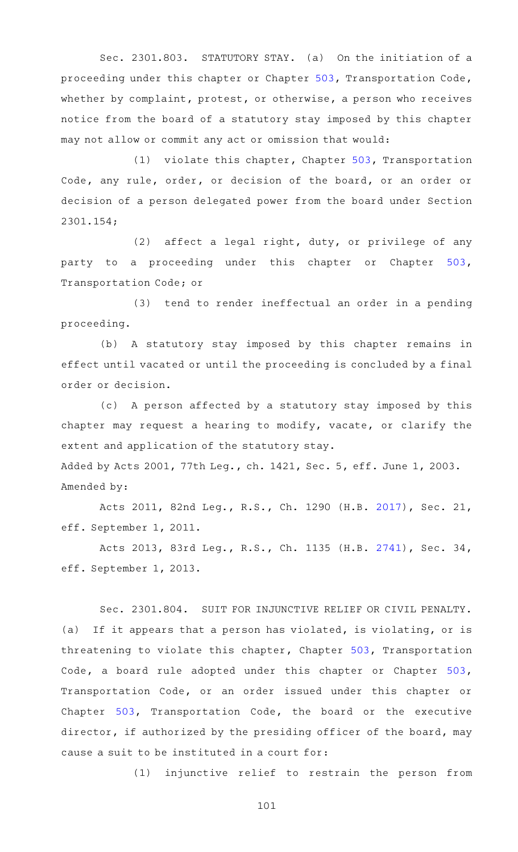Sec. 2301.803. STATUTORY STAY. (a) On the initiation of a proceeding under this chapter or Chapter [503,](http://www.statutes.legis.state.tx.us/GetStatute.aspx?Code=TN&Value=503) Transportation Code, whether by complaint, protest, or otherwise, a person who receives notice from the board of a statutory stay imposed by this chapter may not allow or commit any act or omission that would:

 $(1)$  violate this chapter, Chapter [503](http://www.statutes.legis.state.tx.us/GetStatute.aspx?Code=TN&Value=503), Transportation Code, any rule, order, or decision of the board, or an order or decision of a person delegated power from the board under Section 2301.154;

(2) affect a legal right, duty, or privilege of any party to a proceeding under this chapter or Chapter [503](http://www.statutes.legis.state.tx.us/GetStatute.aspx?Code=TN&Value=503), Transportation Code; or

(3) tend to render ineffectual an order in a pending proceeding.

(b) A statutory stay imposed by this chapter remains in effect until vacated or until the proceeding is concluded by a final order or decision.

(c) A person affected by a statutory stay imposed by this chapter may request a hearing to modify, vacate, or clarify the extent and application of the statutory stay.

Added by Acts 2001, 77th Leg., ch. 1421, Sec. 5, eff. June 1, 2003. Amended by:

Acts 2011, 82nd Leg., R.S., Ch. 1290 (H.B. [2017](http://www.legis.state.tx.us/tlodocs/82R/billtext/html/HB02017F.HTM)), Sec. 21, eff. September 1, 2011.

Acts 2013, 83rd Leg., R.S., Ch. 1135 (H.B. [2741](http://www.legis.state.tx.us/tlodocs/83R/billtext/html/HB02741F.HTM)), Sec. 34, eff. September 1, 2013.

Sec. 2301.804. SUIT FOR INJUNCTIVE RELIEF OR CIVIL PENALTY. (a) If it appears that a person has violated, is violating, or is threatening to violate this chapter, Chapter [503,](http://www.statutes.legis.state.tx.us/GetStatute.aspx?Code=TN&Value=503) Transportation Code, a board rule adopted under this chapter or Chapter [503](http://www.statutes.legis.state.tx.us/GetStatute.aspx?Code=TN&Value=503), Transportation Code, or an order issued under this chapter or Chapter [503](http://www.statutes.legis.state.tx.us/GetStatute.aspx?Code=TN&Value=503), Transportation Code, the board or the executive director, if authorized by the presiding officer of the board, may cause a suit to be instituted in a court for:

(1) injunctive relief to restrain the person from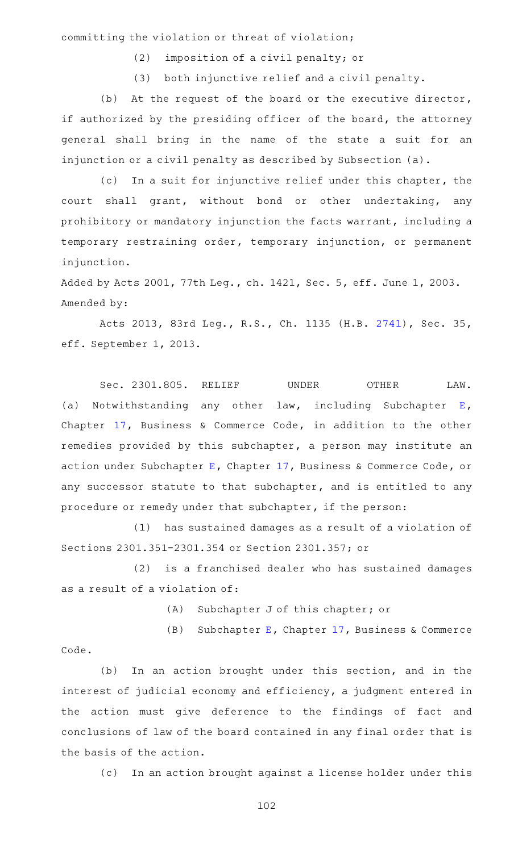committing the violation or threat of violation;

 $(2)$  imposition of a civil penalty; or

(3) both injunctive relief and a civil penalty.

(b) At the request of the board or the executive director, if authorized by the presiding officer of the board, the attorney general shall bring in the name of the state a suit for an injunction or a civil penalty as described by Subsection (a).

(c) In a suit for injunctive relief under this chapter, the court shall grant, without bond or other undertaking, any prohibitory or mandatory injunction the facts warrant, including a temporary restraining order, temporary injunction, or permanent injunction.

Added by Acts 2001, 77th Leg., ch. 1421, Sec. 5, eff. June 1, 2003. Amended by:

Acts 2013, 83rd Leg., R.S., Ch. 1135 (H.B. [2741](http://www.legis.state.tx.us/tlodocs/83R/billtext/html/HB02741F.HTM)), Sec. 35, eff. September 1, 2013.

Sec. 2301.805. RELIEF UNDER OTHER LAW. (a) Notwithstanding any other law, including Subchapter  $E$ , Chapter [17](http://www.statutes.legis.state.tx.us/GetStatute.aspx?Code=BC&Value=17), Business & Commerce Code, in addition to the other remedies provided by this subchapter, a person may institute an action under Subchapter [E,](http://www.statutes.legis.state.tx.us/GetStatute.aspx?Code=BC&Value=17.41) Chapter [17](http://www.statutes.legis.state.tx.us/GetStatute.aspx?Code=BC&Value=17), Business & Commerce Code, or any successor statute to that subchapter, and is entitled to any procedure or remedy under that subchapter, if the person:

(1) has sustained damages as a result of a violation of Sections 2301.351-2301.354 or Section 2301.357; or

(2) is a franchised dealer who has sustained damages as a result of a violation of:

(A) Subchapter J of this chapter; or

(B) Subchapter [E](http://www.statutes.legis.state.tx.us/GetStatute.aspx?Code=BC&Value=17.41), Chapter  $17$ , Business & Commerce Code.

(b) In an action brought under this section, and in the interest of judicial economy and efficiency, a judgment entered in the action must give deference to the findings of fact and conclusions of law of the board contained in any final order that is the basis of the action.

(c) In an action brought against a license holder under this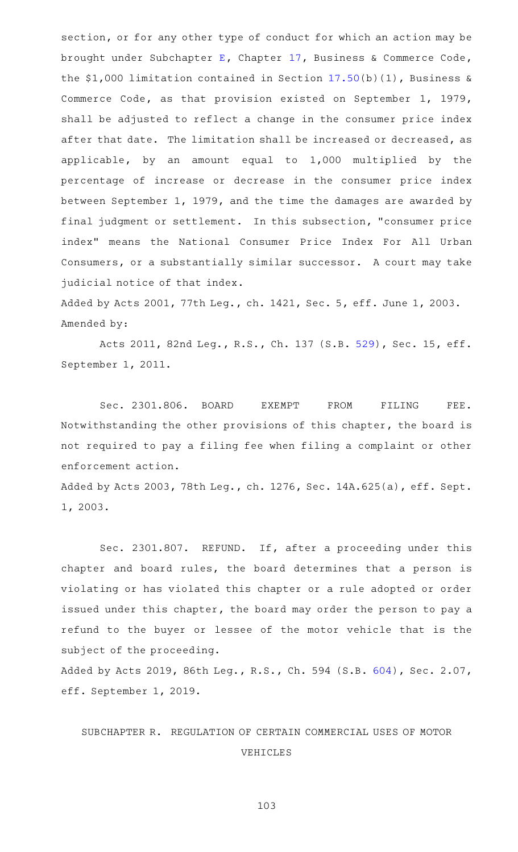section, or for any other type of conduct for which an action may be brought under Subchapter [E,](http://www.statutes.legis.state.tx.us/GetStatute.aspx?Code=BC&Value=17.41) Chapter [17](http://www.statutes.legis.state.tx.us/GetStatute.aspx?Code=BC&Value=17), Business & Commerce Code, the \$1,000 limitation contained in Section [17.50](http://www.statutes.legis.state.tx.us/GetStatute.aspx?Code=BC&Value=17.50)(b)(1), Business & Commerce Code, as that provision existed on September 1, 1979, shall be adjusted to reflect a change in the consumer price index after that date. The limitation shall be increased or decreased, as applicable, by an amount equal to 1,000 multiplied by the percentage of increase or decrease in the consumer price index between September 1, 1979, and the time the damages are awarded by final judgment or settlement. In this subsection, "consumer price index" means the National Consumer Price Index For All Urban Consumers, or a substantially similar successor. A court may take judicial notice of that index.

Added by Acts 2001, 77th Leg., ch. 1421, Sec. 5, eff. June 1, 2003. Amended by:

Acts 2011, 82nd Leg., R.S., Ch. 137 (S.B. [529\)](http://www.legis.state.tx.us/tlodocs/82R/billtext/html/SB00529F.HTM), Sec. 15, eff. September 1, 2011.

Sec. 2301.806. BOARD EXEMPT FROM FILING FEE. Notwithstanding the other provisions of this chapter, the board is not required to pay a filing fee when filing a complaint or other enforcement action.

Added by Acts 2003, 78th Leg., ch. 1276, Sec. 14A.625(a), eff. Sept. 1, 2003.

Sec. 2301.807. REFUND. If, after a proceeding under this chapter and board rules, the board determines that a person is violating or has violated this chapter or a rule adopted or order issued under this chapter, the board may order the person to pay a refund to the buyer or lessee of the motor vehicle that is the subject of the proceeding.

Added by Acts 2019, 86th Leg., R.S., Ch. 594 (S.B. [604](http://www.legis.state.tx.us/tlodocs/86R/billtext/html/SB00604F.HTM)), Sec. 2.07, eff. September 1, 2019.

# SUBCHAPTER R. REGULATION OF CERTAIN COMMERCIAL USES OF MOTOR VEHICLES